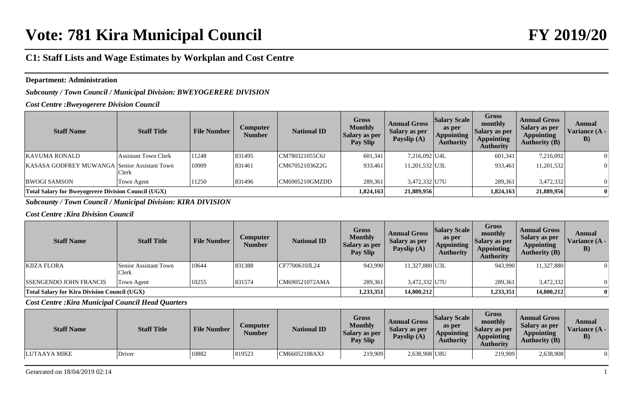### **Department: Administration**

*Subcounty / Town Council / Municipal Division: BWEYOGERERE DIVISION*

*Cost Centre :Bweyogerere Division Council*

| <b>Staff Name</b>                                          | <b>Staff Title</b>          | <b>File Number</b> | Computer<br><b>Number</b> | <b>National ID</b> | <b>Gross</b><br><b>Monthly</b><br>Salary as per<br>Pay Slip | <b>Annual Gross</b><br>Salary as per<br>Payslip (A) | <b>Salary Scale</b><br>as per<br><b>Appointing</b><br><b>Authority</b> | <b>Gross</b><br>monthly<br>Salary as per<br><b>Appointing</b><br><b>Authority</b> | <b>Annual Gross</b><br><b>Salary as per</b><br><b>Appointing</b><br><b>Authority (B)</b> | Annual<br>Variance (A -<br>$\bf{B})$ |
|------------------------------------------------------------|-----------------------------|--------------------|---------------------------|--------------------|-------------------------------------------------------------|-----------------------------------------------------|------------------------------------------------------------------------|-----------------------------------------------------------------------------------|------------------------------------------------------------------------------------------|--------------------------------------|
| <b>KAVUMA RONALD</b>                                       | <b>Assistant Town Clerk</b> | 11248              | 831495                    | CM780321055C6J     | 601,341                                                     | 7,216,092 U4L                                       |                                                                        | 601,341                                                                           | 7,216,092                                                                                |                                      |
| <b>KASASA GODFREY MUWANGA Senior Assistant Town</b>        | Clerk                       | 10009              | 831461                    | CM670521036Z2G     | 933,461                                                     | 11,201,532 U3L                                      |                                                                        | 933,461                                                                           | 11,201,532                                                                               |                                      |
| <b>BWOGI SAMSON</b>                                        | Town Agent                  | 11250              | 831496                    | CM6905210GMZDD     | 289,361                                                     | 3,472,332 U7U                                       |                                                                        | 289,361                                                                           | 3,472,332                                                                                |                                      |
| <b>Total Salary for Bweyogerere Division Council (UGX)</b> |                             |                    |                           |                    | 1,824,163                                                   | 21,889,956                                          |                                                                        | 1,824,163                                                                         | 21,889,956                                                                               |                                      |

*Subcounty / Town Council / Municipal Division: KIRA DIVISION*

#### *Cost Centre :Kira Division Council*

| <b>Staff Name</b>                                   | <b>Staff Title</b>                    | <b>File Number</b> | Computer<br><b>Number</b> | <b>National ID</b> | <b>Gross</b><br><b>Monthly</b><br>Salary as per<br>Pay Slip | <b>Annual Gross</b><br>Salary as per<br>Payslip $(A)$ | <b>Salary Scale</b><br>as per<br><b>Appointing</b><br><b>Authority</b> | <b>Gross</b><br>monthly<br><b>Salary as per</b><br><b>Appointing</b><br><b>Authority</b> | <b>Annual Gross</b><br>Salary as per<br><b>Appointing</b><br><b>Authority (B)</b> | Annual<br>Variance $(A -$<br>$\bf{B})$ |
|-----------------------------------------------------|---------------------------------------|--------------------|---------------------------|--------------------|-------------------------------------------------------------|-------------------------------------------------------|------------------------------------------------------------------------|------------------------------------------------------------------------------------------|-----------------------------------------------------------------------------------|----------------------------------------|
| <b>KIIZA FLORA</b>                                  | Senior Assistant Town<br><b>Clerk</b> | 10644              | 831388                    | CF7700610JL24      | 943,990                                                     | 11,327,880 U3L                                        |                                                                        | 943,990                                                                                  | 11,327,880                                                                        |                                        |
| <b>ISSENGENDO JOHN FRANCIS</b>                      | Town Agent                            | 10255              | 831574                    | CM690521072AMA     | 289,361                                                     | 3,472,332 U7U                                         |                                                                        | 289,361                                                                                  | 3,472,332                                                                         |                                        |
| <b>Total Salary for Kira Division Council (UGX)</b> |                                       |                    |                           |                    | 1,233,351                                                   | 14,800,212                                            |                                                                        | 1,233,351                                                                                | 14,800,212                                                                        |                                        |

*Cost Centre :Kira Municipal Council Head Quarters*

| <b>Staff Name</b> | <b>Staff Title</b> | <b>File Number</b> | Computer<br>Number | <b>National ID</b> | Gross<br><b>Monthly</b><br><b>Salary as per</b><br><b>Pay Slip</b> | <b>Annual Gross</b><br>Salary as per<br>Payslip (A) | <b>Salary Scale</b><br>as per<br><b>Appointing</b><br><b>Authority</b> | <b>Gross</b><br>monthly<br>Salary as per<br><b>Appointing</b><br>Authoritv | <b>Annual Gross</b><br>Salary as per<br><b>Appointing</b><br><b>Authority (B)</b> | Annual<br>Variance (A -<br>B) |
|-------------------|--------------------|--------------------|--------------------|--------------------|--------------------------------------------------------------------|-----------------------------------------------------|------------------------------------------------------------------------|----------------------------------------------------------------------------|-----------------------------------------------------------------------------------|-------------------------------|
| LUTAAYA MIKE      | Driver             | 10882              | 819523             | CM66052108AXJ      | 219,909                                                            | 2,638,908 U8U                                       |                                                                        | 219,909                                                                    | 2,638,908                                                                         |                               |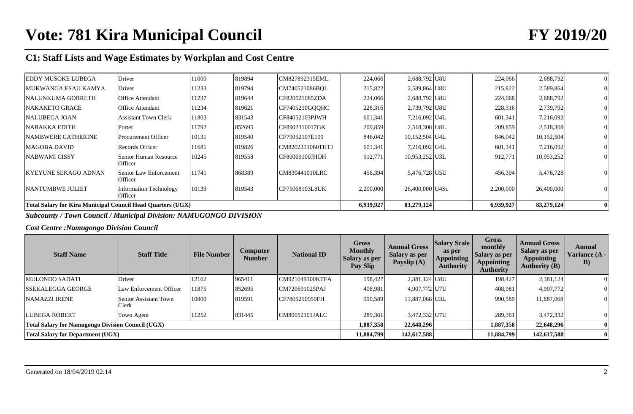| <b>EDDY MUSOKE LUBEGA</b>                                          | Driver                                  | 11000 | 819894 | CM827892315EML   | 224,066   | 2,688,792 U8U    | 224,066   | 2,688,792  |  |
|--------------------------------------------------------------------|-----------------------------------------|-------|--------|------------------|-----------|------------------|-----------|------------|--|
| MUKWANGA ESAU KAMYA                                                | Driver                                  | 11233 | 819794 | CM740521086BOL   | 215,822   | 2,589,864 U8U    | 215,822   | 2,589,864  |  |
| <b>NALUNKUMA GORRETH</b>                                           | Office Attendant                        | 11237 | 819644 | CF820521085ZDA   | 224,066   | 2,688,792 U8U    | 224,066   | 2,688,792  |  |
| <b>NAKAKETO GRACE</b>                                              | Office Attendant                        | 11234 | 819621 | CF7405210GOOHC   | 228,316   | 2,739,792 U8U    | 228,316   | 2,739,792  |  |
| <b>NALUBEGA JOAN</b>                                               | <b>Assistant Town Clerk</b>             | 11803 | 831543 | CF84052103PJWH   | 601,341   | 7,216,092 U4L    | 601,341   | 7,216,092  |  |
| <b>NABAKKA EDITH</b>                                               | Porter                                  | 11792 | 852695 | CF8902310017GK   | 209,859   | 2,518,308 U8L    | 209,859   | 2,518,308  |  |
| <b>NAMBWERE CATHERINE</b>                                          | <b>Procurement Officer</b>              | 10131 | 819540 | CF79052107E199   | 846,042   | $10,152,504$ U4L | 846,042   | 10,152,504 |  |
| <b>MAGOBA DAVID</b>                                                | Records Officer                         | 11681 | 819826 | CM8202311060THTJ | 601,341   | 7,216,092 U4L    | 601,341   | 7,216,092  |  |
| NABWAMI CISSY                                                      | Senior Human Resource<br><b>Officer</b> | 10245 | 819558 | CF80069100JHOH   | 912,771   | 10,953,252 U3L   | 912,771   | 10,953,252 |  |
| KYEYUNE SEKAGO ADNAN                                               | Senior Law Enforcement<br>Officer       | 11741 | 868389 | CM830441010LRC   | 456,394   | 5,476,728 U5U    | 456,394   | 5,476,728  |  |
| <b>NANTUMBWE JULIET</b>                                            | Information Technology<br>Officer       | 10139 | 819543 | CF75068103L8UK   | 2,200,000 | 26,400,000 U4Sc  | 2,200,000 | 26,400,000 |  |
| <b>Total Salary for Kira Municipal Council Head Quarters (UGX)</b> |                                         |       |        |                  |           | 83,279,124       | 6,939,927 | 83,279,124 |  |

*Subcounty / Town Council / Municipal Division: NAMUGONGO DIVISION*

*Cost Centre :Namugongo Division Council*

| <b>Staff Name</b>                                        | <b>Staff Title</b>                    | <b>File Number</b> | <b>Computer</b><br><b>Number</b> | <b>National ID</b> | Gross<br><b>Monthly</b><br><b>Salary as per</b><br>Pay Slip | <b>Annual Gross</b><br><b>Salary as per</b><br>Payslip (A) | <b>Salary Scale</b><br>as per<br><b>Appointing</b><br><b>Authority</b> | <b>Gross</b><br>monthly<br><b>Salary as per</b><br><b>Appointing</b><br><b>Authority</b> | <b>Annual Gross</b><br>Salary as per<br><b>Appointing</b><br><b>Authority (B)</b> | Annual<br>Variance (A -<br>$\bf{B}$ |
|----------------------------------------------------------|---------------------------------------|--------------------|----------------------------------|--------------------|-------------------------------------------------------------|------------------------------------------------------------|------------------------------------------------------------------------|------------------------------------------------------------------------------------------|-----------------------------------------------------------------------------------|-------------------------------------|
| MULONDO SADATI                                           | Driver                                | 12162              | 965411                           | CM921049100KTFA    | 198,427                                                     | 2,381,124 U8U                                              |                                                                        | 198,427                                                                                  | 2,381,124                                                                         | $\Omega$                            |
| <b>SSEKALEGGA GEORGE</b>                                 | Law Enforcement Officer               | 11875              | 852695                           | CM720691025PAJ     | 408,981                                                     | 4.907.772 U7U                                              |                                                                        | 408,981                                                                                  | 4,907,772                                                                         | $\Omega$                            |
| NAMAZZI IRENE                                            | Senior Assistant Town<br><b>Clerk</b> | 10800              | 819591                           | CF7805210959FH     | 990,589                                                     | 11,887,068 U3L                                             |                                                                        | 990,589                                                                                  | 11,887,068                                                                        | $\vert 0 \vert$                     |
| LUBEGA ROBERT                                            | Town Agent                            | 11252              | 831445                           | CM80052101JALC     | 289,361                                                     | 3,472,332 U7U                                              |                                                                        | 289,361                                                                                  | 3,472,332                                                                         | $\theta$                            |
| <b>Total Salary for Namugongo Division Council (UGX)</b> |                                       |                    |                                  |                    | 1,887,358                                                   | 22,648,296                                                 |                                                                        | 1,887,358                                                                                | 22,648,296                                                                        | $\mathbf{0}$                        |
| <b>Total Salary for Department (UGX)</b>                 |                                       |                    |                                  |                    | 11,884,799                                                  | 142,617,588                                                |                                                                        | 11,884,799                                                                               | 142,617,588                                                                       | $\bf{0}$                            |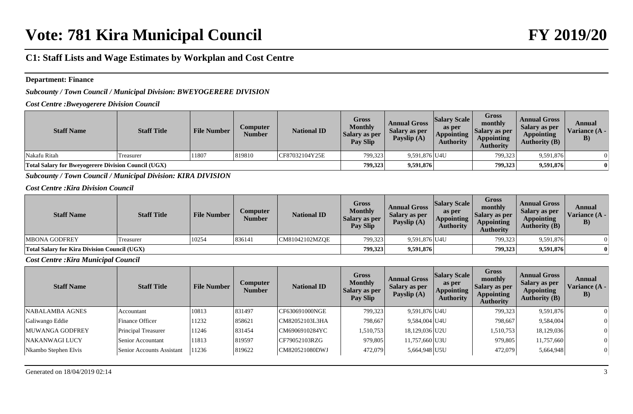#### **Department: Finance**

## *Subcounty / Town Council / Municipal Division: BWEYOGERERE DIVISION*

*Cost Centre :Bweyogerere Division Council*

| <b>Staff Name</b>                                          | <b>Staff Title</b> | <b>File Number</b> | Computer<br><b>Number</b> | <b>National ID</b> | Gross<br><b>Monthly</b><br>Salary as per<br>Pay Slip | <b>Annual Gross</b><br>Salary as per<br>Payslip $(A)$ | <b>Salary Scale</b><br>as per<br><b>Appointing</b><br><b>Authority</b> | <b>Gross</b><br>monthly<br>Salary as per<br><b>Appointing</b><br>Authoritv | <b>Annual Gross</b><br>Salary as per<br><b>Appointing</b><br><b>Authority (B)</b> | Annual<br>Variance (A -<br>$\bf{B})$ |
|------------------------------------------------------------|--------------------|--------------------|---------------------------|--------------------|------------------------------------------------------|-------------------------------------------------------|------------------------------------------------------------------------|----------------------------------------------------------------------------|-----------------------------------------------------------------------------------|--------------------------------------|
| Nakafu Ritah                                               | Treasurer          | 11807              | 819810                    | CF87032104Y25E     | 799,323                                              | 9,591,876 U4U                                         |                                                                        | 799,323                                                                    | 9,591,876                                                                         |                                      |
| <b>Total Salary for Bweyogerere Division Council (UGX)</b> |                    |                    |                           |                    | 799.323                                              | 9,591,876                                             |                                                                        | 799,323                                                                    | 9,591,876                                                                         |                                      |

*Subcounty / Town Council / Municipal Division: KIRA DIVISION*

*Cost Centre :Kira Division Council*

| <b>Staff Name</b>                                   | <b>Staff Title</b> | <b>File Number</b> | <b>Computer</b><br><b>Number</b> | <b>National ID</b> | Gross<br><b>Monthly</b><br>Salary as per<br>Pay Slip | <b>Annual Gross</b><br>Salary as per<br>Payslip (A) | <b>Salary Scale</b><br>as per<br><b>Appointing</b><br><b>Authority</b> | <b>Gross</b><br>monthly<br>Salary as per<br><b>Appointing</b><br><b>Authority</b> | <b>Annual Gross</b><br>Salary as per<br><b>Appointing</b><br>Authority $(B)$ | Annual<br>Variance (A -<br>$\bf{B}$ |
|-----------------------------------------------------|--------------------|--------------------|----------------------------------|--------------------|------------------------------------------------------|-----------------------------------------------------|------------------------------------------------------------------------|-----------------------------------------------------------------------------------|------------------------------------------------------------------------------|-------------------------------------|
| <b>MBONA GODFREY</b>                                | Treasurer          | 10254              | 836141                           | CM81042102MZQE     | 799,323                                              | 9,591,876 U4U                                       |                                                                        | 799,323                                                                           | 9,591,876                                                                    |                                     |
| <b>Total Salary for Kira Division Council (UGX)</b> |                    |                    |                                  |                    | 799,323                                              | 9,591,876                                           |                                                                        | 799,323                                                                           | 9,591,876                                                                    |                                     |

*Cost Centre :Kira Municipal Council*

| <b>Staff Name</b>    | <b>Staff Title</b>        | <b>File Number</b> | <b>Computer</b><br><b>Number</b> | <b>National ID</b> | <b>Gross</b><br><b>Monthly</b><br>Salary as per<br>Pay Slip | <b>Annual Gross</b><br>Salary as per<br>Payslip (A) | <b>Salary Scale</b><br>as per<br><b>Appointing</b><br><b>Authority</b> | <b>Gross</b><br>monthly<br>Salary as per<br><b>Appointing</b><br><b>Authority</b> | <b>Annual Gross</b><br>Salary as per<br><b>Appointing</b><br><b>Authority (B)</b> | Annual<br><b>Variance (A -</b><br>$\bf{B}$ |
|----------------------|---------------------------|--------------------|----------------------------------|--------------------|-------------------------------------------------------------|-----------------------------------------------------|------------------------------------------------------------------------|-----------------------------------------------------------------------------------|-----------------------------------------------------------------------------------|--------------------------------------------|
| NABALAMBA AGNES      | Accountant                | 10813              | 831497                           | CF630691000NGE     | 799,323                                                     | 9,591,876 U4U                                       |                                                                        | 799,323                                                                           | 9,591,876                                                                         |                                            |
| Galiwango Eddie      | Finance Officer           | 11232              | 858621                           | CM82052103L3HA     | 798.667                                                     | 9,584,004 U4U                                       |                                                                        | 798,667                                                                           | 9,584,004                                                                         | $\Omega$                                   |
| MUWANGA GODFREY      | Principal Treasurer       | 11246              | 831454                           | CM6906910284YC     | 1,510,753                                                   | 18,129,036 U2U                                      |                                                                        | 1,510,753                                                                         | 18,129,036                                                                        | $\Omega$                                   |
| NAKANWAGI LUCY       | Senior Accountant         | 11813              | 819597                           | CF79052103RZG      | 979,805                                                     | 11,757,660 U3U                                      |                                                                        | 979,805                                                                           | 11,757,660                                                                        |                                            |
| Nkambo Stephen Elvis | Senior Accounts Assistant | 11236              | 819622                           | CM820521080DWJ     | 472,079                                                     | 5,664,948 U5U                                       |                                                                        | 472,079                                                                           | 5,664,948                                                                         | $\overline{0}$                             |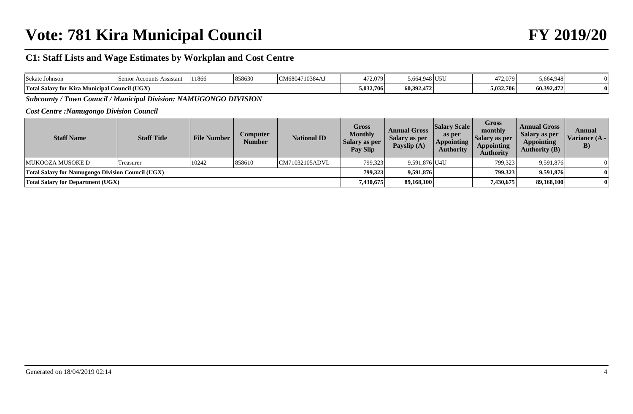# **Vote: 781 Kira Municipal Council FY 2019/20**

# **C1: Staff Lists and Wage Estimates by Workplan and Cost Centre**

| <b>Sekate Johnson</b> | Senior Accounts Assistant      | 11866 | 858630 | CM6804710384AJ | 472,079   | ا 664.948.د<br>U5U ار | 472.079   | 5.664.948  |  |
|-----------------------|--------------------------------|-------|--------|----------------|-----------|-----------------------|-----------|------------|--|
| Total Salary for Kira | <b>Municipal Council (UGX)</b> |       |        |                | 5,032,706 | 60,392,472            | 5,032,706 | 60,392,472 |  |

*Subcounty / Town Council / Municipal Division: NAMUGONGO DIVISION*

*Cost Centre :Namugongo Division Council*

| <b>Staff Name</b>                                        | <b>Staff Title</b> | <b>File Number</b> | Computer<br>Number | <b>National ID</b> | <b>Gross</b><br><b>Monthly</b><br>Salary as per<br>Pay Slip | <b>Annual Gross</b><br>Salary as per<br>Payslip $(A)$ | <b>Salary Scale</b><br>as per<br><b>Appointing</b><br><b>Authority</b> | Gross<br>monthly<br>Salary as per<br><b>Appointing</b><br><b>Authority</b> | <b>Annual Gross</b><br>Salary as per<br><b>Appointing</b><br><b>Authority (B)</b> | Annual<br>Variance (A -<br>$\bf{B})$ |
|----------------------------------------------------------|--------------------|--------------------|--------------------|--------------------|-------------------------------------------------------------|-------------------------------------------------------|------------------------------------------------------------------------|----------------------------------------------------------------------------|-----------------------------------------------------------------------------------|--------------------------------------|
| MUKOOZA MUSOKE D                                         | <b>Treasurer</b>   | 10242              | 858610             | CM71032105ADVL     | 799,323                                                     | 9,591,876 U4U                                         |                                                                        | 799,323                                                                    | 9,591,876                                                                         |                                      |
| <b>Total Salary for Namugongo Division Council (UGX)</b> |                    |                    |                    |                    | 799,323                                                     | 9,591,876                                             |                                                                        | 799.323                                                                    | 9,591,876                                                                         |                                      |
| <b>Total Salary for Department (UGX)</b>                 |                    |                    |                    |                    | 7,430,675                                                   | 89,168,100                                            |                                                                        | 7,430,675                                                                  | 89,168,100                                                                        |                                      |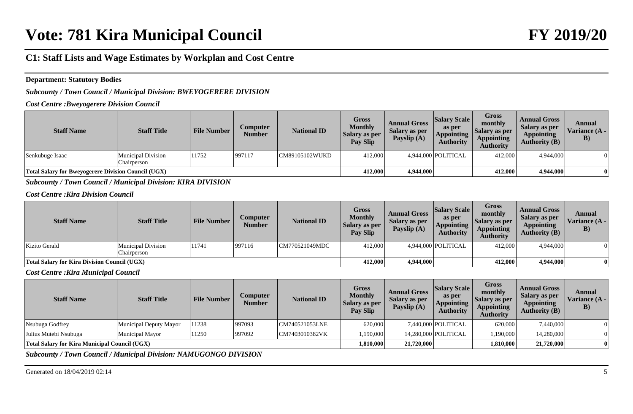### **Department: Statutory Bodies**

*Subcounty / Town Council / Municipal Division: BWEYOGERERE DIVISION*

*Cost Centre :Bweyogerere Division Council*

| <b>Staff Name</b>                                          | <b>Staff Title</b>                | <b>File Number</b> | <i>Computer</i><br><b>Number</b> | <b>National ID</b> | Gross<br><b>Monthly</b><br>Salary as per<br><b>Pay Slip</b> | <b>Annual Gross</b><br>Salary as per<br>Payslip (A) | <b>Salary Scale</b><br>as per<br><b>Appointing</b><br><b>Authority</b> | <b>Gross</b><br>monthly<br>Salary as per<br><b>Appointing</b><br>Authority | <b>Annual Gross</b><br>Salary as per<br><b>Appointing</b><br>Authority $(B)$ | Annual<br>Variance $(A -$<br>B) |
|------------------------------------------------------------|-----------------------------------|--------------------|----------------------------------|--------------------|-------------------------------------------------------------|-----------------------------------------------------|------------------------------------------------------------------------|----------------------------------------------------------------------------|------------------------------------------------------------------------------|---------------------------------|
| Senkubuge Isaac                                            | Municipal Division<br>Chairperson | 11752              | 997117                           | ICM89105102WUKD    | 412,000                                                     |                                                     | 4,944,000 POLITICAL                                                    | 412,000                                                                    | 4,944,000                                                                    |                                 |
| <b>Total Salary for Bweyogerere Division Council (UGX)</b> |                                   |                    |                                  |                    | 412,000                                                     | 4,944,000                                           |                                                                        | 412,000                                                                    | 4,944,000                                                                    |                                 |

*Subcounty / Town Council / Municipal Division: KIRA DIVISION*

*Cost Centre :Kira Division Council*

| <b>Staff Name</b>                                   | <b>Staff Title</b>                       | <b>File Number</b> | Computer<br><b>Number</b> | <b>National ID</b> | Gross<br><b>Monthly</b><br>Salary as per<br>Pay Slip | <b>Annual Gross</b><br>Salary as per<br>Payslip (A) | <b>Salary Scale</b><br>as per<br><b>Appointing</b><br>Authority | <b>Gross</b><br>monthly<br><b>Salary as per</b><br><b>Appointing</b><br>Authority | <b>Annual Gross</b><br>Salary as per<br><b>Appointing</b><br><b>Authority (B)</b> | Annual<br>Variance (A -<br>B) |
|-----------------------------------------------------|------------------------------------------|--------------------|---------------------------|--------------------|------------------------------------------------------|-----------------------------------------------------|-----------------------------------------------------------------|-----------------------------------------------------------------------------------|-----------------------------------------------------------------------------------|-------------------------------|
| Kizito Gerald                                       | <b>Municipal Division</b><br>Chairperson | 11741              | 997116                    | CM770521049MDC     | 412,000                                              |                                                     | 4,944,000 POLITICAL                                             | 412,000                                                                           | 4,944,000                                                                         |                               |
| <b>Total Salary for Kira Division Council (UGX)</b> |                                          |                    |                           |                    | 412,000                                              | 4,944,000                                           |                                                                 | 412,000                                                                           | 4,944,000                                                                         |                               |

*Cost Centre :Kira Municipal Council*

| <b>Staff Name</b>                                    | <b>Staff Title</b>     | <b>File Number</b> | Computer<br>Number | <b>National ID</b> | <b>Gross</b><br><b>Monthly</b><br><b>Salary as per</b><br>Pay Slip | <b>Annual Gross</b><br>Salary as per<br>Payslip $(A)$ | <b>Salary Scale</b><br>as per<br><b>Appointing</b><br><b>Authority</b> | <b>Gross</b><br>monthly<br>Salary as per<br><b>Appointing</b><br><b>Authority</b> | <b>Annual Gross</b><br>Salary as per<br><b>Appointing</b><br><b>Authority (B)</b> | Annual<br>Variance (A -<br>$\bf{B})$ |
|------------------------------------------------------|------------------------|--------------------|--------------------|--------------------|--------------------------------------------------------------------|-------------------------------------------------------|------------------------------------------------------------------------|-----------------------------------------------------------------------------------|-----------------------------------------------------------------------------------|--------------------------------------|
| Nsubuga Godfrey                                      | Municipal Deputy Mayor | 11238              | 997093             | CM740521053LNE     | 620,000                                                            |                                                       | 7,440,000 POLITICAL                                                    | 620,000                                                                           | 7,440,000                                                                         |                                      |
| Julius Mutebi Nsubuga                                | Municipal Mayor        | 11250              | 997092             | CM7403010382VK     | 1,190,000                                                          |                                                       | 14.280.000 POLITICAL                                                   | 1,190,000                                                                         | 14.280,000                                                                        |                                      |
| <b>Total Salary for Kira Municipal Council (UGX)</b> |                        |                    |                    |                    | 1,810,000                                                          | 21,720,000                                            |                                                                        | 1,810,000                                                                         | 21,720,000                                                                        |                                      |

*Subcounty / Town Council / Municipal Division: NAMUGONGO DIVISION*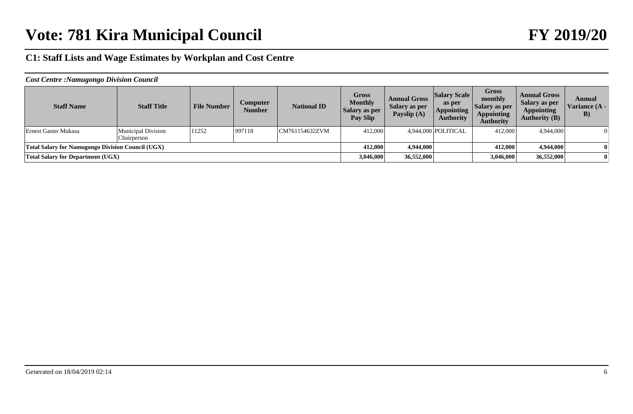| <b>Staff Name</b>                                        | <b>Staff Title</b>                | <b>File Number</b> | Computer<br><b>Number</b> | <b>National ID</b> | <b>Gross</b><br><b>Monthly</b><br>Salary as per<br>Pay Slip | <b>Annual Gross</b><br>Salary as per<br>Payslip $(A)$ | <b>Salary Scale</b><br>as per<br><b>Appointing</b><br><b>Authority</b> | Gross<br>monthly<br>  Salary as per<br><b>Appointing</b><br><b>Authority</b> | <b>Annual Gross</b><br>Salary as per<br><b>Appointing</b><br><b>Authority (B)</b> | Annual<br>Variance (A -<br>$\bf{B}$ |
|----------------------------------------------------------|-----------------------------------|--------------------|---------------------------|--------------------|-------------------------------------------------------------|-------------------------------------------------------|------------------------------------------------------------------------|------------------------------------------------------------------------------|-----------------------------------------------------------------------------------|-------------------------------------|
| Ernest Gaster Mukasa                                     | Municipal Division<br>Chairperson | 11252              | 997118                    | CM761154632ZVM     | 412,000                                                     |                                                       | 4,944,000 POLITICAL                                                    | 412,000                                                                      | 4,944,000                                                                         | $\overline{0}$                      |
| <b>Total Salary for Namugongo Division Council (UGX)</b> |                                   |                    |                           |                    | 412,000                                                     | 4,944,000                                             |                                                                        | 412,000                                                                      | 4,944,000                                                                         |                                     |
| <b>Total Salary for Department (UGX)</b>                 |                                   |                    |                           |                    | 3,046,000                                                   | 36,552,000                                            |                                                                        | 3,046,000                                                                    | 36,552,000                                                                        |                                     |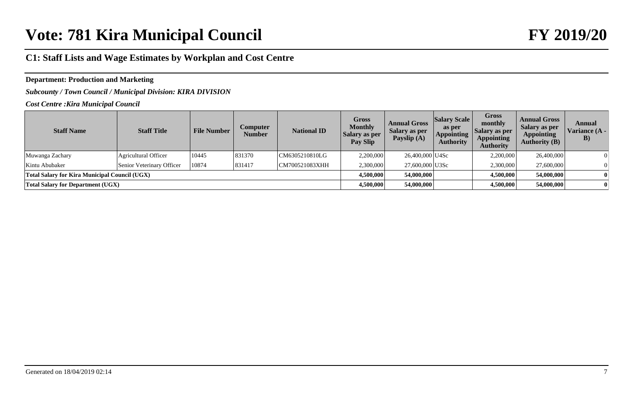## **Department: Production and Marketing**

*Subcounty / Town Council / Municipal Division: KIRA DIVISION*

*Cost Centre :Kira Municipal Council*

| <b>Staff Name</b>                             | <b>Staff Title</b>        | <b>File Number</b> | Computer<br><b>Number</b> | <b>National ID</b> | Gross<br><b>Monthly</b><br><b>Salary as per</b><br>Pay Slip | <b>Annual Gross</b><br>Salary as per<br>Payslip (A) | <b>Salary Scale</b><br>as per<br><b>Appointing</b><br><b>Authority</b> | <b>Gross</b><br>monthly<br><b>Salary as per</b><br><b>Appointing</b><br><b>Authority</b> | <b>Annual Gross</b><br>Salary as per<br><b>Appointing</b><br><b>Authority (B)</b> | Annual<br>Variance (A -<br>$\bf{B})$ |
|-----------------------------------------------|---------------------------|--------------------|---------------------------|--------------------|-------------------------------------------------------------|-----------------------------------------------------|------------------------------------------------------------------------|------------------------------------------------------------------------------------------|-----------------------------------------------------------------------------------|--------------------------------------|
| Muwanga Zachary                               | Agricultural Officer      | 10445              | 831370                    | CM6305210810LG     | 2,200,000                                                   | 26,400,000 U4Sc                                     |                                                                        | 2,200,000                                                                                | 26,400,000                                                                        |                                      |
| Kintu Abubaker                                | Senior Veterinary Officer | 10874              | 831417                    | CM700521083XHH     | 2,300,000                                                   | 27,600,000 U3Sc                                     |                                                                        | 2,300,000                                                                                | 27,600,000                                                                        |                                      |
| Total Salary for Kira Municipal Council (UGX) |                           |                    |                           |                    | 4.500,000                                                   | 54,000,000                                          |                                                                        | 4,500,000                                                                                | 54,000,000                                                                        |                                      |
| <b>Total Salary for Department (UGX)</b>      |                           |                    |                           |                    | 4,500,000                                                   | 54,000,000                                          |                                                                        | 4,500,000                                                                                | 54,000,000                                                                        |                                      |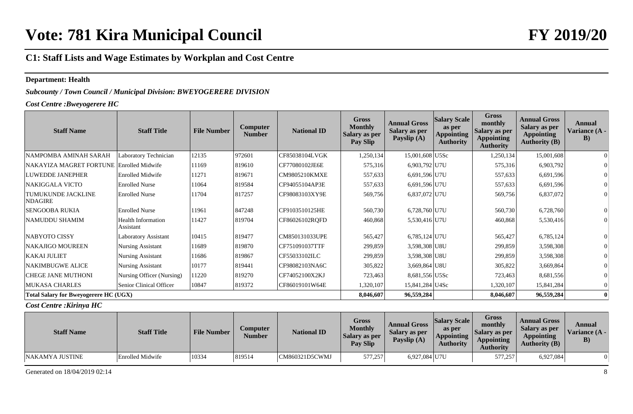#### **Department: Health**

*Subcounty / Town Council / Municipal Division: BWEYOGERERE DIVISION*

*Cost Centre :Bweyogerere HC*

| <b>Staff Name</b>                            | <b>Staff Title</b>                     | <b>File Number</b> | <b>Computer</b><br><b>Number</b> | <b>National ID</b> | <b>Gross</b><br><b>Monthly</b><br><b>Salary as per</b><br>Pay Slip | <b>Annual Gross</b><br>Salary as per<br>Payslip (A) | <b>Salary Scale</b><br>as per<br><b>Appointing</b><br><b>Authority</b> | <b>Gross</b><br>monthly<br>Salary as per<br><b>Appointing</b><br><b>Authority</b> | <b>Annual Gross</b><br><b>Salary as per</b><br><b>Appointing</b><br><b>Authority (B)</b> | Annual<br>Variance (A -<br>$\bf{B})$ |
|----------------------------------------------|----------------------------------------|--------------------|----------------------------------|--------------------|--------------------------------------------------------------------|-----------------------------------------------------|------------------------------------------------------------------------|-----------------------------------------------------------------------------------|------------------------------------------------------------------------------------------|--------------------------------------|
| NAMPOMBA AMINAH SARAH                        | Laboratory Technician                  | 12135              | 972601                           | CF85038104LVGK     | 1,250,134                                                          | 15,001,608 U5Sc                                     |                                                                        | 1,250,134                                                                         | 15,001,608                                                                               |                                      |
| NAKAYIZA MAGRET FORTUNE Enrolled Midwife     |                                        | 11169              | 819610                           | CF77080102JE6E     | 575,316                                                            | 6,903,792 U7U                                       |                                                                        | 575,316                                                                           | 6,903,792                                                                                |                                      |
| <b>LUWEDDE JANEPHER</b>                      | <b>Enrolled Midwife</b>                | 11271              | 819671                           | CM9805210KMXE      | 557,633                                                            | 6,691,596 U7U                                       |                                                                        | 557,633                                                                           | 6,691,596                                                                                |                                      |
| NAKIGGALA VICTO                              | <b>Enrolled Nurse</b>                  | 11064              | 819584                           | CF94055104AP3E     | 557,633                                                            | 6,691,596 U7U                                       |                                                                        | 557,633                                                                           | 6,691,596                                                                                |                                      |
| TUMUKUNDE JACKLINE<br>NDAGIRE                | <b>Enrolled Nurse</b>                  | 11704              | 817257                           | CF98083103XY9E     | 569,756                                                            | 6,837,072 U7U                                       |                                                                        | 569,756                                                                           | 6,837,072                                                                                |                                      |
| <b>SENGOOBA RUKIA</b>                        | <b>Enrolled Nurse</b>                  | 11961              | 847248                           | CF9103510125HE     | 560,730                                                            | 6,728,760 U7U                                       |                                                                        | 560,730                                                                           | 6,728,760                                                                                |                                      |
| NAMUDDU SHAMIM                               | <b>Health Information</b><br>Assistant | 11427              | 819704                           | CF86026102ROFD     | 460,868                                                            | 5,530,416 U7U                                       |                                                                        | 460,868                                                                           | 5,530,416                                                                                |                                      |
| <b>NABYOTO CISSY</b>                         | Laboratory Assistant                   | 10415              | 819477                           | CM850131033UPE     | 565,427                                                            | 6,785,124 U7U                                       |                                                                        | 565,427                                                                           | 6,785,124                                                                                |                                      |
| NAKAJIGO MOUREEN                             | <b>Nursing Assistant</b>               | 11689              | 819870                           | CF751091037TTF     | 299,859                                                            | 3,598,308 U8U                                       |                                                                        | 299,859                                                                           | 3,598,308                                                                                |                                      |
| <b>KAKAI JULIET</b>                          | <b>Nursing Assistant</b>               | 11686              | 819867                           | CF55033102ILC      | 299,859                                                            | 3,598,308 U8U                                       |                                                                        | 299,859                                                                           | 3,598,308                                                                                |                                      |
| NAKIMBUGWE ALICE                             | <b>Nursing Assistant</b>               | 10177              | 819441                           | CF98082103NA6C     | 305,822                                                            | 3,669,864 U8U                                       |                                                                        | 305,822                                                                           | 3,669,864                                                                                |                                      |
| <b>CHEGE JANE MUTHONI</b>                    | Nursing Officer (Nursing)              | 11220              | 819270                           | CF74052100X2KJ     | 723,463                                                            | 8,681,556 U5Sc                                      |                                                                        | 723,463                                                                           | 8,681,556                                                                                |                                      |
| <b>MUKASA CHARLES</b>                        | Senior Clinical Officer                | 10847              | 819372                           | CF86019101W64E     | 1,320,107                                                          | 15,841,284 U4Sc                                     |                                                                        | 1,320,107                                                                         | 15,841,284                                                                               |                                      |
| <b>Total Salary for Bweyogerere HC (UGX)</b> |                                        |                    |                                  |                    | 8,046,607                                                          | 96,559,284                                          |                                                                        | 8,046,607                                                                         | 96,559,284                                                                               |                                      |

#### *Cost Centre :Kirinya HC*

| <b>Staff Name</b> | <b>Staff Title</b> | <b>File Number</b> | Computer<br><b>Number</b> | <b>National ID</b> | <b>Gross</b><br><b>Monthly</b><br>Salary as per<br><b>Pay Slip</b> | <b>Annual Gross</b><br>Salary as per<br>Payslip (A) | <b>Salary Scale</b><br>as per<br><b>Appointing</b><br><b>Authority</b> | <b>Gross</b><br>monthly<br>Salary as per<br><b>Appointing</b><br><b>Authority</b> | <b>Annual Gross</b><br>Salary as per<br><b>Appointing</b><br><b>Authority (B)</b> | Annual<br>Variance $(A -$<br>$\bf{B}$ |
|-------------------|--------------------|--------------------|---------------------------|--------------------|--------------------------------------------------------------------|-----------------------------------------------------|------------------------------------------------------------------------|-----------------------------------------------------------------------------------|-----------------------------------------------------------------------------------|---------------------------------------|
| NAKAMYA JUSTINE   | Enrolled Midwife   | 10334              | 819514                    | CM860321D5CWMJ     | 577,257                                                            | 6,927,084 U7U                                       |                                                                        | 577,257                                                                           | 6,927,084                                                                         | $\Omega$                              |

Generated on  $18/04/2019$  02:14 8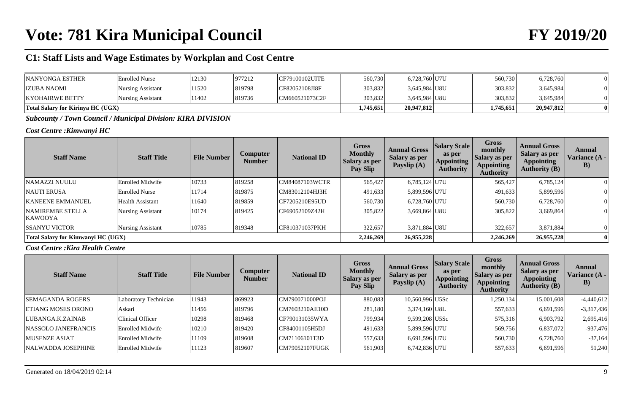| <b>NANYONGA ESTHER</b>                   | <b>Enrolled Nurse</b> | 12130 | 977212 | 'CF79100102UITE | 560,730   | 6,728,760 U7U | 560,730   | 6,728,760  |  |
|------------------------------------------|-----------------------|-------|--------|-----------------|-----------|---------------|-----------|------------|--|
| <b>IZUBA NAOMI</b>                       | Nursing Assistant     | 11520 | 819798 | CF82052108JI8F  | 303,832   | 3,645,984 U8U | 303,832   | 3,645,984  |  |
| <b>KYOHAIRWE BETTY</b>                   | Nursing Assistant     | 11402 | 819736 | CM660521073C2F  | 303,832   | 3,645,984 U8U | 303,832   | 3,645,984  |  |
| <b>Total Salary for Kirinya HC (UGX)</b> |                       |       |        |                 | 1.745.651 | 20,947,812    | 1,745,651 | 20,947,812 |  |

*Subcounty / Town Council / Municipal Division: KIRA DIVISION*

### *Cost Centre :Kimwanyi HC*

| <b>Staff Name</b>                  | <b>Staff Title</b>       | <b>File Number</b> | Computer<br><b>Number</b> | <b>National ID</b> | <b>Gross</b><br><b>Monthly</b><br><b>Salary as per</b><br>Pay Slip | <b>Annual Gross</b><br><b>Salary as per</b><br>Payslip (A) | <b>Salary Scale</b><br>as per<br><b>Appointing</b><br><b>Authority</b> | <b>Gross</b><br>monthly<br><b>Salary as per</b><br>Appointing<br><b>Authority</b> | <b>Annual Gross</b><br>Salary as per<br><b>Appointing</b><br><b>Authority (B)</b> | Annual<br>Variance (A -<br>B) |
|------------------------------------|--------------------------|--------------------|---------------------------|--------------------|--------------------------------------------------------------------|------------------------------------------------------------|------------------------------------------------------------------------|-----------------------------------------------------------------------------------|-----------------------------------------------------------------------------------|-------------------------------|
| NAMAZZI NUULU                      | Enrolled Midwife         | 10733              | 819258                    | CM84087103WCTR     | 565,427                                                            | 6,785,124 U7U                                              |                                                                        | 565,427                                                                           | 6,785,124                                                                         |                               |
| <b>NAUTI ERUSA</b>                 | <b>Enrolled Nurse</b>    | 11714              | 819875                    | CM83012104HJ3H     | 491,633                                                            | 5,899,596 U7U                                              |                                                                        | 491,633                                                                           | 5,899,596                                                                         |                               |
| <b>KANEENE EMMANUEL</b>            | Health Assistant         | 1640               | 819859                    | ICF7205210E95UD    | 560,730                                                            | 6,728,760 U7U                                              |                                                                        | 560,730                                                                           | 6,728,760                                                                         |                               |
| NAMIREMBE STELLA<br><b>KAWOOYA</b> | Nursing Assistant        | 10174              | 819425                    | CF69052109Z42H     | 305,822                                                            | 3,669,864 U8U                                              |                                                                        | 305,822                                                                           | 3,669,864                                                                         |                               |
| <b>SSANYU VICTOR</b>               | <b>Nursing Assistant</b> | 10785              | 819348                    | CF810371037PKH     | 322,657                                                            | 3.871.884 U8U                                              |                                                                        | 322,657                                                                           | 3,871,884                                                                         |                               |
| Total Salary for Kimwanyi HC (UGX) |                          |                    |                           |                    | 2.246.269                                                          | 26,955,228                                                 |                                                                        | 2,246,269                                                                         | 26,955,228                                                                        |                               |

### *Cost Centre :Kira Health Centre*

| <b>Staff Name</b>         | <b>Staff Title</b>    | <b>File Number</b> | <b>Computer</b><br><b>Number</b> | <b>National ID</b> | <b>Gross</b><br><b>Monthly</b><br><b>Salary as per</b><br>Pay Slip | <b>Annual Gross</b><br>Salary as per<br>Payslip (A) | <b>Salary Scale</b><br>as per<br><b>Appointing</b><br><b>Authority</b> | <b>Gross</b><br>monthly<br>Salary as per<br><b>Appointing</b><br><b>Authority</b> | <b>Annual Gross</b><br><b>Salary as per</b><br><b>Appointing</b><br><b>Authority (B)</b> | Annual<br>Variance (A -<br>$\bf{B}$ |
|---------------------------|-----------------------|--------------------|----------------------------------|--------------------|--------------------------------------------------------------------|-----------------------------------------------------|------------------------------------------------------------------------|-----------------------------------------------------------------------------------|------------------------------------------------------------------------------------------|-------------------------------------|
| <b>SEMAGANDA ROGERS</b>   | Laboratory Technician | 11943              | 869923                           | CM790071000POJ     | 880,083                                                            | 10,560,996 U5Sc                                     |                                                                        | 1,250,134                                                                         | 15,001,608                                                                               | $-4,440,612$                        |
| <b>ETIANG MOSES ORONO</b> | Askari                | 11456              | 819796                           | CM7603210AE10D     | 281,180                                                            | $3,374,160$ U8L                                     |                                                                        | 557,633                                                                           | 6,691,596                                                                                | $-3,317,436$                        |
| LUBANGA.K.ZAINAB          | Clinical Officer      | 10298              | 819468                           | CF790131035WYA     | 799,934                                                            | 9,599,208 U5Sc                                      |                                                                        | 575,316                                                                           | 6,903,792                                                                                | 2,695,416                           |
| NASSOLO JANEFRANCIS       | Enrolled Midwife      | 10210              | 819420                           | CF84001105H5DJ     | 491,633                                                            | 5,899,596 U7U                                       |                                                                        | 569,756                                                                           | 6,837,072                                                                                | $-937,476$                          |
| <b>MUSENZE ASIAT</b>      | Enrolled Midwife      | 11109              | 819608                           | CM71106101T3D      | 557,633                                                            | 6,691,596 U7U                                       |                                                                        | 560,730                                                                           | 6,728,760                                                                                | $-37,164$                           |
| NALWADDA JOSEPHINE        | Enrolled Midwife      | 11123              | 819607                           | CM79052107FUGK     | 561,903                                                            | 6,742,836 U7U                                       |                                                                        | 557,633                                                                           | 6,691,596                                                                                | 51,240                              |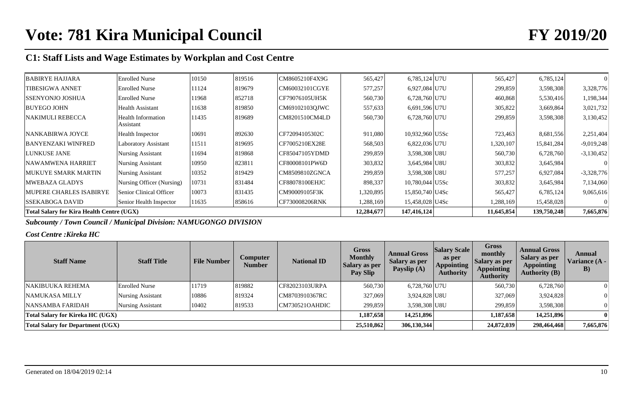| <b>BABIRYE HAJJARA</b>                           | <b>Enrolled Nurse</b>                  | 10150 | 819516 | CM8605210F4X9G | 565,427    | 6,785,124 U7U   | 565,427    | 6,785,124   |              |
|--------------------------------------------------|----------------------------------------|-------|--------|----------------|------------|-----------------|------------|-------------|--------------|
| <b>TIBESIGWA ANNET</b>                           | <b>Enrolled Nurse</b>                  | 11124 | 819679 | CM60032101CGYE | 577,257    | 6,927,084 U7U   | 299,859    | 3,598,308   | 3,328,776    |
| <b>SSENYONJO JOSHUA</b>                          | <b>Enrolled Nurse</b>                  | 1968  | 852718 | CF79076105UH5K | 560,730    | 6,728,760 U7U   | 460,868    | 5,530,416   | 1,198,344    |
| <b>BUYEGO JOHN</b>                               | Health Assistant                       | 1638  | 819850 | CM69102103OJWC | 557,633    | 6,691,596 U7U   | 305,822    | 3,669,864   | 3,021,732    |
| <b>NAKIMULI REBECCA</b>                          | <b>Health Information</b><br>Assistant | 11435 | 819689 | CM8201510CM4LD | 560,730    | 6,728,760 U7U   | 299,859    | 3,598,308   | 3,130,452    |
|                                                  |                                        |       |        |                |            |                 |            |             |              |
| NANKABIRWA JOYCE                                 | <b>Health Inspector</b>                | 10691 | 892630 | CF72094105302C | 911,080    | 10,932,960 U5Sc | 723,463    | 8,681,556   | 2,251,404    |
| <b>BANYENZAKI WINFRED</b>                        | Laboratory Assistant                   | 11511 | 819695 | CF7005210EX28E | 568,503    | 6,822,036 U7U   | 1,320,107  | 15,841,284  | $-9,019,248$ |
| LUNKUSE JANE                                     | Nursing Assistant                      | 11694 | 819868 | CF85047105YDMD | 299,859    | 3,598,308 U8U   | 560,730    | 6,728,760   | $-3,130,452$ |
| <b>NAWAMWENA HARRIET</b>                         | Nursing Assistant                      | 10950 | 823811 | CF80008101PW6D | 303,832    | 3,645,984 U8U   | 303,832    | 3,645,984   |              |
| <b>MUKUYE SMARK MARTIN</b>                       | Nursing Assistant                      | 10352 | 819429 | CM8509810ZGNCA | 299,859    | 3,598,308 U8U   | 577,257    | 6,927,084   | $-3,328,776$ |
| <b>MWEBAZA GLADYS</b>                            | Nursing Officer (Nursing)              | 10731 | 831484 | CF88078100EHJC | 898,337    | 10,780,044 U5Sc | 303,832    | 3,645,984   | 7,134,060    |
| <b>MUPERE CHARLES ISABIRYE</b>                   | Senior Clinical Officer                | 10073 | 831435 | CM90009105F3K  | 1,320,895  | 15,850,740 U4Sc | 565,427    | 6,785,124   | 9,065,616    |
| <b>SSEKABOGA DAVID</b>                           | Senior Health Inspector                | 11635 | 858616 | CF730008206RNK | 1,288,169  | 15,458,028 U4Sc | 1,288,169  | 15,458,028  |              |
| <b>Total Salary for Kira Health Centre (UGX)</b> |                                        |       |        |                | 12,284,677 | 147,416,124     | 11,645,854 | 139,750,248 | 7,665,876    |

*Subcounty / Town Council / Municipal Division: NAMUGONGO DIVISION*

## *Cost Centre :Kireka HC*

| <b>Staff Name</b>                        | <b>Staff Title</b>       | <b>File Number</b> | Computer<br><b>Number</b> | <b>National ID</b> | <b>Gross</b><br><b>Monthly</b><br>Salary as per<br>Pay Slip | <b>Annual Gross</b><br><b>Salary as per</b><br>Payslip (A) | <b>Salary Scale</b><br>as per<br><b>Appointing</b><br><b>Authority</b> | <b>Gross</b><br>monthly<br>Salary as per<br><b>Appointing</b><br><b>Authority</b> | <b>Annual Gross</b><br>Salary as per<br><b>Appointing</b><br><b>Authority (B)</b> | Annual<br>Variance (A -<br>B) |
|------------------------------------------|--------------------------|--------------------|---------------------------|--------------------|-------------------------------------------------------------|------------------------------------------------------------|------------------------------------------------------------------------|-----------------------------------------------------------------------------------|-----------------------------------------------------------------------------------|-------------------------------|
| <b>NAKIBUUKA REHEMA</b>                  | <b>Enrolled Nurse</b>    | 11719              | 819882                    | CF82023103URPA     | 560,730                                                     | 6,728,760 U7U                                              |                                                                        | 560,730                                                                           | 6,728,760                                                                         | $\Omega$                      |
| NAMUKASA MILLY                           | <b>Nursing Assistant</b> | 10886              | 819324                    | CM8703910367RC     | 327,069                                                     | 3,924,828 U8U                                              |                                                                        | 327,069                                                                           | 3,924,828                                                                         | $\Omega$                      |
| NANSAMBA FARIDAH                         | Nursing Assistant        | 10402              | 819533                    | CM730521OAHDIC     | 299,859                                                     | 3,598,308 U8U                                              |                                                                        | 299,859                                                                           | 3,598,308                                                                         | $\Omega$                      |
| Total Salary for Kireka HC (UGX)         |                          |                    |                           |                    | 1,187,658                                                   | 14,251,896                                                 |                                                                        | 1,187,658                                                                         | 14,251,896                                                                        | $\mathbf{u}$                  |
| <b>Total Salary for Department (UGX)</b> |                          |                    |                           |                    | 25,510,862                                                  | 306,130,344                                                |                                                                        | 24,872,039                                                                        | 298,464,468                                                                       | 7,665,876                     |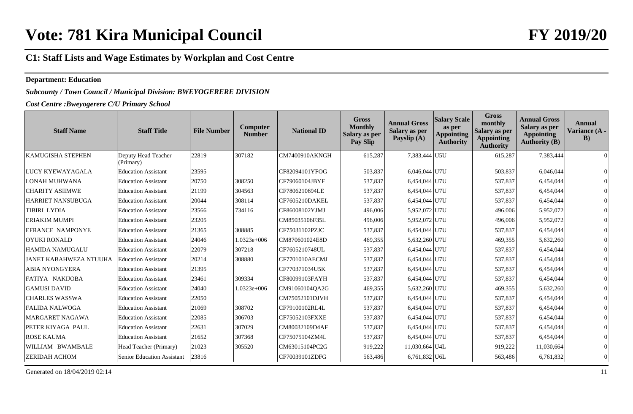#### **Department: Education**

## *Subcounty / Town Council / Municipal Division: BWEYOGERERE DIVISION*

*Cost Centre :Bweyogerere C/U Primary School*

| <b>Staff Name</b>             | <b>Staff Title</b>               | <b>File Number</b> | Computer<br><b>Number</b> | <b>National ID</b>    | <b>Gross</b><br><b>Monthly</b><br><b>Salary as per</b><br><b>Pay Slip</b> | <b>Annual Gross</b><br>Salary as per<br>Payslip (A) | <b>Salary Scale</b><br>as per<br><b>Appointing</b><br><b>Authority</b> | <b>Gross</b><br>monthly<br>Salary as per<br><b>Appointing</b><br><b>Authority</b> | <b>Annual Gross</b><br>Salary as per<br><b>Appointing</b><br><b>Authority (B)</b> | Annual<br>Variance (A -<br>B) |
|-------------------------------|----------------------------------|--------------------|---------------------------|-----------------------|---------------------------------------------------------------------------|-----------------------------------------------------|------------------------------------------------------------------------|-----------------------------------------------------------------------------------|-----------------------------------------------------------------------------------|-------------------------------|
| KAMUGISHA STEPHEN             | Deputy Head Teacher<br>(Primary) | 22819              | 307182                    | CM7400910AKNGH        | 615,287                                                                   | 7,383,444 U5U                                       |                                                                        | 615,287                                                                           | 7,383,444                                                                         | $\Omega$                      |
| LUCY KYEWAYAGALA              | <b>Education Assistant</b>       | 23595              |                           | CF82094101YFOG        | 503,837                                                                   | 6,046,044 U7U                                       |                                                                        | 503,837                                                                           | 6,046,044                                                                         |                               |
| <b>LONAH MUHWANA</b>          | <b>Education Assistant</b>       | 20750              | 308250                    | CF79060104JBYF        | 537,837                                                                   | 6,454,044 U7U                                       |                                                                        | 537,837                                                                           | 6,454,044                                                                         | $\Omega$                      |
| <b>CHARITY ASIIMWE</b>        | <b>Education Assistant</b>       | 21199              | 304563                    | CF7806210694LE        | 537,837                                                                   | 6,454,044 U7U                                       |                                                                        | 537,837                                                                           | 6,454,044                                                                         | 0                             |
| HARRIET NANSUBUGA             | <b>Education Assistant</b>       | 20044              | 308114                    | CF7605210DAKEL        | 537,837                                                                   | 6,454,044 U7U                                       |                                                                        | 537,837                                                                           | 6,454,044                                                                         | $\Omega$                      |
| <b>TIBIRI LYDIA</b>           | <b>Education Assistant</b>       | 23566              | 734116                    | CF86008102YJMJ        | 496,006                                                                   | 5,952,072 U7U                                       |                                                                        | 496,006                                                                           | 5,952,072                                                                         |                               |
| <b>ERIAKIM MUMPI</b>          | <b>Education Assistant</b>       | 23205              |                           | CM85035106F35L        | 496,006                                                                   | 5,952,072 U7U                                       |                                                                        | 496,006                                                                           | 5,952,072                                                                         |                               |
| <b>EFRANCE NAMPONYE</b>       | <b>Education Assistant</b>       | 21365              | 308885                    | CF75031102PZJC        | 537,837                                                                   | 6,454,044 U7U                                       |                                                                        | 537,837                                                                           | 6,454,044                                                                         |                               |
| <b>OYUKI RONALD</b>           | <b>Education Assistant</b>       | 24046              | $1.0323e+006$             | CM870601024E8D        | 469,355                                                                   | 5,632,260 U7U                                       |                                                                        | 469,355                                                                           | 5,632,260                                                                         |                               |
| <b>HAMIDA NAMUGALU</b>        | <b>Education Assistant</b>       | 22079              | 307218                    | CF7605210748UL        | 537,837                                                                   | 6,454,044 U7U                                       |                                                                        | 537,837                                                                           | 6,454,044                                                                         | $\Omega$                      |
| <b>JANET KABAHWEZA NTUUHA</b> | <b>Education Assistant</b>       | 20214              | 308880                    | <b>CF7701010AECMJ</b> | 537,837                                                                   | 6,454,044 U7U                                       |                                                                        | 537,837                                                                           | 6,454,044                                                                         | 0                             |
| <b>ABIA NYONGYERA</b>         | <b>Education Assistant</b>       | 21395              |                           | CF770371034U5K        | 537,837                                                                   | 6,454,044 U7U                                       |                                                                        | 537,837                                                                           | 6,454,044                                                                         | $\Omega$                      |
| FATIYA NAKIJOBA               | <b>Education Assistant</b>       | 23461              | 309334                    | CF80099103FAYH        | 537,837                                                                   | 6,454,044 U7U                                       |                                                                        | 537,837                                                                           | 6,454,044                                                                         | $\Omega$                      |
| <b>GAMUSI DAVID</b>           | <b>Education Assistant</b>       | 24040              | $1.0323e+006$             | CM91060104QA2G        | 469,355                                                                   | 5,632,260 U7U                                       |                                                                        | 469,355                                                                           | 5,632,260                                                                         | $\Omega$                      |
| <b>CHARLES WASSWA</b>         | <b>Education Assistant</b>       | 22050              |                           | CM75052101DJVH        | 537,837                                                                   | 6,454,044 U7U                                       |                                                                        | 537,837                                                                           | 6,454,044                                                                         |                               |
| <b>FALIDA NALWOGA</b>         | <b>Education Assistant</b>       | 21069              | 308702                    | CF79100102RL4L        | 537,837                                                                   | 6,454,044 U7U                                       |                                                                        | 537,837                                                                           | 6,454,044                                                                         |                               |
| <b>MARGARET NAGAWA</b>        | <b>Education Assistant</b>       | 22085              | 306703                    | CF75052103FXXE        | 537,837                                                                   | 6,454,044 U7U                                       |                                                                        | 537,837                                                                           | 6,454,044                                                                         |                               |
| PETER KIYAGA PAUL             | <b>Education Assistant</b>       | 22631              | 307029                    | CM80032109D4AF        | 537,837                                                                   | 6,454,044 U7U                                       |                                                                        | 537,837                                                                           | 6,454,044                                                                         | $\Omega$                      |
| <b>ROSE KAUMA</b>             | <b>Education Assistant</b>       | 21652              | 307368                    | CF75075104ZM4L        | 537,837                                                                   | 6,454,044 U7U                                       |                                                                        | 537,837                                                                           | 6,454,044                                                                         | $\Omega$                      |
| WILLIAM BWAMBALE              | Head Teacher (Primary)           | 21023              | 305520                    | CM63015104PC2G        | 919,222                                                                   | 11,030,664 U4L                                      |                                                                        | 919,222                                                                           | 11,030,664                                                                        | $\Omega$                      |
| <b>ZERIDAH ACHOM</b>          | Senior Education Assistant       | 23816              |                           | CF70039101ZDFG        | 563,486                                                                   | 6,761,832 U6L                                       |                                                                        | 563,486                                                                           | 6,761,832                                                                         | $\overline{0}$                |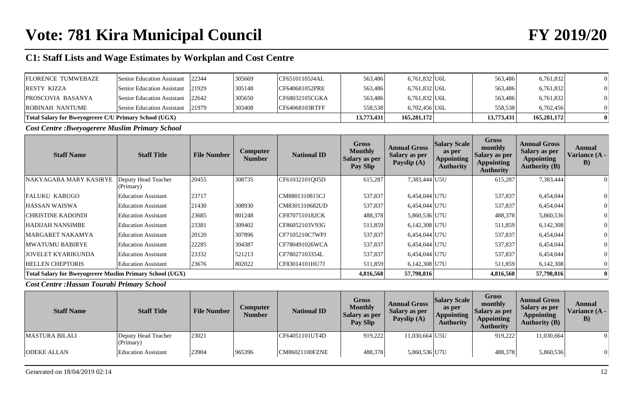| <b>FLORENCE TUMWEBAZE</b>                             | Senior Education Assistant 22344 | 305669 | CF65101105J4AL              | 563,486    | 6,761,832 U6L   | 563,486    | 6,761,832   |  |
|-------------------------------------------------------|----------------------------------|--------|-----------------------------|------------|-----------------|------------|-------------|--|
| <b>RESTY KIZZA</b>                                    | Senior Education Assistant 21929 | 305148 | CF640681052PRE              | 563.486    | 6,761,832 U6L   | 563,486    | 6,761,832   |  |
| <b>PROSCOVIA BASANYA</b>                              | Senior Education Assistant 22642 | 305650 | CF68032105CGKA              | 563,486    | $6,761,832$ U6L | 563,486    | 6,761,832   |  |
| ROBINAH NANTUME                                       | Senior Education Assistant 21979 | 303408 | $\overline{CF64068103RTFF}$ | 558,538    | 6,702,456 U6L   | 558,538    | 6,702,456   |  |
| Total Salary for Bweyogerere C/U Primary School (UGX) |                                  |        |                             | 13,773,431 | 165,281,172     | 13,773,431 | 165,281,172 |  |

*Cost Centre :Bweyogerere Muslim Primary School*

| <b>Staff Name</b>                                        | <b>Staff Title</b>               | <b>File Number</b> | Computer<br><b>Number</b> | <b>National ID</b> | <b>Gross</b><br><b>Monthly</b><br><b>Salary as per</b><br>Pay Slip | <b>Annual Gross</b><br><b>Salary as per</b><br>Payslip (A) | <b>Salary Scale</b><br>as per<br>Appointing<br><b>Authority</b> | Gross<br>monthly<br>Salary as per<br><b>Appointing</b><br><b>Authority</b> | <b>Annual Gross</b><br><b>Salary as per</b><br><b>Appointing</b><br><b>Authority (B)</b> | <b>Annual</b><br>Variance (A -<br>$\bf{B}$ |
|----------------------------------------------------------|----------------------------------|--------------------|---------------------------|--------------------|--------------------------------------------------------------------|------------------------------------------------------------|-----------------------------------------------------------------|----------------------------------------------------------------------------|------------------------------------------------------------------------------------------|--------------------------------------------|
| NAKYAGABA MARY KASIRYE                                   | Deputy Head Teacher<br>(Primary) | 20455              | 308735                    | CF61032101Q05D     | 615,287                                                            | 7,383,444 U5U                                              |                                                                 | 615,287                                                                    | 7,383,444                                                                                | 0                                          |
| <b>FALUKU KABUGO</b>                                     | <b>Education Assistant</b>       | 23717              |                           | CM8801310815CJ     | 537,837                                                            | 6,454,044 U7U                                              |                                                                 | 537,837                                                                    | 6,454,044                                                                                |                                            |
| <b>HASSAN WAISWA</b>                                     | <b>Education Assistant</b>       | 21430              | 308930                    | CM8301310682UD     | 537,837                                                            | 6,454,044 U7U                                              |                                                                 | 537,837                                                                    | 6,454,044                                                                                |                                            |
| CHRISTINE KADONDI                                        | <b>Education Assistant</b>       | 23685              | 801248                    | CF8707510182CK     | 488,378                                                            | 5,860,536 U7U                                              |                                                                 | 488,378                                                                    | 5,860,536                                                                                |                                            |
| HADIJAH NANSIMBE                                         | <b>Education Assistant</b>       | 23381              | 309402                    | CF86052103V93G     | 511,859                                                            | 6,142,308 U7U                                              |                                                                 | 511,859                                                                    | 6,142,308                                                                                |                                            |
| <b>MARGARET NAKAMYA</b>                                  | <b>Education Assistant</b>       | 20120              | 307896                    | CF7105210C7WPJ     | 537,837                                                            | 6,454,044 U7U                                              |                                                                 | 537,837                                                                    | 6,454,044                                                                                |                                            |
| MWATUMU BABIRYE                                          | <b>Education Assistant</b>       | 22285              | 304387                    | CF780491026WCA     | 537,837                                                            | 6,454,044 U7U                                              |                                                                 | 537,837                                                                    | 6,454,044                                                                                |                                            |
| <b>JOVELET KYARIKUNDA</b>                                | <b>Education Assistant</b>       | 23332              | 521213                    | CF78027103354L     | 537,837                                                            | 6,454,044 U7U                                              |                                                                 | 537,837                                                                    | 6,454,044                                                                                |                                            |
| <b>HELLEN CHEPTORIS</b>                                  | <b>Education Assistant</b>       | 23676              | 802022                    | CF83014101HU7J     | 511,859                                                            | 6,142,308 U7U                                              |                                                                 | 511,859                                                                    | 6,142,308                                                                                |                                            |
| Total Salary for Bweyogerere Muslim Primary School (UGX) |                                  |                    |                           |                    | 4,816,568                                                          | 57,798,816                                                 |                                                                 | 4,816,568                                                                  | 57,798,816                                                                               |                                            |

*Cost Centre :Hassan Tourabi Primary School*

| <b>Staff Name</b>     | <b>Staff Title</b>               | <b>File Number</b> | <b>Computer</b><br><b>Number</b> | <b>National ID</b> | Gross<br><b>Monthly</b><br>Salary as per<br><b>Pay Slip</b> | <b>Annual Gross</b><br>Salary as per<br>Payslip $(A)$ | <b>Salary Scale</b><br>as per<br><b>Appointing</b><br><b>Authority</b> | <b>Gross</b><br>monthly<br>Salary as per<br><b>Appointing</b><br><b>Authority</b> | <b>Annual Gross</b><br>Salary as per<br><b>Appointing</b><br>Authority $(B)$ | Annual<br>Variance (A -<br>$\bf{B}$ |
|-----------------------|----------------------------------|--------------------|----------------------------------|--------------------|-------------------------------------------------------------|-------------------------------------------------------|------------------------------------------------------------------------|-----------------------------------------------------------------------------------|------------------------------------------------------------------------------|-------------------------------------|
| <b>MASTURA BILALI</b> | Deputy Head Teacher<br>(Primary) | 23021              |                                  | CF64051101UT4D     | 919,222                                                     | 11.030.664 U5U                                        |                                                                        | 919,222                                                                           | 11,030,664                                                                   |                                     |
| <b>ODEKE ALLAN</b>    | <b>Education Assistant</b>       | 23904              | 965396                           | CM86021100FZNE     | 488,378                                                     | 5,860,536 U7U                                         |                                                                        | 488,378                                                                           | 5,860,536                                                                    | $\theta$                            |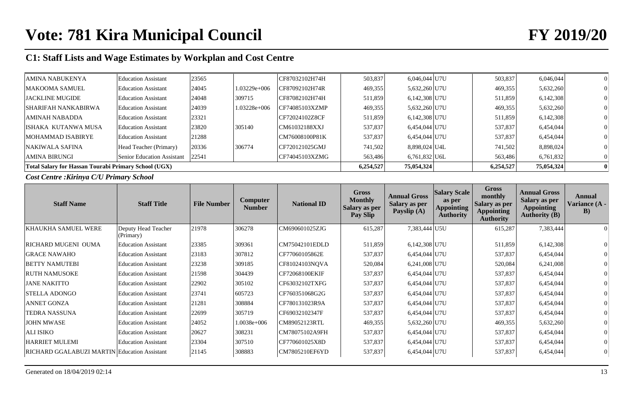| Total Salary for Hassan Tourabi Primary School (UGX) |                            |       |                |                 | 6,254,527 | 75,054,324      | 6,254,527 | 75,054,324 |   |
|------------------------------------------------------|----------------------------|-------|----------------|-----------------|-----------|-----------------|-----------|------------|---|
| <b>AMINA BIRUNGI</b>                                 | Senior Education Assistant | 22541 |                | CF74045103XZMG  | 563,486   | $6,761,832$ U6L | 563,486   | 6,761,832  |   |
| <b>NAKIWALA SAFINA</b>                               | Head Teacher (Primary)     | 20336 | 306774         | ICF720121025GMJ | 741,502   | 8,898,024 U4L   | 741,502   | 8,898,024  |   |
| MOHAMMAD ISABIRYE                                    | <b>Education Assistant</b> | 21288 |                | CM76008100P81K  | 537,837   | 6,454,044 U7U   | 537,837   | 6,454,044  |   |
| ISHAKA KUTANWA MUSA                                  | Education Assistant        | 23820 | 305140         | CM61032188XXJ   | 537,837   | 6,454,044 U7U   | 537,837   | 6,454,044  |   |
| AMINAH NABADDA                                       | <b>Education Assistant</b> | 23321 |                | ICF72024102Z8CF | 511,859   | 6,142,308 U7U   | 511,859   | 6,142,308  |   |
| <b>SHARIFAH NANKABIRWA</b>                           | <b>Education Assistant</b> | 24039 | $1.03228e+006$ | CF74085103XZMP  | 469,355   | 5,632,260 U7U   | 469,355   | 5,632,260  |   |
| <b>JACKLINE MUGIDE</b>                               | <b>Education Assistant</b> | 24048 | 309715         | ICF87082102H74H | 511,859   | 6,142,308 U7U   | 511,859   | 6,142,308  |   |
| <b>MAKOOMA SAMUEL</b>                                | <b>Education Assistant</b> | 24045 | $1.03229e+006$ | CF87092102H74R  | 469,355   | 5,632,260 U7U   | 469,355   | 5,632,260  |   |
| AMINA NABUKENYA                                      | <b>Education Assistant</b> | 23565 |                | CF87032102H74H  | 503,837   | 6,046,044 U7U   | 503,837   | 6,046,044  | 0 |

*Cost Centre :Kirinya C/U Primary School*

| <b>Staff Name</b>                                   | <b>Staff Title</b>               | <b>File Number</b> | <b>Computer</b><br><b>Number</b> | <b>National ID</b> | Gross<br><b>Monthly</b><br><b>Salary as per</b><br><b>Pay Slip</b> | <b>Annual Gross</b><br>Salary as per<br>Payslip (A) | <b>Salary Scale</b><br>as per<br><b>Appointing</b><br><b>Authority</b> | <b>Gross</b><br>monthly<br>Salary as per<br><b>Appointing</b><br><b>Authority</b> | <b>Annual Gross</b><br><b>Salary as per</b><br><b>Appointing</b><br><b>Authority (B)</b> | Annual<br>Variance (A -<br>B) |
|-----------------------------------------------------|----------------------------------|--------------------|----------------------------------|--------------------|--------------------------------------------------------------------|-----------------------------------------------------|------------------------------------------------------------------------|-----------------------------------------------------------------------------------|------------------------------------------------------------------------------------------|-------------------------------|
| KHAUKHA SAMUEL WERE                                 | Deputy Head Teacher<br>(Primary) | 21978              | 306278                           | CM690601025ZJG     | 615,287                                                            | 7,383,444 U5U                                       |                                                                        | 615,287                                                                           | 7,383,444                                                                                |                               |
| <b>RICHARD MUGENI OUMA</b>                          | <b>Education Assistant</b>       | 23385              | 309361                           | CM75042101EDLD     | 511,859                                                            | $6,142,308$ U7U                                     |                                                                        | 511,859                                                                           | 6,142,308                                                                                |                               |
| <b>GRACE NAWAHO</b>                                 | <b>Education Assistant</b>       | 23183              | 307812                           | CF77060105862E     | 537,837                                                            | 6,454,044 U7U                                       |                                                                        | 537,837                                                                           | 6,454,044                                                                                |                               |
| <b>BETTY NAMUTEBI</b>                               | <b>Education Assistant</b>       | 23238              | 309185                           | CF81024103NQVA     | 520,084                                                            | $6,241,008$ U7U                                     |                                                                        | 520,084                                                                           | 6,241,008                                                                                |                               |
| <b>RUTH NAMUSOKE</b>                                | <b>Education Assistant</b>       | 21598              | 304439                           | CF72068100EKIF     | 537,837                                                            | 6,454,044 U7U                                       |                                                                        | 537,837                                                                           | 6,454,044                                                                                |                               |
| <b>JANE NAKITTO</b>                                 | <b>Education Assistant</b>       | 22902              | 305102                           | CF63032102TXFG     | 537,837                                                            | 6,454,044 U7U                                       |                                                                        | 537,837                                                                           | 6,454,044                                                                                |                               |
| <b>STELLA ADONGO</b>                                | <b>Education Assistant</b>       | 23741              | 605723                           | CF760351068G2G     | 537,837                                                            | 6,454,044 U7U                                       |                                                                        | 537,837                                                                           | 6,454,044                                                                                |                               |
| <b>ANNET GONZA</b>                                  | <b>Education Assistant</b>       | 21281              | 308884                           | CF780131023R9A     | 537,837                                                            | 6,454,044 U7U                                       |                                                                        | 537,837                                                                           | 6,454,044                                                                                |                               |
| <b>TEDRA NASSUNA</b>                                | <b>Education Assistant</b>       | 22699              | 305719                           | CF69032102347F     | 537,837                                                            | 6,454,044 U7U                                       |                                                                        | 537,837                                                                           | 6,454,044                                                                                |                               |
| <b>JOHN MWASE</b>                                   | <b>Education Assistant</b>       | 24052              | 1.0038e+006                      | CM89052123RTL      | 469,355                                                            | 5,632,260 U7U                                       |                                                                        | 469,355                                                                           | 5,632,260                                                                                |                               |
| <b>ALI ISIKO</b>                                    | <b>Education Assistant</b>       | 20627              | 308231                           | CM78075102A9FH     | 537,837                                                            | 6,454,044 U7U                                       |                                                                        | 537,837                                                                           | 6,454,044                                                                                |                               |
| <b>HARRIET MULEMI</b>                               | <b>Education Assistant</b>       | 23304              | 307510                           | CF770601025X8D     | 537,837                                                            | 6,454,044 U7U                                       |                                                                        | 537,837                                                                           | 6,454,044                                                                                |                               |
| <b>RICHARD GGALABUZI MARTIN Education Assistant</b> |                                  | 21145              | 308883                           | CM7805210EF6YD     | 537,837                                                            | 6,454,044 U7U                                       |                                                                        | 537,837                                                                           | 6,454,044                                                                                |                               |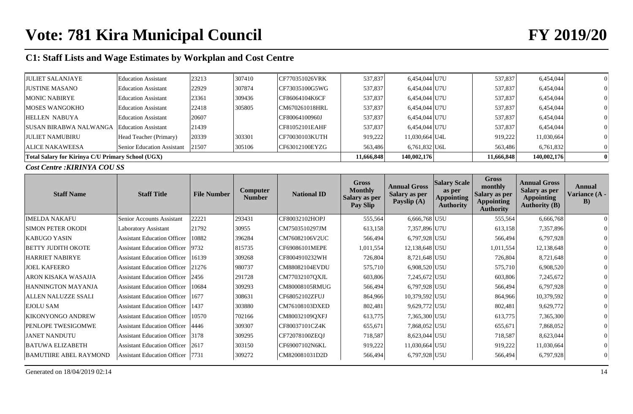| <b>JULIET SALANJAYE</b>                           | <b>Education Assistant</b> | 23213 | 307410 | CF770351026VRK | 537,837    | 6,454,044 U7U   | 537,837    | 6,454,044   |  |
|---------------------------------------------------|----------------------------|-------|--------|----------------|------------|-----------------|------------|-------------|--|
| <b>JUSTINE MASANO</b>                             | <b>Education Assistant</b> | 22929 | 307874 | CF73035100G5WG | 537.837    | 6,454,044 U7U   | 537,837    | 6,454,044   |  |
| MONIC NABIRYE                                     | <b>Education Assistant</b> | 23361 | 309436 | CF86064104K6CF | 537,837    | 6,454,044 U7U   | 537,837    | 6,454,044   |  |
| <b>MOSES WANGOKHO</b>                             | <b>Education Assistant</b> | 22418 | 305805 | CM670261018HRL | 537,837    | 6,454,044 U7U   | 537,837    | 6,454,044   |  |
| <b>HELLEN NABUYA</b>                              | <b>Education Assistant</b> | 20607 |        | CF80064100960J | 537,837    | 6,454,044 U7U   | 537,837    | 6,454,044   |  |
| <b>SUSAN BIRABWA NALWANGA</b>                     | Education Assistant        | 21439 |        | CF81052101EAHF | 537,837    | 6,454,044 U7U   | 537,837    | 6,454,044   |  |
| <b>JULIET NAMUBIRU</b>                            | Head Teacher (Primary)     | 20339 | 303301 | CF70030103KUTH | 919,222    | 11,030,664 U4L  | 919,222    | 11,030,664  |  |
| <b>ALICE NAKAWEESA</b>                            | Senior Education Assistant | 21507 | 305106 | CF63012100EYZG | 563,486    | $6,761,832$ U6L | 563,486    | 6,761,832   |  |
| Total Salary for Kirinya C/U Primary School (UGX) |                            |       |        |                | 11,666,848 | 140,002,176     | 11,666,848 | 140,002,176 |  |

*Cost Centre :KIRINYA COU SS*

| <b>Staff Name</b>            | <b>Staff Title</b>                 | <b>File Number</b> | Computer<br><b>Number</b> | <b>National ID</b> | <b>Gross</b><br><b>Monthly</b><br><b>Salary as per</b><br>Pay Slip | <b>Annual Gross</b><br><b>Salary as per</b><br>Payslip (A) | <b>Salary Scale</b><br>as per<br><b>Appointing</b><br><b>Authority</b> | <b>Gross</b><br>monthly<br><b>Salary as per</b><br><b>Appointing</b><br><b>Authority</b> | <b>Annual Gross</b><br><b>Salary as per</b><br><b>Appointing</b><br><b>Authority</b> (B) | Annual<br>Variance (A -<br>B) |
|------------------------------|------------------------------------|--------------------|---------------------------|--------------------|--------------------------------------------------------------------|------------------------------------------------------------|------------------------------------------------------------------------|------------------------------------------------------------------------------------------|------------------------------------------------------------------------------------------|-------------------------------|
| <b>IMELDA NAKAFU</b>         | <b>Senior Accounts Assistant</b>   | 22221              | 293431                    | CF80032102HOPJ     | 555,564                                                            | 6,666,768 U5U                                              |                                                                        | 555,564                                                                                  | 6,666,768                                                                                |                               |
| <b>SIMON PETER OKODI</b>     | <b>Laboratory Assistant</b>        | 21792              | 30955                     | CM7503510297JM     | 613,158                                                            | 7,357,896 U7U                                              |                                                                        | 613,158                                                                                  | 7,357,896                                                                                |                               |
| <b>KABUGO YASIN</b>          | <b>Assistant Education Officer</b> | 10882              | 396284                    | CM76082106V2UC     | 566,494                                                            | 6,797,928 U5U                                              |                                                                        | 566,494                                                                                  | 6,797,928                                                                                |                               |
| <b>BETTY JUDITH OKOTE</b>    | <b>Assistant Education Officer</b> | 9732               | 815735                    | CF69086101MEPE     | 1,011,554                                                          | 12,138,648 U5U                                             |                                                                        | 1,011,554                                                                                | 12,138,648                                                                               |                               |
| <b>HARRIET NABIRYE</b>       | <b>Assistant Education Officer</b> | 16139              | 309268                    | CF8004910232WH     | 726,804                                                            | 8,721,648 U5U                                              |                                                                        | 726,804                                                                                  | 8,721,648                                                                                |                               |
| <b>JOEL KAFEERO</b>          | <b>Assistant Education Officer</b> | 21276              | 980737                    | CM88082104EVDU     | 575,710                                                            | 6,908,520 U5U                                              |                                                                        | 575,710                                                                                  | 6,908,520                                                                                |                               |
| ARON KISAKA WASAJJA          | <b>Assistant Education Officer</b> | 2456               | 291728                    | CM77032107QXJL     | 603,806                                                            | 7,245,672 U5U                                              |                                                                        | 603,806                                                                                  | 7,245,672                                                                                |                               |
| HANNINGTON MAYANJA           | <b>Assistant Education Officer</b> | 10684              | 309293                    | CM80008105RMUG     | 566,494                                                            | 6,797,928 U5U                                              |                                                                        | 566,494                                                                                  | 6,797,928                                                                                |                               |
| ALLEN NALUZZE SSALI          | <b>Assistant Education Officer</b> | 1677               | 308631                    | CF68052102ZFUJ     | 864,966                                                            | 10,379,592 U5U                                             |                                                                        | 864,966                                                                                  | 10,379,592                                                                               |                               |
| <b>EJOLU SAM</b>             | <b>Assistant Education Officer</b> | 1437               | 303880                    | CM76108103DXED     | 802,481                                                            | 9,629,772 U5U                                              |                                                                        | 802,481                                                                                  | 9,629,772                                                                                |                               |
| <b>KIKONYONGO ANDREW</b>     | <b>Assistant Education Officer</b> | 10570              | 702166                    | CM80032109QXFJ     | 613,775                                                            | 7,365,300 U5U                                              |                                                                        | 613,775                                                                                  | 7,365,300                                                                                |                               |
| PENLOPE TWESIGOMWE           | <b>Assistant Education Officer</b> | 4446               | 309307                    | CF80037101CZ4K     | 655,671                                                            | 7,868,052 U5U                                              |                                                                        | 655,671                                                                                  | 7,868,052                                                                                |                               |
| <b>JANET NANDUTU</b>         | <b>Assistant Education Officer</b> | 3178               | 309295                    | CF72078100ZEOJ     | 718,587                                                            | 8,623,044 U5U                                              |                                                                        | 718,587                                                                                  | 8,623,044                                                                                |                               |
| <b>BATUWA ELIZABETH</b>      | <b>Assistant Education Officer</b> | 2617               | 303150                    | CF69007102N6KL     | 919,222                                                            | $11,030,664$ U5U                                           |                                                                        | 919,222                                                                                  | 11,030,664                                                                               |                               |
| <b>BAMUTHRE ABEL RAYMOND</b> | <b>Assistant Education Officer</b> | 7731               | 309272                    | CM820081031D2D     | 566,494                                                            | 6,797,928 U5U                                              |                                                                        | 566,494                                                                                  | 6,797,928                                                                                |                               |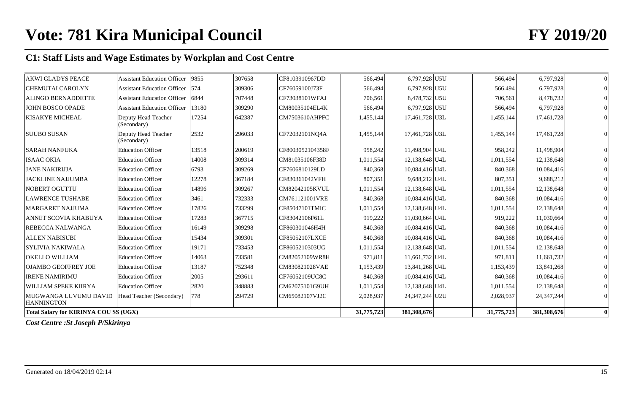| <b>AKWI GLADYS PEACE</b>                     | <b>Assistant Education Officer</b> | 9855  | 307658 | CF8103910967DD        | 566,494    | 6,797,928 U5U  | 566,494    | 6,797,928    | $\overline{0}$ |
|----------------------------------------------|------------------------------------|-------|--------|-----------------------|------------|----------------|------------|--------------|----------------|
| <b>CHEMUTAI CAROLYN</b>                      | <b>Assistant Education Officer</b> | 574   | 309306 | CF76059100J73F        | 566,494    | 6,797,928 U5U  | 566,494    | 6,797,928    |                |
| <b>ALINGO BERNADDETTE</b>                    | <b>Assistant Education Officer</b> | 6844  | 707448 | CF73038101WFAJ        | 706,561    | 8,478,732 U5U  | 706,561    | 8,478,732    |                |
| <b>JOHN BOSCO OPADE</b>                      | <b>Assistant Education Officer</b> | 13180 | 309290 | CM80035104EL4K        | 566,494    | 6,797,928 U5U  | 566,494    | 6,797,928    |                |
| <b>KISAKYE MICHEAL</b>                       | Deputy Head Teacher<br>(Secondary) | 17254 | 642387 | CM7503610AHPFC        | 1,455,144  | 17,461,728 U3L | 1,455,144  | 17,461,728   |                |
| <b>SUUBO SUSAN</b>                           | Deputy Head Teacher<br>(Secondary) | 2532  | 296033 | CF72032101NO4A        | 1,455,144  | 17,461,728 U3L | 1,455,144  | 17,461,728   |                |
| <b>SARAH NANFUKA</b>                         | <b>Education Officer</b>           | 13518 | 200619 | CF8003052104358F      | 958,242    | 11,498,904 U4L | 958,242    | 11,498,904   |                |
| <b>ISAAC OKIA</b>                            | <b>Education Officer</b>           | 14008 | 309314 | CM81035106F38D        | 1,011,554  | 12,138,648 U4L | 1,011,554  | 12,138,648   |                |
| <b>JANE NAKIRIJJA</b>                        | <b>Education Officer</b>           | 6793  | 309269 | CF7606810129LD        | 840,368    | 10,084,416 U4L | 840,368    | 10,084,416   |                |
| <b>JACKLINE NAJJUMBA</b>                     | <b>Education Officer</b>           | 12278 | 367184 | CF830361042VFH        | 807,351    | 9,688,212 U4L  | 807,351    | 9,688,212    | $\Omega$       |
| NOBERT OGUTTU                                | <b>Education Officer</b>           | 14896 | 309267 | <b>CM82042105KVUL</b> | 1,011,554  | 12,138,648 U4L | 1,011,554  | 12,138,648   |                |
| <b>LAWRENCE TUSHABE</b>                      | <b>Education Officer</b>           | 3461  | 732333 | CM761121001VRE        | 840,368    | 10,084,416 U4L | 840,368    | 10,084,416   |                |
| <b>MARGARET NAJJUMA</b>                      | <b>Education Officer</b>           | 17826 | 733299 | CF85047101TMIC        | 1,011,554  | 12,138,648 U4L | 1,011,554  | 12,138,648   |                |
| ANNET SCOVIA KHABUYA                         | <b>Education Officer</b>           | 17283 | 367715 | CF83042106F61L        | 919,222    | 11,030,664 U4L | 919,222    | 11,030,664   |                |
| REBECCA NALWANGA                             | <b>Education Officer</b>           | 16149 | 309298 | CF860301046H4H        | 840,368    | 10,084,416 U4L | 840,368    | 10,084,416   |                |
| <b>ALLEN NABISUBI</b>                        | <b>Education Officer</b>           | 15434 | 309301 | CF85052107LXCE        | 840,368    | 10,084,416 U4L | 840,368    | 10,084,416   |                |
| <b>SYLIVIA NAKIWALA</b>                      | <b>Education Officer</b>           | 19171 | 733453 | CF8605210303UG        | 1,011,554  | 12,138,648 U4L | 1,011,554  | 12,138,648   |                |
| OKELLO WILLIAM                               | <b>Education Officer</b>           | 14063 | 733581 | CM82052109WR8H        | 971,811    | 11,661,732 U4L | 971,811    | 11,661,732   |                |
| <b>OJAMBO GEOFFREY JOE</b>                   | <b>Education Officer</b>           | 13187 | 752348 | CM830821028VAE        | 1,153,439  | 13,841,268 U4L | 1,153,439  | 13,841,268   |                |
| <b>IRENE NAMIRIMU</b>                        | <b>Education Officer</b>           | 2005  | 293611 | CF76052109UC8C        | 840,368    | 10,084,416 U4L | 840,368    | 10,084,416   |                |
| WILLIAM SPEKE KIIRYA                         | <b>Education Officer</b>           | 2820  | 348883 | CM62075101G9UH        | 1,011,554  | 12,138,648 U4L | 1,011,554  | 12,138,648   |                |
| MUGWANGA LUVUMU DAVID<br><b>HANNINGTON</b>   | Head Teacher (Secondary)           | 778   | 294729 | CM65082107VJ2C        | 2,028,937  | 24,347,244 U2U | 2,028,937  | 24, 347, 244 |                |
| <b>Total Salary for KIRINYA COU SS (UGX)</b> |                                    |       |        |                       | 31,775,723 | 381,308,676    | 31,775,723 | 381,308,676  | $\mathbf{0}$   |

*Cost Centre :St Joseph P/Skirinya*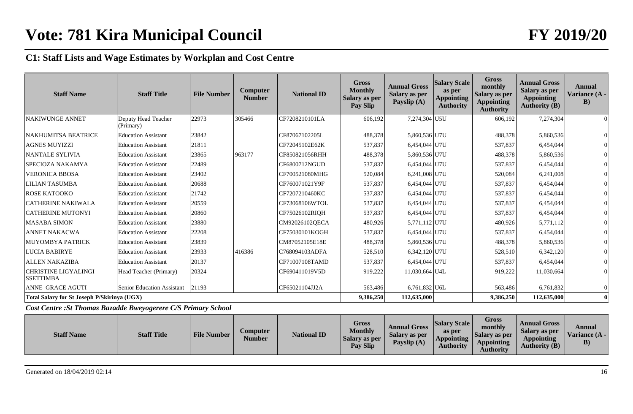| <b>Staff Name</b>                                  | <b>Staff Title</b>               | <b>File Number</b> | <b>Computer</b><br><b>Number</b> | <b>National ID</b> | <b>Gross</b><br><b>Monthly</b><br>Salary as per<br>Pay Slip | <b>Annual Gross</b><br>Salary as per<br>Payslip (A) | <b>Salary Scale</b><br>as per<br><b>Appointing</b><br><b>Authority</b> | <b>Gross</b><br>monthly<br>Salary as per<br><b>Appointing</b><br><b>Authority</b> | <b>Annual Gross</b><br>Salary as per<br><b>Appointing</b><br><b>Authority (B)</b> | <b>Annual</b><br>Variance (A -<br>B) |
|----------------------------------------------------|----------------------------------|--------------------|----------------------------------|--------------------|-------------------------------------------------------------|-----------------------------------------------------|------------------------------------------------------------------------|-----------------------------------------------------------------------------------|-----------------------------------------------------------------------------------|--------------------------------------|
| <b>NAKIWUNGE ANNET</b>                             | Deputy Head Teacher<br>(Primary) | 22973              | 305466                           | CF7208210101LA     | 606,192                                                     | 7,274,304 U5U                                       |                                                                        | 606,192                                                                           | 7,274,304                                                                         |                                      |
| <b>NAKHUMITSA BEATRICE</b>                         | <b>Education Assistant</b>       | 23842              |                                  | CF87067102205L     | 488,378                                                     | 5,860,536 U7U                                       |                                                                        | 488,378                                                                           | 5,860,536                                                                         |                                      |
| <b>AGNES MUYIZZI</b>                               | <b>Education Assistant</b>       | 21811              |                                  | CF72045102E62K     | 537,837                                                     | 6,454,044 U7U                                       |                                                                        | 537,837                                                                           | 6,454,044                                                                         |                                      |
| <b>NANTALE SYLIVIA</b>                             | <b>Education Assistant</b>       | 23865              | 963177                           | CF850821056RHH     | 488,378                                                     | 5,860,536 U7U                                       |                                                                        | 488,378                                                                           | 5,860,536                                                                         |                                      |
| SPECIOZA NAKAMYA                                   | <b>Education Assistant</b>       | 22489              |                                  | CF6800712NGUD      | 537,837                                                     | 6,454,044 U7U                                       |                                                                        | 537,837                                                                           | 6,454,044                                                                         |                                      |
| <b>VERONICA BBOSA</b>                              | <b>Education Assistant</b>       | 23402              |                                  | CF700521080MHG     | 520,084                                                     | 6,241,008 U7U                                       |                                                                        | 520,084                                                                           | 6,241,008                                                                         |                                      |
| <b>LILIAN TASUMBA</b>                              | <b>Education Assistant</b>       | 20688              |                                  | CF760071021Y9F     | 537,837                                                     | 6,454,044 U7U                                       |                                                                        | 537,837                                                                           | 6,454,044                                                                         |                                      |
| <b>ROSE KATOOKO</b>                                | <b>Education Assistant</b>       | 21742              |                                  | CF7207210460KC     | 537,837                                                     | 6,454,044 U7U                                       |                                                                        | 537,837                                                                           | 6,454,044                                                                         |                                      |
| <b>CATHERINE NAKIWALA</b>                          | <b>Education Assistant</b>       | 20559              |                                  | CF73068106WTOL     | 537,837                                                     | 6,454,044 U7U                                       |                                                                        | 537,837                                                                           | 6,454,044                                                                         |                                      |
| <b>CATHERINE MUTONYI</b>                           | <b>Education Assistant</b>       | 20860              |                                  | CF75026102RIQH     | 537,837                                                     | 6,454,044 U7U                                       |                                                                        | 537,837                                                                           | 6,454,044                                                                         |                                      |
| <b>MASABA SIMON</b>                                | <b>Education Assistant</b>       | 23880              |                                  | CM92026102QECA     | 480,926                                                     | 5,771,112 U7U                                       |                                                                        | 480,926                                                                           | 5,771,112                                                                         |                                      |
| <b>ANNET NAKACWA</b>                               | <b>Education Assistant</b>       | 22208              |                                  | CF75030101KOGH     | 537,837                                                     | 6,454,044 U7U                                       |                                                                        | 537,837                                                                           | 6,454,044                                                                         |                                      |
| MUYOMBYA PATRICK                                   | <b>Education Assistant</b>       | 23839              |                                  | CM87052105E18E     | 488,378                                                     | 5,860,536 U7U                                       |                                                                        | 488,378                                                                           | 5,860,536                                                                         |                                      |
| <b>LUCIA BABIRYE</b>                               | <b>Education Assistant</b>       | 23933              | 416386                           | C768094103ADFA     | 528,510                                                     | $6,342,120$ U7U                                     |                                                                        | 528,510                                                                           | 6,342,120                                                                         |                                      |
| <b>ALLEN NAKAZIBA</b>                              | <b>Education Assistant</b>       | 20137              |                                  | CF71007108TAMD     | 537,837                                                     | 6,454,044 U7U                                       |                                                                        | 537,837                                                                           | 6,454,044                                                                         |                                      |
| <b>CHRISTINE LIGYALINGI</b><br><b>SSETTIMBA</b>    | Head Teacher (Primary)           | 20324              |                                  | CF690411019V5D     | 919,222                                                     | 11,030,664 U4L                                      |                                                                        | 919,222                                                                           | 11,030,664                                                                        | $\Omega$                             |
| ANNE GRACE AGUTI                                   | Senior Education Assistant       | 21193              |                                  | CF65021104JJ2A     | 563,486                                                     | $6,761,832$ U6L                                     |                                                                        | 563,486                                                                           | 6,761,832                                                                         |                                      |
| <b>Total Salary for St Joseph P/Skirinya (UGX)</b> |                                  |                    |                                  |                    | 9,386,250                                                   | 112,635,000                                         |                                                                        | 9,386,250                                                                         | 112,635,000                                                                       | $\mathbf{0}$                         |

*Cost Centre :St Thomas Bazadde Bweyogerere C/S Primary School*

| <b>Staff Name</b> | <b>Staff Title</b> | <b>File Number</b> | Computer<br>Number | <b>National ID</b> | Gross<br><b>Monthly</b><br>Salary as per<br><b>Pay Slip</b> | <b>Annual Gross</b><br>Salary as per<br>Payslip (A) | <b>Salary Scale</b><br>as per<br>Appointing<br><b>Authority</b> | <b>Gross</b><br>monthly<br>Salary as per<br><b>Appointing</b><br>Authority | <b>Annual Gross</b><br>Salary as per<br><b>Appointing</b><br><b>Authority (B)</b> | Annual<br>Variance $(A - )$<br>$\bf{B}$ |
|-------------------|--------------------|--------------------|--------------------|--------------------|-------------------------------------------------------------|-----------------------------------------------------|-----------------------------------------------------------------|----------------------------------------------------------------------------|-----------------------------------------------------------------------------------|-----------------------------------------|
|-------------------|--------------------|--------------------|--------------------|--------------------|-------------------------------------------------------------|-----------------------------------------------------|-----------------------------------------------------------------|----------------------------------------------------------------------------|-----------------------------------------------------------------------------------|-----------------------------------------|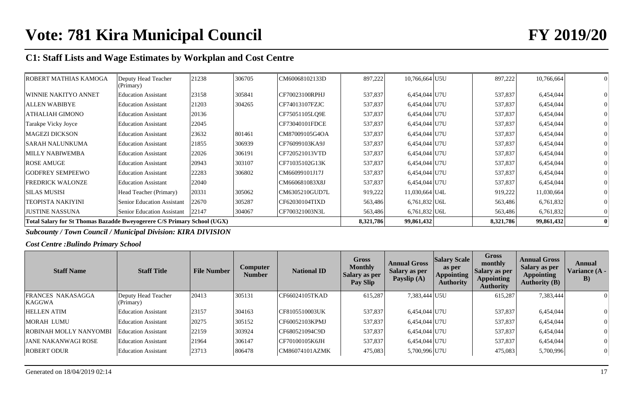| ROBERT MATHIAS KAMOGA                                                   | Deputy Head Teacher<br>(Primary)  | 21238 | 306705 | CM60068102133D | 897,222   | 10,766,664 U5U  | 897,222   | 10,766,664 |  |
|-------------------------------------------------------------------------|-----------------------------------|-------|--------|----------------|-----------|-----------------|-----------|------------|--|
| WINNIE NAKITYO ANNET                                                    | <b>Education Assistant</b>        | 23158 | 305841 | CF70023100RPHJ | 537,837   | 6,454,044 U7U   | 537,837   | 6,454,044  |  |
| <b>ALLEN WABIBYE</b>                                                    | <b>Education Assistant</b>        | 21203 | 304265 | CF74013107FZJC | 537,837   | 6,454,044 U7U   | 537,837   | 6,454,044  |  |
| <b>ATHALIAH GIMONO</b>                                                  | <b>Education Assistant</b>        | 20136 |        | CF75051105LO9E | 537,837   | 6,454,044 U7U   | 537,837   | 6,454,044  |  |
| Tarakpe Vicky Joyce                                                     | <b>Education Assistant</b>        | 22045 |        | CF73040101FDCE | 537,837   | 6,454,044 U7U   | 537,837   | 6,454,044  |  |
| <b>MAGEZI DICKSON</b>                                                   | <b>Education Assistant</b>        | 23632 | 801461 | CM87009105G4OA | 537,837   | 6,454,044 U7U   | 537,837   | 6,454,044  |  |
| <b>SARAH NALUNKUMA</b>                                                  | <b>Education Assistant</b>        | 21855 | 306939 | CF76099103KA9J | 537,837   | 6,454,044 U7U   | 537,837   | 6,454,044  |  |
| <b>MILLY NABIWEMBA</b>                                                  | <b>Education Assistant</b>        | 22026 | 306191 | CF720521013VTD | 537,837   | 6,454,044 U7U   | 537,837   | 6,454,044  |  |
| <b>ROSE AMUGE</b>                                                       | <b>Education Assistant</b>        | 20943 | 303107 | CF71035102G13K | 537,837   | 6,454,044 U7U   | 537,837   | 6,454,044  |  |
| <b>GODFREY SEMPEEWO</b>                                                 | <b>Education Assistant</b>        | 22283 | 306802 | CM66099101J17J | 537,837   | 6,454,044 U7U   | 537,837   | 6,454,044  |  |
| <b>FREDRICK WALONZE</b>                                                 | <b>Education Assistant</b>        | 22040 |        | CM660681083X8J | 537,837   | 6,454,044 U7U   | 537,837   | 6,454,044  |  |
| <b>SILAS MUSISI</b>                                                     | Head Teacher (Primary)            | 20331 | 305062 | CM6305210GUD7L | 919,222   | 11,030,664 U4L  | 919,222   | 11,030,664 |  |
| <b>TEOPISTA NAKIYINI</b>                                                | <b>Senior Education Assistant</b> | 22670 | 305287 | CF62030104TIXD | 563,486   | $6,761,832$ U6L | 563,486   | 6,761,832  |  |
| <b>JUSTINE NASSUNA</b>                                                  | <b>Senior Education Assistant</b> | 22147 | 304067 | CF700321003N3L | 563,486   | $6,761,832$ U6L | 563,486   | 6,761,832  |  |
| Total Salary for St Thomas Bazadde Bweyogerere C/S Primary School (UGX) |                                   |       |        |                | 8,321,786 | 99,861,432      | 8,321,786 | 99,861,432 |  |

*Subcounty / Town Council / Municipal Division: KIRA DIVISION*

*Cost Centre :Bulindo Primary School*

| <b>Staff Name</b>                         | <b>Staff Title</b>               | <b>File Number</b> | <b>Computer</b><br><b>Number</b> | <b>National ID</b> | Gross<br><b>Monthly</b><br><b>Salary as per</b><br>Pay Slip | <b>Annual Gross</b><br><b>Salary as per</b><br>Payslip (A) | <b>Salary Scale</b><br>as per<br><b>Appointing</b><br><b>Authority</b> | Gross<br>monthly<br><b>Salary as per</b><br><b>Appointing</b><br><b>Authority</b> | <b>Annual Gross</b><br>Salary as per<br><b>Appointing</b><br><b>Authority (B)</b> | Annual<br>Variance (A -<br>$\bf{B}$ |
|-------------------------------------------|----------------------------------|--------------------|----------------------------------|--------------------|-------------------------------------------------------------|------------------------------------------------------------|------------------------------------------------------------------------|-----------------------------------------------------------------------------------|-----------------------------------------------------------------------------------|-------------------------------------|
| <b>FRANCES NAKASAGGA</b><br><b>KAGGWA</b> | Deputy Head Teacher<br>(Primary) | 20413              | 305131                           | CF66024105TKAD     | 615,287                                                     | 7,383,444 U5U                                              |                                                                        | 615,287                                                                           | 7,383,444                                                                         | $\Omega$                            |
| <b>HELLEN ATIM</b>                        | <b>Education Assistant</b>       | 23157              | 304163                           | CF8105510003UK     | 537,837                                                     | 6,454,044 U7U                                              |                                                                        | 537,837                                                                           | 6,454,044                                                                         | $\sigma$                            |
| MORAH LUMU                                | <b>Education Assistant</b>       | 20275              | 305152                           | CF60052103KPMJ     | 537,837                                                     | 6,454,044 U7U                                              |                                                                        | 537,837                                                                           | 6,454,044                                                                         | 0                                   |
| <b>ROBINAH MOLLY NANYOMBI</b>             | <b>Education Assistant</b>       | 22159              | 303924                           | CF680521094C9D     | 537,837                                                     | 6,454,044 U7U                                              |                                                                        | 537,837                                                                           | 6,454,044                                                                         | $\vert 0 \vert$                     |
| <b>JANE NAKANWAGI ROSE</b>                | <b>Education Assistant</b>       | 21964              | 306147                           | CF70100105K6JH     | 537,837                                                     | 6.454.044 U7U                                              |                                                                        | 537,837                                                                           | 6,454,044                                                                         | 0                                   |
| <b>ROBERT ODUR</b>                        | <b>Education Assistant</b>       | 23713              | 806478                           | CM86074101AZMK     | 475,083                                                     | 5,700,996 U7U                                              |                                                                        | 475,083                                                                           | 5,700,996                                                                         | $\overline{0}$                      |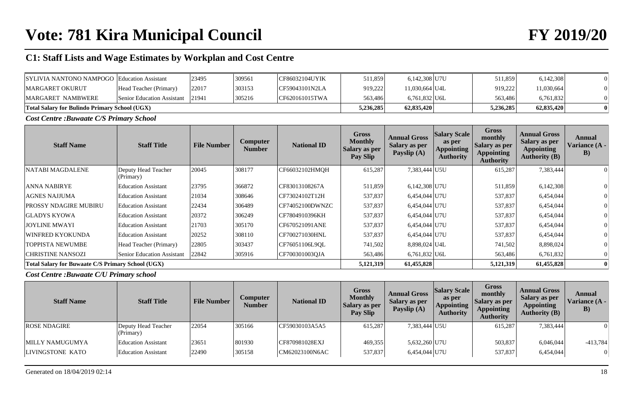| <b>SYLIVIA NANTONO NAMPOGO Education Assistant</b>   |                                         | 23495 | 309561 | <b>CF86032104UYIK</b> | 511,859 | 6,142,308 U7U  | 511,859   | 6,142,308  |  |
|------------------------------------------------------|-----------------------------------------|-------|--------|-----------------------|---------|----------------|-----------|------------|--|
| <b>MARGARET OKURUT</b>                               | Head Teacher (Primary)                  | 22017 | 303153 | ICF59043101N2LA       | 919,222 | 11,030,664 U4L | 919.222   | 11,030,664 |  |
| MARGARET NAMBWERE                                    | <b>Senior Education Assistant</b> 21941 |       | 305216 | CF620161015TWA        | 563.486 | 6.761.832 U6L  | 563.486   | 6,761,832  |  |
| <b>Total Salary for Bulindo Primary School (UGX)</b> |                                         |       |        |                       |         | 62,835,420     | 5,236,285 | 62,835,420 |  |

*Cost Centre :Buwaate C/S Primary School*

| <b>Staff Name</b>                                        | <b>Staff Title</b>               | <b>File Number</b> | Computer<br><b>Number</b> | <b>National ID</b> | <b>Gross</b><br><b>Monthly</b><br><b>Salary as per</b><br>Pay Slip | <b>Annual Gross</b><br><b>Salary as per</b><br>Payslip (A) | <b>Salary Scale</b><br>as per<br><b>Appointing</b><br><b>Authority</b> | Gross<br>monthly<br><b>Salary as per</b><br><b>Appointing</b><br><b>Authority</b> | <b>Annual Gross</b><br>Salary as per<br><b>Appointing</b><br><b>Authority (B)</b> | Annual<br>Variance (A -<br>B) |
|----------------------------------------------------------|----------------------------------|--------------------|---------------------------|--------------------|--------------------------------------------------------------------|------------------------------------------------------------|------------------------------------------------------------------------|-----------------------------------------------------------------------------------|-----------------------------------------------------------------------------------|-------------------------------|
| <b>NATABI MAGDALENE</b>                                  | Deputy Head Teacher<br>(Primary) | 20045              | 308177                    | CF66032102HMQH     | 615,287                                                            | 7,383,444 U5U                                              |                                                                        | 615,287                                                                           | 7,383,444                                                                         |                               |
| <b>ANNA NABIRYE</b>                                      | <b>Education Assistant</b>       | 23795              | 366872                    | CF83013108267A     | 511,859                                                            | 6,142,308 U7U                                              |                                                                        | 511,859                                                                           | 6,142,308                                                                         |                               |
| <b>AGNES NAJJUMA</b>                                     | <b>Education Assistant</b>       | 21034              | 308646                    | CF73024102T12H     | 537,837                                                            | 6,454,044 U7U                                              |                                                                        | 537,837                                                                           | 6,454,044                                                                         |                               |
| PROSSY NDAGIRE MUBIRU                                    | <b>Education Assistant</b>       | 22434              | 306489                    | CF74052100DWNZC    | 537,837                                                            | 6,454,044 U7U                                              |                                                                        | 537,837                                                                           | 6,454,044                                                                         |                               |
| <b>GLADYS KYOWA</b>                                      | <b>Education Assistant</b>       | 20372              | 306249                    | CF7804910396KH     | 537,837                                                            | 6,454,044 U7U                                              |                                                                        | 537,837                                                                           | 6,454,044                                                                         |                               |
| <b>JOYLINE MWAYI</b>                                     | <b>Education Assistant</b>       | 21703              | 305170                    | CF670521091ANE     | 537,837                                                            | 6,454,044 U7U                                              |                                                                        | 537,837                                                                           | 6,454,044                                                                         |                               |
| WINFRED KYOKUNDA                                         | <b>Education Assistant</b>       | 20252              | 308110                    | CF700271030HNL     | 537,837                                                            | 6,454,044 U7U                                              |                                                                        | 537,837                                                                           | 6,454,044                                                                         |                               |
| <b>TOPPISTA NEWUMBE</b>                                  | Head Teacher (Primary)           | 22805              | 303437                    | CF76051106L9OL     | 741,502                                                            | 8,898,024 U4L                                              |                                                                        | 741,502                                                                           | 8,898,024                                                                         |                               |
| <b>CHRISTINE NANSOZI</b>                                 | Senior Education Assistant       | 22842              | 305916                    | CF700301003OJA     | 563,486                                                            | $6,761,832$ U6L                                            |                                                                        | 563,486                                                                           | 6,761,832                                                                         |                               |
| <b>Total Salary for Buwaate C/S Primary School (UGX)</b> |                                  |                    |                           |                    | 5,121,319                                                          | 61,455,828                                                 |                                                                        | 5,121,319                                                                         | 61,455,828                                                                        |                               |

*Cost Centre :Buwaate C/U Primary school*

| <b>Staff Name</b>   | <b>Staff Title</b>               | <b>File Number</b> | Computer<br>Number | <b>National ID</b> | Gross<br><b>Monthly</b><br>Salary as per<br>Pay Slip | <b>Annual Gross</b><br>Salary as per<br>Payslip (A) | <b>Salary Scale</b><br>as per<br><b>Appointing</b><br><b>Authority</b> | Gross<br>monthly<br>Salary as per<br><b>Appointing</b><br><b>Authority</b> | <b>Annual Gross</b><br>Salary as per<br><b>Appointing</b><br>Authority $(B)$ | Annual<br>Variance (A -<br>$\bf{B}$ |
|---------------------|----------------------------------|--------------------|--------------------|--------------------|------------------------------------------------------|-----------------------------------------------------|------------------------------------------------------------------------|----------------------------------------------------------------------------|------------------------------------------------------------------------------|-------------------------------------|
| <b>ROSE NDAGIRE</b> | Deputy Head Teacher<br>(Primary) | 22054              | 305166             | CF59030103A5A5     | 615,287                                              | 7,383,444 U5U                                       |                                                                        | 615,287                                                                    | 7,383,444                                                                    | $\theta$                            |
| MILLY NAMUGUMYA     | <b>Education Assistant</b>       | 23651              | 801930             | CF870981028EXJ     | 469,355                                              | 5,632,260 U7U                                       |                                                                        | 503,837                                                                    | 6,046,044                                                                    | $-413,784$                          |
| LIVINGSTONE KATO    | <b>Education Assistant</b>       | 22490              | 305158             | CM62023100N6AC     | 537,837                                              | 6,454,044 U7U                                       |                                                                        | 537,837                                                                    | 6,454,044                                                                    | $\overline{0}$                      |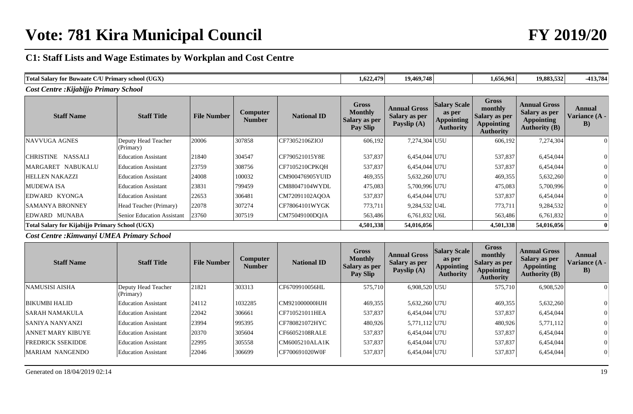# **Vote: 781 Kira Municipal Council FY 2019/20**

# **C1: Staff Lists and Wage Estimates by Workplan and Cost Centre**

| l (UGX<br><b>Total Salary for</b><br>$\gamma$ <sup><math>\pi</math></sup> Primary sc<br>r Buwaate C/U<br>"v school". | 1,622,479 | 19,469,748 | 1,656,961 | 19,883,532 | $-413,784$ |
|----------------------------------------------------------------------------------------------------------------------|-----------|------------|-----------|------------|------------|
| $\mathbf{r}$ .<br>$\mathbf{v}$<br>$\sqrt{ }$<br>$\cdots$                                                             |           |            |           |            |            |

*Cost Centre :Kijabijjo Primary School*

| <b>Staff Name</b>                                      | <b>Staff Title</b>               | <b>File Number</b> | <b>Computer</b><br><b>Number</b> | <b>National ID</b> | <b>Gross</b><br><b>Monthly</b><br><b>Salary as per</b><br>Pay Slip | <b>Annual Gross</b><br><b>Salary as per</b><br>Payslip (A) | <b>Salary Scale</b><br>as per<br>Appointing<br><b>Authority</b> | Gross<br>monthly<br><b>Salary as per</b><br><b>Appointing</b><br><b>Authority</b> | <b>Annual Gross</b><br>Salary as per<br><b>Appointing</b><br><b>Authority (B)</b> | Annual<br>Variance (A -<br>B) |
|--------------------------------------------------------|----------------------------------|--------------------|----------------------------------|--------------------|--------------------------------------------------------------------|------------------------------------------------------------|-----------------------------------------------------------------|-----------------------------------------------------------------------------------|-----------------------------------------------------------------------------------|-------------------------------|
| NAVVUGA AGNES                                          | Deputy Head Teacher<br>(Primary) | 20006              | 307858                           | CF73052106ZIOJ     | 606,192                                                            | 7,274,304 U5U                                              |                                                                 | 606,192                                                                           | 7,274,304                                                                         |                               |
| CHRISTINE NASSALI                                      | <b>Education Assistant</b>       | 21840              | 304547                           | CF790521015Y8E     | 537,837                                                            | 6,454,044 U7U                                              |                                                                 | 537,837                                                                           | 6,454,044                                                                         |                               |
| MARGARET NABUKALU                                      | <b>Education Assistant</b>       | 23759              | 308756                           | $ CF7105210$ CPKQH | 537,837                                                            | 6,454,044 U7U                                              |                                                                 | 537,837                                                                           | 6,454,044                                                                         |                               |
| <b>HELLEN NAKAZZI</b>                                  | Education Assistant              | 24008              | 100032                           | CM900476905YUID    | 469,355                                                            | 5,632,260 U7U                                              |                                                                 | 469,355                                                                           | 5,632,260                                                                         |                               |
| <b>MUDEWA ISA</b>                                      | <b>Education Assistant</b>       | 23831              | 799459                           | CM88047104WYDL     | 475,083                                                            | 5,700,996 U7U                                              |                                                                 | 475,083                                                                           | 5,700,996                                                                         |                               |
| EDWARD KYONGA                                          | <b>Education Assistant</b>       | 22653              | 306481                           | CM72091102AOOA     | 537,837                                                            | 6,454,044 U7U                                              |                                                                 | 537,837                                                                           | 6,454,044                                                                         |                               |
| <b>SAMANYA BRONNEY</b>                                 | Head Teacher (Primary)           | 22078              | 307274                           | CF78064101WYGK     | 773,711                                                            | 9,284,532 U4L                                              |                                                                 | 773,711                                                                           | 9,284,532                                                                         |                               |
| EDWARD MUNABA                                          | Senior Education Assistant       | 23760              | 307519                           | CM75049100DOJA     | 563,486                                                            | $6,761,832$ U6L                                            |                                                                 | 563,486                                                                           | 6,761,832                                                                         |                               |
| <b>Total Salary for Kijabijio Primary School (UGX)</b> |                                  |                    |                                  |                    | 4,501,338                                                          | 54,016,056                                                 |                                                                 | 4,501,338                                                                         | 54,016,056                                                                        |                               |

*Cost Centre :Kimwanyi UMEA Primary School*

| <b>Staff Name</b>        | <b>Staff Title</b>               | <b>File Number</b> | <b>Computer</b><br><b>Number</b> | <b>National ID</b> | Gross<br><b>Monthly</b><br><b>Salary as per</b><br>Pay Slip | <b>Annual Gross</b><br><b>Salary as per</b><br>Payslip (A) | <b>Salary Scale</b><br>as per<br>Appointing<br><b>Authority</b> | Gross<br>monthly<br><b>Salary as per</b><br><b>Appointing</b><br><b>Authority</b> | <b>Annual Gross</b><br><b>Salary as per</b><br><b>Appointing</b><br><b>Authority (B)</b> | Annual<br>Variance (A -<br>$\bf{B}$ |
|--------------------------|----------------------------------|--------------------|----------------------------------|--------------------|-------------------------------------------------------------|------------------------------------------------------------|-----------------------------------------------------------------|-----------------------------------------------------------------------------------|------------------------------------------------------------------------------------------|-------------------------------------|
| <b>NAMUSISI AISHA</b>    | Deputy Head Teacher<br>(Primary) | 21821              | 303313                           | CF6709910056HL     | 575,710                                                     | 6.908.520 U5U                                              |                                                                 | 575,710                                                                           | 6,908,520                                                                                | $\Omega$                            |
| <b>BIKUMBI HALID</b>     | <b>Education Assistant</b>       | 24112              | 1032285                          | CM921000000HJH     | 469,355                                                     | 5,632,260 U7U                                              |                                                                 | 469,355                                                                           | 5,632,260                                                                                | 0                                   |
| <b>SARAH NAMAKULA</b>    | <b>Education Assistant</b>       | 22042              | 306661                           | CF710521011HEA     | 537,837                                                     | 6,454,044 U7U                                              |                                                                 | 537,837                                                                           | 6,454,044                                                                                | 0                                   |
| <b>SANIYA NANYANZI</b>   | <b>Education Assistant</b>       | 23994              | 995395                           | CF780821072HYC     | 480,926                                                     | 5,771,112 U7U                                              |                                                                 | 480,926                                                                           | 5,771,112                                                                                | U                                   |
| <b>ANNET MARY KIBUYE</b> | <b>Education Assistant</b>       | 20370              | 305604                           | CF66052108RALE     | 537,837                                                     | 6,454,044 U7U                                              |                                                                 | 537,837                                                                           | 6,454,044                                                                                | $\vert 0 \vert$                     |
| <b>FREDRICK SSEKIDDE</b> | <b>Education Assistant</b>       | 22995              | 305558                           | CM6005210ALA1K     | 537,837                                                     | 6,454,044 U7U                                              |                                                                 | 537,837                                                                           | 6,454,044                                                                                | $\vert 0 \vert$                     |
| MARIAM NANGENDO          | <b>Education Assistant</b>       | 22046              | 306699                           | CF700691020W0F     | 537,837                                                     | 6,454,044 U7U                                              |                                                                 | 537,837                                                                           | 6,454,044                                                                                | 0                                   |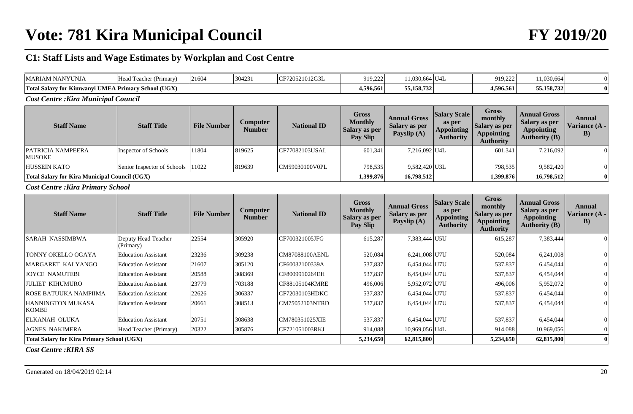# **Vote: 781 Kira Municipal Council FY 2019/20**

## **C1: Staff Lists and Wage Estimates by Workplan and Cost Centre**

| <b>MARIAM NANYUNJA</b>                              | Head Teacher (Primary)                               | 21604              | 304231                    | CF720521012G3L     | 919.222                                                     | 11.030.664 U4L                                             |                                                                        | 919,222                                                                                  | 11,030,664                                                                               |                                      |
|-----------------------------------------------------|------------------------------------------------------|--------------------|---------------------------|--------------------|-------------------------------------------------------------|------------------------------------------------------------|------------------------------------------------------------------------|------------------------------------------------------------------------------------------|------------------------------------------------------------------------------------------|--------------------------------------|
| Total Salary for Kimwanyi UMEA Primary School (UGX) |                                                      |                    |                           |                    | 4,596,561                                                   | 55, 158, 732                                               |                                                                        | 4,596,561                                                                                | 55,158,732                                                                               |                                      |
| <b>Cost Centre: Kira Municipal Council</b>          |                                                      |                    |                           |                    |                                                             |                                                            |                                                                        |                                                                                          |                                                                                          |                                      |
| <b>Staff Name</b>                                   | <b>Staff Title</b>                                   | <b>File Number</b> | Computer<br><b>Number</b> | <b>National ID</b> | <b>Gross</b><br><b>Monthly</b><br>Salary as per<br>Pay Slip | <b>Annual Gross</b><br><b>Salary as per</b><br>Payslip (A) | <b>Salary Scale</b><br>as per<br><b>Appointing</b><br><b>Authority</b> | <b>Gross</b><br>monthly<br><b>Salary as per</b><br><b>Appointing</b><br><b>Authority</b> | <b>Annual Gross</b><br><b>Salary as per</b><br><b>Appointing</b><br><b>Authority (B)</b> | Annual<br><b>Variance (A -</b><br>B) |
| PATRICIA NAMPEERA<br><b>MUSOKE</b>                  | Inspector of Schools                                 | 11804              | 819625                    | CF77082103USAL     | 601,341                                                     | 7,216,092 U4L                                              |                                                                        | 601,341                                                                                  | 7,216,092                                                                                | $\Omega$                             |
| <b>HUSSEIN KATO</b>                                 | Senior Inspector of Schools                          | 11022              | 819639                    | CM59030100V0PL     | 798,535                                                     | 9,582,420 U3L                                              |                                                                        | 798,535                                                                                  | 9,582,420                                                                                |                                      |
|                                                     | <b>Total Salary for Kira Municipal Council (UGX)</b> |                    |                           |                    |                                                             |                                                            | 16,798,512                                                             | 1,399,876                                                                                | 16,798,512                                                                               | 0                                    |

*Cost Centre :Kira Primary School*

| <b>Staff Name</b>                                 | <b>Staff Title</b>               | <b>File Number</b> | <b>Computer</b><br><b>Number</b> | <b>National ID</b> | <b>Gross</b><br><b>Monthly</b><br>Salary as per<br>Pay Slip | <b>Annual Gross</b><br><b>Salary as per</b><br>Payslip (A) | <b>Salary Scale</b><br>as per<br><b>Appointing</b><br><b>Authority</b> | <b>Gross</b><br>monthly<br><b>Salary as per</b><br><b>Appointing</b><br><b>Authority</b> | <b>Annual Gross</b><br>Salary as per<br><b>Appointing</b><br><b>Authority (B)</b> | Annual<br>Variance (A -<br>B) |
|---------------------------------------------------|----------------------------------|--------------------|----------------------------------|--------------------|-------------------------------------------------------------|------------------------------------------------------------|------------------------------------------------------------------------|------------------------------------------------------------------------------------------|-----------------------------------------------------------------------------------|-------------------------------|
| <b>SARAH NASSIMBWA</b>                            | Deputy Head Teacher<br>(Primary) | 22554              | 305920                           | CF700321005JFG     | 615,287                                                     | 7,383,444 U5U                                              |                                                                        | 615,287                                                                                  | 7,383,444                                                                         |                               |
| TONNY OKELLO OGAYA                                | <b>Education Assistant</b>       | 23236              | 309238                           | CM87088100AENL     | 520,084                                                     | 6,241,008 U7U                                              |                                                                        | 520,084                                                                                  | 6,241,008                                                                         |                               |
| MARGARET KALYANGO                                 | <b>Education Assistant</b>       | 21607              | 305120                           | CF60032100339A     | 537,837                                                     | 6,454,044 U7U                                              |                                                                        | 537,837                                                                                  | 6,454,044                                                                         |                               |
| <b>JOYCE NAMUTEBI</b>                             | <b>Education Assistant</b>       | 20588              | 308369                           | CF8009910264EH     | 537,837                                                     | 6,454,044 U7U                                              |                                                                        | 537,837                                                                                  | 6,454,044                                                                         |                               |
| <b>JULIET KIHUMURO</b>                            | <b>Education Assistant</b>       | 23779              | 703188                           | CF88105104KMRE     | 496,006                                                     | 5,952,072 U7U                                              |                                                                        | 496,006                                                                                  | 5,952,072                                                                         |                               |
| ROSE BATUUKA NAMPIIMA                             | <b>Education Assistant</b>       | 22626              | 306337                           | CF72030103HDKC     | 537,837                                                     | 6,454,044 U7U                                              |                                                                        | 537,837                                                                                  | 6,454,044                                                                         |                               |
| <b>HANNINGTON MUKASA</b><br>KOMBE                 | <b>Education Assistant</b>       | 20661              | 308513                           | CM75052103NTRD     | 537,837                                                     | 6,454,044 U7U                                              |                                                                        | 537,837                                                                                  | 6,454,044                                                                         |                               |
| <b>ELKANAH OLUKA</b>                              | <b>Education Assistant</b>       | 20751              | 308638                           | CM780351025XIE     | 537,837                                                     | 6,454,044 U7U                                              |                                                                        | 537,837                                                                                  | 6,454,044                                                                         |                               |
| <b>AGNES NAKIMERA</b>                             | Head Teacher (Primary)           | 20322              | 305876                           | CF721051003RKJ     | 914,088                                                     | 10,969,056 U4L                                             |                                                                        | 914,088                                                                                  | 10,969,056                                                                        |                               |
| <b>Total Salary for Kira Primary School (UGX)</b> |                                  |                    |                                  |                    | 5,234,650                                                   | 62,815,800                                                 |                                                                        | 5,234,650                                                                                | 62,815,800                                                                        |                               |

*Cost Centre :KIRA SS*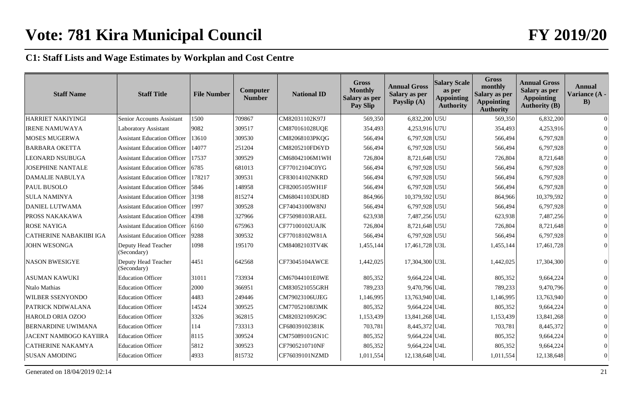| <b>Staff Name</b>              | <b>Staff Title</b>                 | <b>File Number</b> | Computer<br><b>Number</b> | <b>National ID</b> | <b>Gross</b><br><b>Monthly</b><br>Salary as per<br>Pay Slip | <b>Annual Gross</b><br>Salary as per<br>Payslip (A) | <b>Salary Scale</b><br>as per<br><b>Appointing</b><br><b>Authority</b> | <b>Gross</b><br>monthly<br>Salary as per<br><b>Appointing</b><br><b>Authority</b> | <b>Annual Gross</b><br>Salary as per<br><b>Appointing</b><br><b>Authority (B)</b> | <b>Annual</b><br>Variance (A -<br>$\bf{B}$ |
|--------------------------------|------------------------------------|--------------------|---------------------------|--------------------|-------------------------------------------------------------|-----------------------------------------------------|------------------------------------------------------------------------|-----------------------------------------------------------------------------------|-----------------------------------------------------------------------------------|--------------------------------------------|
| <b>HARRIET NAKIYINGI</b>       | Senior Accounts Assistant          | 1500               | 709867                    | CM82031102K97J     | 569,350                                                     | 6,832,200 U5U                                       |                                                                        | 569,350                                                                           | 6,832,200                                                                         |                                            |
| <b>IRENE NAMUWAYA</b>          | <b>Laboratory Assistant</b>        | 9082               | 309517                    | CM870161028UQE     | 354,493                                                     | 4,253,916 U7U                                       |                                                                        | 354,493                                                                           | 4,253,916                                                                         |                                            |
| MOSES MUGERWA                  | <b>Assistant Education Officer</b> | 13610              | 309530                    | CM82068103PKQG     | 566,494                                                     | 6,797,928 U5U                                       |                                                                        | 566,494                                                                           | 6,797,928                                                                         |                                            |
| <b>BARBARA OKETTA</b>          | <b>Assistant Education Officer</b> | 14077              | 251204                    | CM8205210FD6YD     | 566,494                                                     | 6,797,928 U5U                                       |                                                                        | 566,494                                                                           | 6,797,928                                                                         |                                            |
| <b>LEONARD NSUBUGA</b>         | <b>Assistant Education Officer</b> | 17537              | 309529                    | CM68042106M1WH     | 726,804                                                     | 8,721,648 U5U                                       |                                                                        | 726,804                                                                           | 8,721,648                                                                         |                                            |
| <b>JOSEPHINE NANTALE</b>       | <b>Assistant Education Officer</b> | 6785               | 681013                    | CF77012104C0YG     | 566,494                                                     | 6,797,928 U5U                                       |                                                                        | 566,494                                                                           | 6,797,928                                                                         |                                            |
| <b>DAMALIE NABULYA</b>         | <b>Assistant Education Officer</b> | 178217             | 309531                    | CF83014102NKRD     | 566,494                                                     | 6,797,928 U5U                                       |                                                                        | 566,494                                                                           | 6,797,928                                                                         |                                            |
| PAUL BUSOLO                    | <b>Assistant Education Officer</b> | 5846               | 148958                    | CF82005105WH1F     | 566,494                                                     | 6,797,928 U5U                                       |                                                                        | 566,494                                                                           | 6,797,928                                                                         |                                            |
| <b>SULA NAMINYA</b>            | <b>Assistant Education Officer</b> | 3198               | 815274                    | CM68041103DU8D     | 864,966                                                     | 10,379,592 U5U                                      |                                                                        | 864,966                                                                           | 10,379,592                                                                        |                                            |
| DANIEL LUTWAMA                 | <b>Assistant Education Officer</b> | 1997               | 309528                    | CF74043100W8NJ     | 566,494                                                     | 6,797,928 U5U                                       |                                                                        | 566,494                                                                           | 6,797,928                                                                         |                                            |
| <b>PROSS NAKAKAWA</b>          | <b>Assistant Education Officer</b> | 4398               | 327966                    | CF75098103RAEL     | 623,938                                                     | 7,487,256 U5U                                       |                                                                        | 623,938                                                                           | 7,487,256                                                                         |                                            |
| <b>ROSE NAYIGA</b>             | <b>Assistant Education Officer</b> | 6160               | 675963                    | CF77100102UAJK     | 726,804                                                     | 8,721,648 U5U                                       |                                                                        | 726,804                                                                           | 8,721,648                                                                         |                                            |
| <b>CATHERINE NABAKIIBI IGA</b> | <b>Assistant Education Officer</b> | 9288               | 309532                    | CF77018102W81A     | 566,494                                                     | 6,797,928 U5U                                       |                                                                        | 566,494                                                                           | 6,797,928                                                                         |                                            |
| <b>JOHN WESONGA</b>            | Deputy Head Teacher<br>(Secondary) | 1098               | 195170                    | CM84082103TV4K     | 1,455,144                                                   | 17,461,728 U3L                                      |                                                                        | 1,455,144                                                                         | 17,461,728                                                                        |                                            |
| <b>NASON BWESIGYE</b>          | Deputy Head Teacher<br>(Secondary) | 4451               | 642568                    | CF73045104AWCE     | 1,442,025                                                   | 17,304,300 U3L                                      |                                                                        | 1,442,025                                                                         | 17,304,300                                                                        |                                            |
| <b>ASUMAN KAWUKI</b>           | <b>Education Officer</b>           | 31011              | 733934                    | CM67044101E0WE     | 805,352                                                     | 9,664,224 U4L                                       |                                                                        | 805,352                                                                           | 9,664,224                                                                         |                                            |
| Ntalo Mathias                  | <b>Education Officer</b>           | 2000               | 366951                    | CM830521055GRH     | 789,233                                                     | 9,470,796 U4L                                       |                                                                        | 789,233                                                                           | 9,470,796                                                                         |                                            |
| WILBER SSENYONDO               | <b>Education Officer</b>           | 4483               | 249446                    | CM79023106UJEG     | 1,146,995                                                   | 13,763,940 U4L                                      |                                                                        | 1,146,995                                                                         | 13,763,940                                                                        |                                            |
| PATRICK NDIWALANA              | <b>Education Officer</b>           | 14524              | 309525                    | CM77052108J3MK     | 805,352                                                     | 9,664,224 U4L                                       |                                                                        | 805,352                                                                           | 9,664,224                                                                         |                                            |
| <b>HAROLD ORIA OZOO</b>        | <b>Education Officer</b>           | 3326               | 362815                    | CM82032109JG9C     | 1,153,439                                                   | 13,841,268 U4L                                      |                                                                        | 1,153,439                                                                         | 13,841,268                                                                        |                                            |
| BERNARDINE UWIMANA             | <b>Education Officer</b>           | 114                | 733313                    | CF68039102381K     | 703,781                                                     | 8,445,372 U4L                                       |                                                                        | 703,781                                                                           | 8,445,372                                                                         |                                            |
| <b>JACENT NAMBOGO KAYIIRA</b>  | <b>Education Officer</b>           | 8115               | 309524                    | CM75089101GN1C     | 805,352                                                     | $9,664,224$ U4L                                     |                                                                        | 805,352                                                                           | 9,664,224                                                                         |                                            |
| CATHERINE NAKAMYA              | <b>Education Officer</b>           | 5812               | 309523                    | CF7905210710NF     | 805,352                                                     | 9,664,224 U4L                                       |                                                                        | 805,352                                                                           | 9,664,224                                                                         |                                            |
| <b>SUSAN AMODING</b>           | <b>Education Officer</b>           | 4933               | 815732                    | CF76039101NZMD     | 1,011,554                                                   | 12,138,648 U4L                                      |                                                                        | 1,011,554                                                                         | 12,138,648                                                                        |                                            |

Generated on  $18/04/2019$  02:14 21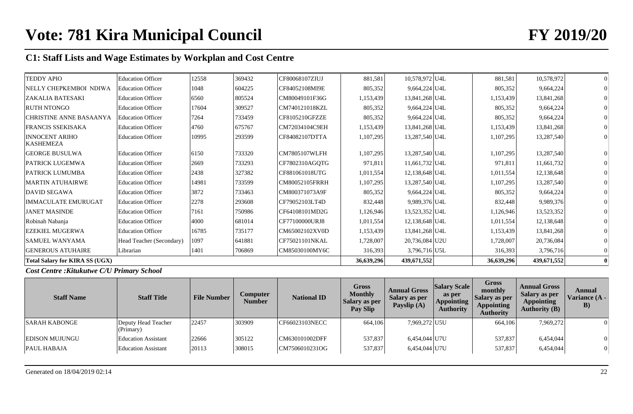| <b>TEDDY APIO</b>                         | <b>Education Officer</b> | 12558 | 369432 | CF80068107ZIUJ       | 881,581    | 10,578,972 U4L  | 881,581    | 10,578,972  |  |
|-------------------------------------------|--------------------------|-------|--------|----------------------|------------|-----------------|------------|-------------|--|
| NELLY CHEPKEMBOI NDIWA                    | <b>Education Officer</b> | 1048  | 604225 | CF84052108MI9E       | 805,352    | 9,664,224 U4L   | 805,352    | 9,664,224   |  |
| <b>ZAKALIA BATESAKI</b>                   | <b>Education Officer</b> | 6560  | 805524 | CM80049101F36G       | 1,153,439  | 13,841,268 U4L  | 1,153,439  | 13,841,268  |  |
| <b>RUTH NTONGO</b>                        | <b>Education Officer</b> | 17604 | 309527 | CM740121018KZL       | 805,352    | 9,664,224 U4L   | 805,352    | 9,664,224   |  |
| <b>CHRISTINE ANNE BASAANYA</b>            | Education Officer        | 7264  | 733459 | CF8105210GFZZE       | 805,352    | $9,664,224$ U4L | 805,352    | 9,664,224   |  |
| FRANCIS SSEKISAKA                         | <b>Education Officer</b> | 4760  | 675767 | CM72034104C9EH       | 1,153,439  | 13,841,268 U4L  | 1,153,439  | 13,841,268  |  |
| <b>INNOCENT ARIHO</b><br><b>KASHEMEZA</b> | <b>Education Officer</b> | 10995 | 293599 | CF84082107DTTA       | 1,107,295  | 13,287,540 U4L  | 1,107,295  | 13,287,540  |  |
| <b>GEORGE BUSULWA</b>                     | <b>Education Officer</b> | 6150  | 733320 | <b>CM7805107WLFH</b> | 1,107,295  | 13,287,540 U4L  | 1,107,295  | 13,287,540  |  |
| PATRICK LUGEMWA                           | <b>Education Officer</b> | 2669  | 733293 | CF7802310AGQTG       | 971,811    | 11,661,732 U4L  | 971,811    | 11,661,732  |  |
| <b>PATRICK LUMUMBA</b>                    | <b>Education Officer</b> | 2438  | 327382 | CF881061018UTG       | 1,011,554  | 12,138,648 U4L  | 1,011,554  | 12,138,648  |  |
| <b>MARTIN ATUHAIRWE</b>                   | <b>Education Officer</b> | 14981 | 733599 | CM80052105FRRH       | 1,107,295  | 13,287,540 U4L  | 1,107,295  | 13,287,540  |  |
| <b>DAVID SEGAWA</b>                       | <b>Education Officer</b> | 3872  | 733463 | CM800371073A9F       | 805,352    | 9,664,224 U4L   | 805,352    | 9,664,224   |  |
| <b>IMMACULATE EMURUGAT</b>                | <b>Education Officer</b> | 2278  | 293608 | CF79052103LT4D       | 832,448    | 9,989,376 U4L   | 832,448    | 9,989,376   |  |
| <b>JANET MASINDE</b>                      | <b>Education Officer</b> | 7161  | 750986 | CF64108101MD2G       | 1,126,946  | 13,523,352 U4L  | 1,126,946  | 13,523,352  |  |
| Robinah Nabanja                           | <b>Education Officer</b> | 4000  | 681014 | CF77100000URJ8       | 1,011,554  | 12,138,648 U4L  | 1,011,554  | 12,138,648  |  |
| <b>EZEKIEL MUGERWA</b>                    | <b>Education Officer</b> | 16785 | 735177 | CM65002102XV0D       | 1,153,439  | 13,841,268 U4L  | 1,153,439  | 13,841,268  |  |
| <b>SAMUEL WANYAMA</b>                     | Head Teacher (Secondary) | 1097  | 641881 | CF75021101NKAL       | 1,728,007  | 20,736,084 U2U  | 1,728,007  | 20,736,084  |  |
| <b>GENEROUS ATUHAIRE</b>                  | Librarian                | 1401  | 706869 | CM85030100MY6C       | 316,393    | 3,796,716 U5L   | 316,393    | 3,796,716   |  |
| <b>Total Salary for KIRA SS (UGX)</b>     |                          |       |        |                      | 36,639,296 | 439,671,552     | 36,639,296 | 439,671,552 |  |

## *Cost Centre :Kitukutwe C/U Primary School*

| <b>Staff Name</b>     | <b>Staff Title</b>               | <b>File Number</b> | Computer<br>Number | <b>National ID</b> | <b>Gross</b><br><b>Monthly</b><br>Salary as per<br><b>Pay Slip</b> | <b>Annual Gross</b><br>Salary as per<br>Payslip (A) | <b>Salary Scale</b><br>as per<br><b>Appointing</b><br><b>Authority</b> | Gross<br>monthly<br>Salary as per<br><b>Appointing</b><br><b>Authority</b> | <b>Annual Gross</b><br>Salary as per<br><b>Appointing</b><br>Authority $(B)$ | Annual<br>Variance (A -<br>B) |
|-----------------------|----------------------------------|--------------------|--------------------|--------------------|--------------------------------------------------------------------|-----------------------------------------------------|------------------------------------------------------------------------|----------------------------------------------------------------------------|------------------------------------------------------------------------------|-------------------------------|
| <b>SARAH KABONGE</b>  | Deputy Head Teacher<br>(Primary) | 22457              | 303909             | CF66023103NECC     | 664,106                                                            | 7,969,272 U5U                                       |                                                                        | 664,106                                                                    | 7,969,272                                                                    | $\Omega$                      |
| <b>EDISON MUJUNGU</b> | <b>Education Assistant</b>       | 22666              | 305122             | CM630101002DFF     | 537,837                                                            | 6,454,044 U7U                                       |                                                                        | 537,837                                                                    | 6,454,044                                                                    | $\Omega$                      |
| <b>PAUL HABAJA</b>    | <b>Education Assistant</b>       | 20113              | 308015             | CM7506010231OG     | 537,837                                                            | 6,454,044 U7U                                       |                                                                        | 537,837                                                                    | 6,454,044                                                                    | 0                             |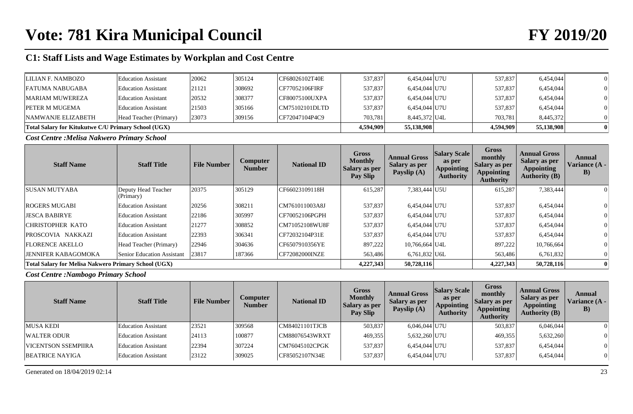| LILIAN F. NAMBOZO                                   | <b>Education Assistant</b> | 20062      | 305124    | CF68026102T40E  | 537,837 | 6,454,044 U7U | 537,837 | 6,454,044 |  |
|-----------------------------------------------------|----------------------------|------------|-----------|-----------------|---------|---------------|---------|-----------|--|
|                                                     |                            |            |           |                 |         |               |         |           |  |
| <b>FATUMA NABUGABA</b>                              | <b>Education Assistant</b> | 21121      | 308692    | ICF77052106FIRF | 537,837 | 6,454,044 U7U | 537,837 | 6,454,044 |  |
| <b>MARIAM MUWEREZA</b>                              | <b>Education Assistant</b> | 20532      | 308377    | CF80075100UXPA  | 537,837 | 6,454,044 U7U | 537,837 | 6,454,044 |  |
| <b>PETER M MUGEMA</b>                               | <b>Education Assistant</b> | 21503      | 305166    | CM75102101DLTD  | 537,837 | 6,454,044 U7U | 537,837 | 6,454,044 |  |
| <b>NAMWANJE ELIZABETH</b>                           | Head Teacher (Primary)     | 23073      | 309156    | CF72047104P4C9  | 703.781 | 8.445.372 U4L | 703.781 | 8,445,372 |  |
| Total Salary for Kitukutwe C/U Primary School (UGX) | 4,594,909                  | 55,138,908 | 4.594.909 | 55,138,908      |         |               |         |           |  |

*Cost Centre :Melisa Nakwero Primary School*

| <b>Staff Name</b>                                           | <b>Staff Title</b>               | <b>File Number</b> | Computer<br><b>Number</b> | <b>National ID</b> | <b>Gross</b><br><b>Monthly</b><br><b>Salary as per</b><br>Pay Slip | <b>Annual Gross</b><br><b>Salary as per</b><br>Payslip (A) | <b>Salary Scale</b><br>as per<br>Appointing<br><b>Authority</b> | <b>Gross</b><br>monthly<br>Salary as per<br>Appointing<br><b>Authority</b> | <b>Annual Gross</b><br>Salary as per<br><b>Appointing</b><br><b>Authority (B)</b> | Annual<br><b>Variance (A -</b><br>B) |
|-------------------------------------------------------------|----------------------------------|--------------------|---------------------------|--------------------|--------------------------------------------------------------------|------------------------------------------------------------|-----------------------------------------------------------------|----------------------------------------------------------------------------|-----------------------------------------------------------------------------------|--------------------------------------|
| <b>SUSAN MUTYABA</b>                                        | Deputy Head Teacher<br>(Primary) | 20375              | 305129                    | CF66023109118H     | 615,287                                                            | 7,383,444 U5U                                              |                                                                 | 615,287                                                                    | 7,383,444                                                                         |                                      |
| <b>ROGERS MUGABI</b>                                        | <b>Education Assistant</b>       | 20256              | 308211                    | CM761011003A8J     | 537,837                                                            | 6,454,044 U7U                                              |                                                                 | 537,837                                                                    | 6,454,044                                                                         |                                      |
| <b>JESCA BABIRYE</b>                                        | <b>Education Assistant</b>       | 22186              | 305997                    | CF70052106PGPH     | 537,837                                                            | 6,454,044 U7U                                              |                                                                 | 537,837                                                                    | 6,454,044                                                                         |                                      |
| <b>CHRISTOPHER KATO</b>                                     | <b>Education Assistant</b>       | 21277              | 308852                    | CM71052108WU8F     | 537,837                                                            | 6,454,044 U7U                                              |                                                                 | 537,837                                                                    | 6,454,044                                                                         |                                      |
| PROSCOVIA NAKKAZI                                           | <b>Education Assistant</b>       | 22393              | 306341                    | CF72032104P31E     | 537,837                                                            | 6,454,044 U7U                                              |                                                                 | 537,837                                                                    | 6,454,044                                                                         |                                      |
| <b>FLORENCE AKELLO</b>                                      | Head Teacher (Primary)           | 22946              | 304636                    | CF6507910356YE     | 897,222                                                            | 10,766,664 U4L                                             |                                                                 | 897,222                                                                    | 10,766,664                                                                        |                                      |
| <b>JENNIFER KABAGOMOKA</b>                                  | Senior Education Assistant       | 23817              | 187366                    | CF72082000INZE     | 563,486                                                            | $6,761,832$ U6L                                            |                                                                 | 563,486                                                                    | 6,761,832                                                                         |                                      |
| <b>Total Salary for Melisa Nakwero Primary School (UGX)</b> |                                  |                    |                           |                    | 4,227,343                                                          | 50,728,116                                                 |                                                                 | 4,227,343                                                                  | 50,728,116                                                                        |                                      |

*Cost Centre :Nambogo Primary School*

| <b>Staff Name</b>          | <b>Staff Title</b>         | <b>File Number</b> | Computer<br>Number | <b>National ID</b> | <b>Gross</b><br><b>Monthly</b><br>Salary as per<br>Pay Slip | <b>Annual Gross</b><br>Salary as per<br>Payslip (A) | <b>Salary Scale</b><br>as per<br><b>Appointing</b><br><b>Authority</b> | <b>Gross</b><br>monthly<br>  Salary as per<br><b>Appointing</b><br><b>Authority</b> | <b>Annual Gross</b><br>Salary as per<br><b>Appointing</b><br><b>Authority (B)</b> | Annual<br>Variance (A -<br>$\bf{B}$ |
|----------------------------|----------------------------|--------------------|--------------------|--------------------|-------------------------------------------------------------|-----------------------------------------------------|------------------------------------------------------------------------|-------------------------------------------------------------------------------------|-----------------------------------------------------------------------------------|-------------------------------------|
| <b>MUSA KEDI</b>           | <b>Education Assistant</b> | 23521              | 309568             | CM84021101TJCB     | 503,837                                                     | 6,046,044 U7U                                       |                                                                        | 503,837                                                                             | 6,046,044                                                                         | $\theta$                            |
| WALTER ODUR                | <b>Education Assistant</b> | 24113              | 100877             | CM88076543WRXT     | 469,355                                                     | 5,632,260 U7U                                       |                                                                        | 469,355                                                                             | 5,632,260                                                                         |                                     |
| <b>VICENTSON SSEMPIIRA</b> | Education Assistant        | 22394              | 307224             | CM76045102CPGK     | 537,837                                                     | 6,454,044 U7U                                       |                                                                        | 537,837                                                                             | 6,454,044                                                                         | $\theta$                            |
| BEATRICE NAYIGA            | <b>Education Assistant</b> | 23122              | 309025             | CF85052107N34E     | 537,837                                                     | 6,454,044 U7U                                       |                                                                        | 537,837                                                                             | 6,454,044                                                                         | 0                                   |

Generated on  $18/04/2019$  02:14 23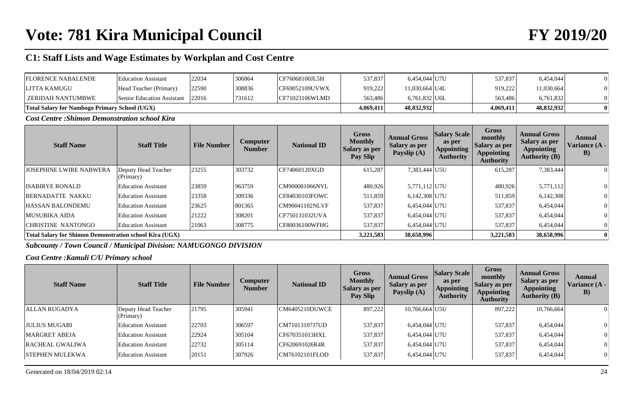| <b>FLORENCE NABALENDE</b>                            | <b>Education Assistant</b>       | 22034 | 306864 | CF76068100JL5H | 537,837   | 6,454,044 U7U   | 537,837   | 6,454,044  |  |
|------------------------------------------------------|----------------------------------|-------|--------|----------------|-----------|-----------------|-----------|------------|--|
| LITTA KAMUGU                                         | Head Teacher (Primary)           | 22590 | 308836 | CF69052109UVWX | 919,222   | 11,030,664 U4L  | 919,222   | 1,030,664  |  |
| EZERIDAH NANTUMBWE                                   | Senior Education Assistant 22016 |       | 731612 | CF71023106WLMD | 563,486   | $6.761.832$ U6L | 563,486   | 6,761,832  |  |
| <b>Total Salary for Nambogo Primary School (UGX)</b> |                                  |       |        |                | 4,069,411 | 48,832,932      | 4,069,411 | 48,832,932 |  |

*Cost Centre :Shimon Demonstration school Kira*

| <b>Staff Name</b>                                              | <b>Staff Title</b>               | <b>File Number</b> | Computer<br><b>Number</b> | <b>National ID</b> | <b>Gross</b><br><b>Monthly</b><br><b>Salary as per</b><br>Pay Slip | <b>Annual Gross</b><br><b>Salary as per</b><br>Payslip (A) | <b>Salary Scale</b><br>as per<br>Appointing<br><b>Authority</b> | <b>Gross</b><br>monthly<br><b>Salary as per</b><br>Appointing<br><b>Authority</b> | <b>Annual Gross</b><br>Salary as per<br><b>Appointing</b><br><b>Authority (B)</b> | Annual<br>Variance (A -<br>$\bf{B}$ |
|----------------------------------------------------------------|----------------------------------|--------------------|---------------------------|--------------------|--------------------------------------------------------------------|------------------------------------------------------------|-----------------------------------------------------------------|-----------------------------------------------------------------------------------|-----------------------------------------------------------------------------------|-------------------------------------|
| <b>JOSEPHINE LWIRE NABWERA</b>                                 | Deputy Head Teacher<br>(Primary) | 23255              | 303732                    | CF74060120XGD      | 615,287                                                            | 7,383,444 U5U                                              |                                                                 | 615,287                                                                           | 7,383,444                                                                         |                                     |
| <b>ISABIRYE RONALD</b>                                         | <b>Education Assistant</b>       | 23859              | 963759                    | CM900081066NYL     | 480,926                                                            | 5,771,112 U7U                                              |                                                                 | 480,926                                                                           | 5,771,112                                                                         |                                     |
| <b>BERNADATTE NAKKU</b>                                        | <b>Education Assistant</b>       | 23358              | 309336                    | CF84030103FOWC     | 511,859                                                            | 6,142,308 U7U                                              |                                                                 | 511,859                                                                           | 6,142,308                                                                         |                                     |
| <b>HASSAN BALONDEMU</b>                                        | <b>Education Assistant</b>       | 23625              | 801365                    | CM90041102NLVF     | 537,837                                                            | 6,454,044 U7U                                              |                                                                 | 537,837                                                                           | 6,454,044                                                                         |                                     |
| <b>MUSUBIKA AIDA</b>                                           | <b>Education Assistant</b>       | 21222              | 308201                    | CF750131032UVA     | 537,837                                                            | 6.454.044 U7U                                              |                                                                 | 537,837                                                                           | 6,454,044                                                                         |                                     |
| CHRISTINE NANTONGO                                             | <b>Education Assistant</b>       | 21063              | 308775                    | CF80036100WFHG     | 537,837                                                            | 6.454.044 U7U                                              |                                                                 | 537,837                                                                           | 6.454,044                                                                         |                                     |
| <b>Total Salary for Shimon Demonstration school Kira (UGX)</b> |                                  |                    |                           |                    | 3,221,583                                                          | 38,658,996                                                 |                                                                 | 3,221,583                                                                         | 38,658,996                                                                        |                                     |

*Subcounty / Town Council / Municipal Division: NAMUGONGO DIVISION*

*Cost Centre :Kamuli C/U Primary school*

| <b>Staff Name</b>      | <b>Staff Title</b>               | <b>File Number</b> | <b>Computer</b><br><b>Number</b> | <b>National ID</b> | <b>Gross</b><br><b>Monthly</b><br><b>Salary as per</b><br>Pay Slip | <b>Annual Gross</b><br><b>Salary as per</b><br>Payslip (A) | <b>Salary Scale</b><br>as per<br><b>Appointing</b><br><b>Authority</b> | <b>Gross</b><br>monthly<br><b>Salary as per</b><br><b>Appointing</b><br><b>Authority</b> | <b>Annual Gross</b><br>Salary as per<br><b>Appointing</b><br><b>Authority (B)</b> | Annual<br>Variance (A -<br>$\bf{B}$ |
|------------------------|----------------------------------|--------------------|----------------------------------|--------------------|--------------------------------------------------------------------|------------------------------------------------------------|------------------------------------------------------------------------|------------------------------------------------------------------------------------------|-----------------------------------------------------------------------------------|-------------------------------------|
| ALLAN RUGADYA          | Deputy Head Teacher<br>(Primary) | 21795              | 305941                           | CM6405210DUWCE     | 897,222                                                            | 10,766,664 U5U                                             |                                                                        | 897,222                                                                                  | 10,766,664                                                                        | $\Omega$                            |
| <b>JULIUS MUGABI</b>   | <b>Education Assistant</b>       | 22703              | 306597                           | CM71013107J7UD     | 537,837                                                            | 6,454,044 U7U                                              |                                                                        | 537,837                                                                                  | 6,454,044                                                                         | $\Omega$                            |
| <b>MARGRET ABEJA</b>   | Education Assistant              | 22924              | 305104                           | CF670351013HXL     | 537,837                                                            | 6,454,044 U7U                                              |                                                                        | 537,837                                                                                  | 6,454,044                                                                         | $\Omega$                            |
| <b>RACHEAL GWALIWA</b> | <b>Education Assistant</b>       | 22732              | 305114                           | CF620691026R4R     | 537,837                                                            | 6,454,044 U7U                                              |                                                                        | 537,837                                                                                  | 6,454,044                                                                         | $\Omega$                            |
| <b>STEPHEN MULEKWA</b> | <b>Education Assistant</b>       | 20151              | 307926                           | CM76102101FLOD     | 537,837                                                            | 6,454,044 U7U                                              |                                                                        | 537,837                                                                                  | 6,454,044                                                                         | $\vert 0 \vert$                     |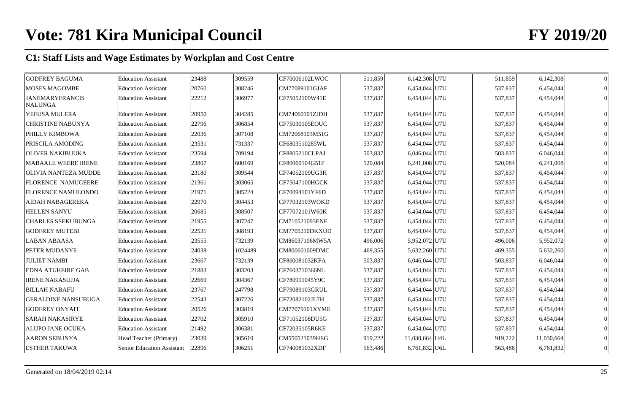| <b>GODFREY BAGUMA</b>                    | <b>Education Assistant</b> | 23488 | 309559  | CF70006102LWOC | 511,859 | 6,142,308 U7U   | 511,859 | 6,142,308  |  |
|------------------------------------------|----------------------------|-------|---------|----------------|---------|-----------------|---------|------------|--|
| <b>MOSES MAGOMBE</b>                     | <b>Education Assistant</b> | 20760 | 308246  | CM77089101GJAF | 537,837 | 6,454,044 U7U   | 537,837 | 6,454,044  |  |
| <b>JANEMARYFRANCIS</b><br><b>NALUNGA</b> | <b>Education Assistant</b> | 22212 | 306977  | CF75052109W41E | 537,837 | 6,454,044 U7U   | 537,837 | 6,454,044  |  |
| YEFUSA MULERA                            | <b>Education Assistant</b> | 20950 | 304285  | CM74060101ZJDH | 537,837 | 6,454,044 U7U   | 537,837 | 6,454,044  |  |
| <b>CHRISTINE NABUNYA</b>                 | <b>Education Assistant</b> | 22796 | 306854  | CF75030105EOUC | 537,837 | 6,454,044 U7U   | 537,837 | 6,454,044  |  |
| PHILLY KIMBOWA                           | <b>Education Assistant</b> | 22036 | 307108  | CM72068103M51G | 537,837 | 6,454,044 U7U   | 537,837 | 6,454,044  |  |
| <b>PRISCILA AMODING</b>                  | <b>Education Assistant</b> | 23531 | 731337  | CF6803510285WL | 537,837 | 6,454,044 U7U   | 537,837 | 6,454,044  |  |
| <b>OLIVER NAKIBUUKA</b>                  | <b>Education Assistant</b> | 23594 | 709194  | CF8805210CLPAJ | 503,837 | $6,046,044$ U7U | 503,837 | 6,046,044  |  |
| MABAALE WEERE IRENE                      | <b>Education Assistant</b> | 23807 | 600169  | CF80060104G51F | 520,084 | 6,241,008 U7U   | 520,084 | 6,241,008  |  |
| <b>OLIVIA NANTEZA MUDDE</b>              | <b>Education Assistant</b> | 23180 | 309544  | CF74052109UG3H | 537,837 | 6,454,044 U7U   | 537,837 | 6,454,044  |  |
| <b>FLORENCE NAMUGEERE</b>                | <b>Education Assistant</b> | 21361 | 303065  | CF75047100HGCK | 537,837 | 6,454,044 U7U   | 537,837 | 6,454,044  |  |
| <b>FLORENCE NAMULONDO</b>                | <b>Education Assistant</b> | 21971 | 305224  | CF70094101YF6D | 537,837 | 6,454,044 U7U   | 537,837 | 6,454,044  |  |
| <b>AIDAH NABAGEREKA</b>                  | <b>Education Assistant</b> | 22970 | 304453  | CF77032103WOKD | 537,837 | 6,454,044 U7U   | 537,837 | 6,454,044  |  |
| <b>HELLEN SANYU</b>                      | <b>Education Assistant</b> | 20685 | 308507  | CF77072101W60K | 537,837 | 6,454,044 U7U   | 537,837 | 6,454,044  |  |
| <b>CHARLES SSEKUBUNGA</b>                | <b>Education Assistant</b> | 21955 | 307247  | CM710521093ENE | 537,837 | 6,454,044 U7U   | 537,837 | 6,454,044  |  |
| <b>GODFREY MUTEBI</b>                    | <b>Education Assistant</b> | 22531 | 308193  | CM7705210DKXUD | 537,837 | 6,454,044 U7U   | 537,837 | 6,454,044  |  |
| <b>LABAN ABAASA</b>                      | <b>Education Assistant</b> | 23555 | 732139  | CM86037106MW5A | 496,006 | 5,952,072 U7U   | 496,006 | 5,952,072  |  |
| PETER MUDANYE                            | <b>Education Assistant</b> | 24038 | 1024489 | CM800601009DMC | 469,355 | 5,632,260 U7U   | 469,355 | 5,632,260  |  |
| <b>JULIET NAMBI</b>                      | <b>Education Assistant</b> | 23667 | 732139  | CF860081032KFA | 503,837 | 6,046,044 U7U   | 503,837 | 6,046,044  |  |
| <b>EDNA ATUHEIRE GAB</b>                 | <b>Education Assistant</b> | 21883 | 303203  | CF7603710366NL | 537,837 | 6,454,044 U7U   | 537,837 | 6,454,044  |  |
| <b>IRENE NAKASUJJA</b>                   | <b>Education Assistant</b> | 22669 | 304367  | CF780911045Y9C | 537,837 | 6,454,044 U7U   | 537,837 | 6,454,044  |  |
| <b>BILLAH NABAFU</b>                     | <b>Education Assistant</b> | 23767 | 247798  | CF79089103GRUL | 537,837 | 6,454,044 U7U   | 537,837 | 6,454,044  |  |
| <b>GERALDINE NANSUBUGA</b>               | <b>Education Assistant</b> | 22543 | 307226  | CF72082102JL7H | 537,837 | 6,454,044 U7U   | 537,837 | 6,454,044  |  |
| <b>GODFREY ONYAIT</b>                    | <b>Education Assistant</b> | 20526 | 303819  | CM77079101XYME | 537,837 | 6,454,044 U7U   | 537,837 | 6,454,044  |  |
| <b>SARAH NAKASIRYE</b>                   | <b>Education Assistant</b> | 22702 | 305910  | CF71052108DU5G | 537,837 | 6,454,044 U7U   | 537,837 | 6,454,044  |  |
| ALUPO JANE OCUKA                         | <b>Education Assistant</b> | 21492 | 306381  | CF72035105R6KE | 537,837 | 6,454,044 U7U   | 537,837 | 6,454,044  |  |
| <b>AARON SEBUNYA</b>                     | Head Teacher (Primary)     | 23039 | 305610  | CM550521039HEG | 919,222 | 11,030,664 U4L  | 919,222 | 11,030,664 |  |
| <b>ESTHER TAKUWA</b>                     | Senior Education Assistant | 22896 | 306251  | CF740081032XDF | 563,486 | $6,761,832$ U6L | 563,486 | 6,761,832  |  |
|                                          |                            |       |         |                |         |                 |         |            |  |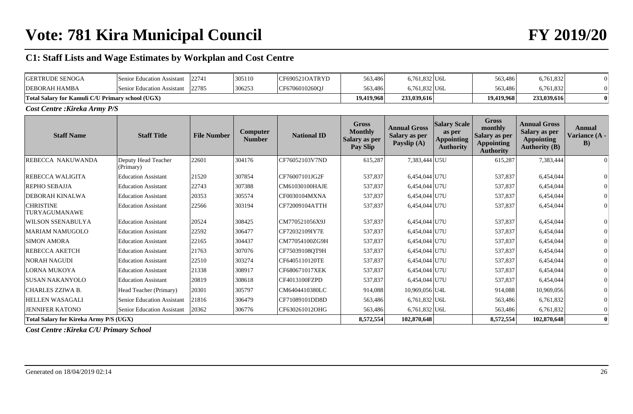# **Vote: 781 Kira Municipal Council FY 2019/20**

# **C1: Staff Lists and Wage Estimates by Workplan and Cost Centre**

| <b>GERTRUDE SENOGA</b>                           | 22741<br>Senior Education Assistant |       | 305110 | CF690521OATRYD | 563,486    | $6,761,832$ U6L | 563,486    | 6,761,832   |  |
|--------------------------------------------------|-------------------------------------|-------|--------|----------------|------------|-----------------|------------|-------------|--|
| <b>DEBORAH HAMBA</b>                             | Senior Education Assistant          | 22785 | 306253 | CF6706010260OJ | 563,486    | 6,761,832 U6L   | 563.486    | 6,761,832   |  |
| Total Salary for Kamuli C/U Primary school (UGX) |                                     |       |        |                | 19,419,968 | 233,039,616     | 19,419,968 | 233,039,616 |  |

*Cost Centre :Kireka Army P/S*

| <b>Staff Name</b>                      | <b>Staff Title</b>                | <b>File Number</b> | <b>Computer</b><br><b>Number</b> | <b>National ID</b> | <b>Gross</b><br><b>Monthly</b><br>Salary as per<br>Pay Slip | <b>Annual Gross</b><br>Salary as per<br>Payslip (A) | <b>Salary Scale</b><br>as per<br><b>Appointing</b><br><b>Authority</b> | <b>Gross</b><br>monthly<br>Salary as per<br><b>Appointing</b><br><b>Authority</b> | <b>Annual Gross</b><br>Salary as per<br><b>Appointing</b><br><b>Authority (B)</b> | <b>Annual</b><br>Variance (A -<br>$\bf{B}$ |
|----------------------------------------|-----------------------------------|--------------------|----------------------------------|--------------------|-------------------------------------------------------------|-----------------------------------------------------|------------------------------------------------------------------------|-----------------------------------------------------------------------------------|-----------------------------------------------------------------------------------|--------------------------------------------|
| REBECCA NAKUWANDA                      | Deputy Head Teacher<br>(Primary)  | 22601              | 304176                           | CF76052103V7ND     | 615,287                                                     | 7,383,444 U5U                                       |                                                                        | 615,287                                                                           | 7,383,444                                                                         | $\Omega$                                   |
| <b>REBECCA WALIGITA</b>                | <b>Education Assistant</b>        | 21520              | 307854                           | CF76007101JG2F     | 537,837                                                     | 6,454,044 U7U                                       |                                                                        | 537,837                                                                           | 6,454,044                                                                         |                                            |
| <b>REPHO SEBAJJA</b>                   | <b>Education Assistant</b>        | 22743              | 307388                           | CM61030100HAJE     | 537,837                                                     | 6,454,044 U7U                                       |                                                                        | 537,837                                                                           | 6,454,044                                                                         |                                            |
| <b>DEBORAH KINALWA</b>                 | <b>Education Assistant</b>        | 20353              | 305574                           | CF0030104MXNA      | 537,837                                                     | 6,454,044 U7U                                       |                                                                        | 537,837                                                                           | 6,454,044                                                                         |                                            |
| <b>CHRISTINE</b><br>TURYAGUMANAWE      | <b>Education Assistant</b>        | 22566              | 303194                           | CF72009104ATTH     | 537,837                                                     | 6,454,044 U7U                                       |                                                                        | 537,837                                                                           | 6,454,044                                                                         |                                            |
| <b>WILSON SSENABULYA</b>               | <b>Education Assistant</b>        | 20524              | 308425                           | CM770521056X9J     | 537,837                                                     | 6,454,044 U7U                                       |                                                                        | 537,837                                                                           | 6,454,044                                                                         |                                            |
| <b>MARIAM NAMUGOLO</b>                 | <b>Education Assistant</b>        | 22592              | 306477                           | CF72032109IY7E     | 537,837                                                     | 6,454,044 U7U                                       |                                                                        | 537,837                                                                           | 6,454,044                                                                         |                                            |
| <b>SIMON AMORA</b>                     | <b>Education Assistant</b>        | 22165              | 304437                           | CM77054100ZG9H     | 537,837                                                     | 6,454,044 U7U                                       |                                                                        | 537,837                                                                           | 6,454,044                                                                         |                                            |
| REBECCA AKETCH                         | <b>Education Assistant</b>        | 21763              | 307076                           | CF75039108QT9H     | 537,837                                                     | 6,454,044 U7U                                       |                                                                        | 537,837                                                                           | 6,454,044                                                                         |                                            |
| <b>NORAH NAGUDI</b>                    | <b>Education Assistant</b>        | 22510              | 303274                           | CF6405110120TE     | 537,837                                                     | 6,454,044 U7U                                       |                                                                        | 537,837                                                                           | 6,454,044                                                                         |                                            |
| LORNA MUKOYA                           | <b>Education Assistant</b>        | 21338              | 308917                           | CF680671017XEK     | 537,837                                                     | 6,454,044 U7U                                       |                                                                        | 537,837                                                                           | 6,454,044                                                                         |                                            |
| <b>SUSAN NAKANYOLO</b>                 | <b>Education Assistant</b>        | 20819              | 308618                           | CF4013100FZPD      | 537,837                                                     | 6,454,044 U7U                                       |                                                                        | 537,837                                                                           | 6,454,044                                                                         |                                            |
| <b>CHARLES ZZIWA B.</b>                | Head Teacher (Primary)            | 20301              | 305797                           | CM6404410380LC     | 914,088                                                     | 10,969,056 U4L                                      |                                                                        | 914,088                                                                           | 10,969,056                                                                        |                                            |
| <b>HELLEN WASAGALI</b>                 | <b>Senior Education Assistant</b> | 21816              | 306479                           | CF71089101DD8D     | 563,486                                                     | $6,761,832$ U6L                                     |                                                                        | 563,486                                                                           | 6,761,832                                                                         |                                            |
| <b>JENNIFER KATONO</b>                 | <b>Senior Education Assistant</b> | 20362              | 306776                           | CF630261012OHG     | 563,486                                                     | $6,761,832$ U6L                                     |                                                                        | 563,486                                                                           | 6,761,832                                                                         |                                            |
| Total Salary for Kireka Army P/S (UGX) |                                   |                    |                                  |                    | 8,572,554                                                   | 102,870,648                                         |                                                                        | 8,572,554                                                                         | 102,870,648                                                                       | $\mathbf{0}$                               |

*Cost Centre :Kireka C/U Primary School*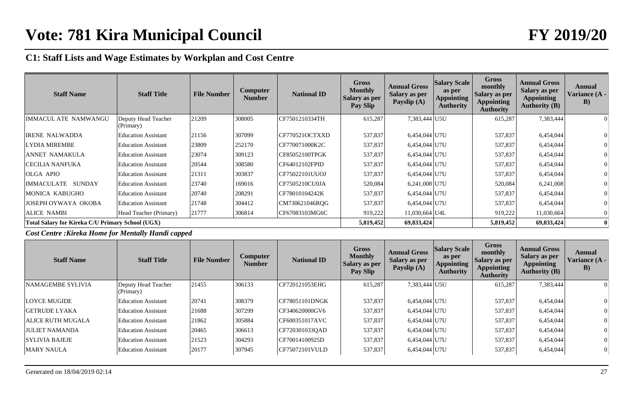| <b>Staff Name</b>                                | <b>Staff Title</b>               | <b>File Number</b> | <b>Computer</b><br><b>Number</b> | <b>National ID</b> | <b>Gross</b><br><b>Monthly</b><br><b>Salary as per</b><br>Pay Slip | <b>Annual Gross</b><br>Salary as per<br>Payslip (A) | <b>Salary Scale</b><br>as per<br><b>Appointing</b><br><b>Authority</b> | <b>Gross</b><br>monthly<br><b>Salary as per</b><br><b>Appointing</b><br><b>Authority</b> | <b>Annual Gross</b><br><b>Salary as per</b><br><b>Appointing</b><br><b>Authority (B)</b> | Annual<br>Variance (A -<br>$\bf{B}$ |
|--------------------------------------------------|----------------------------------|--------------------|----------------------------------|--------------------|--------------------------------------------------------------------|-----------------------------------------------------|------------------------------------------------------------------------|------------------------------------------------------------------------------------------|------------------------------------------------------------------------------------------|-------------------------------------|
| IMMACUL ATE NAMWANGU                             | Deputy Head Teacher<br>(Primary) | 21209              | 308005                           | CF7501210334TH     | 615,287                                                            | 7,383,444 U5U                                       |                                                                        | 615,287                                                                                  | 7,383,444                                                                                | 0                                   |
| <b>IRENE NALWADDA</b>                            | <b>Education Assistant</b>       | 21156              | 307099                           | CF770521OCTXXD     | 537,837                                                            | 6,454,044 U7U                                       |                                                                        | 537,837                                                                                  | 6,454,044                                                                                | 0                                   |
| <b>LYDIA MIREMBE</b>                             | <b>Education Assistant</b>       | 23809              | 252170                           | CF770071000K2C     | 537,837                                                            | 6,454,044 U7U                                       |                                                                        | 537,837                                                                                  | 6,454,044                                                                                |                                     |
| ANNET NAMAKULA                                   | <b>Education Assistant</b>       | 23074              | 309123                           | CF85052100TPGK     | 537,837                                                            | 6,454,044 U7U                                       |                                                                        | 537,837                                                                                  | 6,454,044                                                                                |                                     |
| CECILIA NANFUKA                                  | <b>Education Assistant</b>       | 20544              | 308580                           | CF64012102FPID     | 537,837                                                            | 6,454,044 U7U                                       |                                                                        | 537,837                                                                                  | 6,454,044                                                                                | $\theta$                            |
| <b>OLGA APIO</b>                                 | <b>Education Assistant</b>       | 21311              | 303837                           | CF75022101UUOJ     | 537,837                                                            | 6,454,044 U7U                                       |                                                                        | 537,837                                                                                  | 6,454,044                                                                                |                                     |
| IMMACULATE SUNDAY                                | <b>Education Assistant</b>       | 23740              | 169016                           | CF7505210CU0JA     | 520,084                                                            | 6,241,008 U7U                                       |                                                                        | 520,084                                                                                  | 6,241,008                                                                                |                                     |
| MONICA KABUGHO                                   | <b>Education Assistant</b>       | 20740              | 208291                           | CF78010104242K     | 537,837                                                            | 6,454,044 U7U                                       |                                                                        | 537,837                                                                                  | 6,454,044                                                                                | $\theta$                            |
| JOSEPH OYWAYA OKOBA                              | <b>Education Assistant</b>       | 21748              | 304412                           | CM730621046ROG     | 537,837                                                            | 6,454,044 U7U                                       |                                                                        | 537,837                                                                                  | 6,454,044                                                                                |                                     |
| <b>ALICE NAMBI</b>                               | Head Teacher (Primary)           | 21777              | 306814                           | CF67083103MG6C     | 919,222                                                            | 11,030,664 U4L                                      |                                                                        | 919,222                                                                                  | 11,030,664                                                                               | 0                                   |
| Total Salary for Kireka C/U Primary School (UGX) |                                  |                    |                                  |                    | 5,819,452                                                          | 69,833,424                                          |                                                                        | 5,819,452                                                                                | 69,833,424                                                                               | 0                                   |

*Cost Centre :Kireka Home for Mentally Handi capped*

| <b>Staff Name</b>        | <b>Staff Title</b>               | <b>File Number</b> | Computer<br><b>Number</b> | <b>National ID</b> | <b>Gross</b><br><b>Monthly</b><br><b>Salary as per</b><br>Pay Slip | <b>Annual Gross</b><br><b>Salary as per</b><br>Payslip (A) | <b>Salary Scale</b><br>as per<br><b>Appointing</b><br><b>Authority</b> | <b>Gross</b><br>monthly<br><b>Salary as per</b><br>Appointing<br><b>Authority</b> | <b>Annual Gross</b><br>Salary as per<br><b>Appointing</b><br><b>Authority (B)</b> | Annual<br>Variance (A -<br>$\bf{B}$ |
|--------------------------|----------------------------------|--------------------|---------------------------|--------------------|--------------------------------------------------------------------|------------------------------------------------------------|------------------------------------------------------------------------|-----------------------------------------------------------------------------------|-----------------------------------------------------------------------------------|-------------------------------------|
| NAMAGEMBE SYLIVIA        | Deputy Head Teacher<br>(Primary) | 21455              | 306133                    | CF720121053EHG     | 615,287                                                            | 7,383,444 U5U                                              |                                                                        | 615,287                                                                           | 7,383,444                                                                         | $\overline{0}$                      |
| <b>LOYCE MUGIDE</b>      | <b>Education Assistant</b>       | 20741              | 308379                    | CF78051101DNGK     | 537,837                                                            | 6,454,044 U7U                                              |                                                                        | 537,837                                                                           | 6,454,044                                                                         | $\overline{0}$                      |
| <b>GETRUDE LYAKA</b>     | <b>Education Assistant</b>       | 21688              | 307299                    | CF340620000GV6     | 537,837                                                            | 6,454,044 U7U                                              |                                                                        | 537,837                                                                           | 6,454,044                                                                         | $\overline{0}$                      |
| <b>ALICE RUTH MUGALA</b> | <b>Education Assistant</b>       | 21862              | 305884                    | CF600351017AVC     | 537,837                                                            | 6,454,044 U7U                                              |                                                                        | 537,837                                                                           | 6,454,044                                                                         | 0                                   |
| <b>JULIET NAMANDA</b>    | <b>Education Assistant</b>       | 20465              | 306613                    | CF720301033OAD     | 537,837                                                            | 6,454,044 U7U                                              |                                                                        | 537,837                                                                           | 6,454,044                                                                         | 0                                   |
| <b>SYLIVIA BAJEJE</b>    | <b>Education Assistant</b>       | 21523              | 304293                    | CF70014100925D     | 537,837                                                            | 6,454,044 U7U                                              |                                                                        | 537,837                                                                           | 6,454,044                                                                         | $\overline{0}$                      |
| <b>MARY NAULA</b>        | <b>Education Assistant</b>       | 20177              | 307945                    | CF75072101VULD     | 537,837                                                            | 6,454,044 U7U                                              |                                                                        | 537,837                                                                           | 6,454,044                                                                         | 0                                   |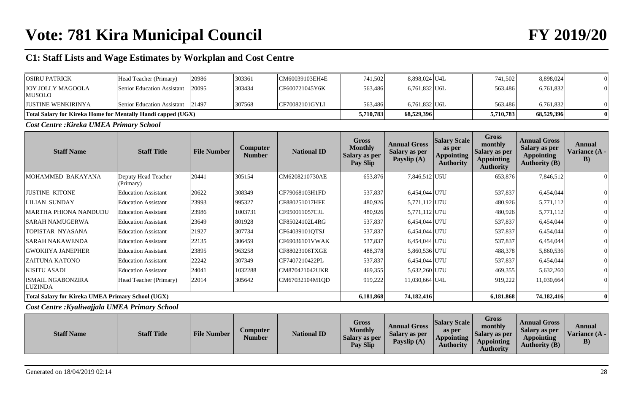| <b>OSIRU PATRICK</b>                                                | Head Teacher (Primary)           | 20986 | 303361 | CM60039103EH4E | 741,502   | 8,898,024 U4L | 741,502   | 8,898,024  |  |
|---------------------------------------------------------------------|----------------------------------|-------|--------|----------------|-----------|---------------|-----------|------------|--|
| JOY JOLLY MAGOOLA<br>MUSOLO                                         | Senior Education Assistant 20095 |       | 303434 | CF600721045Y6K | 563,486   | 6,761,832 U6L | 563.486   | 6,761,832  |  |
| <b>JUSTINE WENKIRINYA</b>                                           | Senior Education Assistant 21497 |       | 307568 | CF70082101GYLI | 563.486   | 6,761,832 U6L | 563.486   | 6,761,832  |  |
| <b>Total Salary for Kireka Home for Mentally Handi capped (UGX)</b> |                                  |       |        |                | 5,710,783 | 68,529,396    | 5,710,783 | 68,529,396 |  |

*Cost Centre :Kireka UMEA Primary School*

| <b>Staff Name</b>                                        | <b>Staff Title</b>               | <b>File Number</b> | <b>Computer</b><br><b>Number</b> | <b>National ID</b> | <b>Gross</b><br><b>Monthly</b><br><b>Salary as per</b><br>Pay Slip | <b>Annual Gross</b><br><b>Salary as per</b><br>Payslip (A) | <b>Salary Scale</b><br>as per<br><b>Appointing</b><br><b>Authority</b> | Gross<br>monthly<br><b>Salary as per</b><br><b>Appointing</b><br><b>Authority</b> | <b>Annual Gross</b><br><b>Salary as per</b><br><b>Appointing</b><br><b>Authority (B)</b> | Annual<br>Variance (A -<br>B) |
|----------------------------------------------------------|----------------------------------|--------------------|----------------------------------|--------------------|--------------------------------------------------------------------|------------------------------------------------------------|------------------------------------------------------------------------|-----------------------------------------------------------------------------------|------------------------------------------------------------------------------------------|-------------------------------|
| MOHAMMED BAKAYANA                                        | Deputy Head Teacher<br>(Primary) | 20441              | 305154                           | CM6208210730AE     | 653,876                                                            | 7,846,512 U5U                                              |                                                                        | 653,876                                                                           | 7,846,512                                                                                |                               |
| <b>JUSTINE KITONE</b>                                    | <b>Education Assistant</b>       | 20622              | 308349                           | CF79068103H1FD     | 537,837                                                            | 6,454,044 U7U                                              |                                                                        | 537,837                                                                           | 6,454,044                                                                                |                               |
| <b>LILIAN SUNDAY</b>                                     | <b>Education Assistant</b>       | 23993              | 995327                           | CF880251017HFE     | 480,926                                                            | 5,771,112 U7U                                              |                                                                        | 480,926                                                                           | 5,771,112                                                                                |                               |
| <b>MARTHA PHIONA NANDUDU</b>                             | <b>Education Assistant</b>       | 23986              | 1003731                          | CF950011057CJL     | 480,926                                                            | 5,771,112 U7U                                              |                                                                        | 480,926                                                                           | 5,771,112                                                                                |                               |
| <b>SARAH NAMUGERWA</b>                                   | <b>Education Assistant</b>       | 23649              | 801928                           | CF85024102L4RG     | 537,837                                                            | 6,454,044 U7U                                              |                                                                        | 537,837                                                                           | 6,454,044                                                                                |                               |
| TOPISTAR NYASANA                                         | <b>Education Assistant</b>       | 21927              | 307734                           | CF64039101QTSJ     | 537,837                                                            | 6,454,044 U7U                                              |                                                                        | 537,837                                                                           | 6,454,044                                                                                |                               |
| <b>SARAH NAKAWENDA</b>                                   | <b>Education Assistant</b>       | 22135              | 306459                           | CF69036101VWAK     | 537,837                                                            | 6,454,044 U7U                                              |                                                                        | 537,837                                                                           | 6,454,044                                                                                |                               |
| <b>GWOKIIYA JANEPHER</b>                                 | <b>Education Assistant</b>       | 23895              | 963258                           | CF88023106TXGE     | 488,378                                                            | 5,860,536 U7U                                              |                                                                        | 488,378                                                                           | 5,860,536                                                                                |                               |
| <b>ZAITUNA KATONO</b>                                    | <b>Education Assistant</b>       | 22242              | 307349                           | CF7407210422PL     | 537,837                                                            | 6,454,044 U7U                                              |                                                                        | 537,837                                                                           | 6,454,044                                                                                |                               |
| <b>KISITU ASADI</b>                                      | <b>Education Assistant</b>       | 24041              | 1032288                          | CM870421042UKR     | 469,355                                                            | 5,632,260 U7U                                              |                                                                        | 469,355                                                                           | 5,632,260                                                                                |                               |
| <b>ISMAIL NGABONZIRA</b><br>LUZINDA                      | Head Teacher (Primary)           | 22014              | 305642                           | CM67032104M1OD     | 919,222                                                            | 11,030,664 U4L                                             |                                                                        | 919,222                                                                           | 11,030,664                                                                               |                               |
| <b>Total Salary for Kireka UMEA Primary School (UGX)</b> |                                  |                    |                                  |                    | 6,181,868                                                          | 74,182,416                                                 |                                                                        | 6,181,868                                                                         | 74,182,416                                                                               | $\mathbf{0}$                  |

*Cost Centre :Kyaliwajjala UMEA Primary School*

| <b>Staff Name</b> | <b>Staff Title</b> | <b>File Number</b> | Computer<br>Number | <b>National ID</b> | Gross<br><b>Monthly</b><br><b>Salary as per</b><br><b>Pay Slip</b> | <b>Annual Gross</b><br>Salary as per<br>Payslip (A) | <b>Salary Scale</b><br>as per<br>Appointing<br><b>Authority</b> | <b>Gross</b><br>monthly<br>Salary as per<br>Appointing<br><b>Authority</b> | <b>Annual Gross</b><br>Salary as per<br>Appointing<br><b>Authority (B)</b> | Annual<br>Variance $(A -$<br>$\bf{B}$ |
|-------------------|--------------------|--------------------|--------------------|--------------------|--------------------------------------------------------------------|-----------------------------------------------------|-----------------------------------------------------------------|----------------------------------------------------------------------------|----------------------------------------------------------------------------|---------------------------------------|
|-------------------|--------------------|--------------------|--------------------|--------------------|--------------------------------------------------------------------|-----------------------------------------------------|-----------------------------------------------------------------|----------------------------------------------------------------------------|----------------------------------------------------------------------------|---------------------------------------|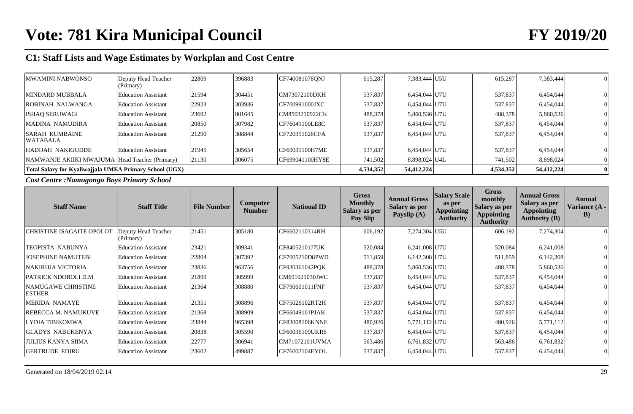| MWAMINI NABWONSO                                        | Deputy Head Teacher<br>(Primary) | 22809 | 396883 | CF740081078ONJ  | 615,287   | 7,383,444 U5U | 615,287   | 7,383,444  |  |
|---------------------------------------------------------|----------------------------------|-------|--------|-----------------|-----------|---------------|-----------|------------|--|
| MINDARD MUBBALA                                         | <b>Education Assistant</b>       | 21594 | 304451 | CM73072100DKH   | 537.837   | 6,454,044 U7U | 537,837   | 6,454,044  |  |
| ROBINAH NALWANGA                                        | <b>Education Assistant</b>       | 22923 | 303936 | CF700991000JXC  | 537,837   | 6,454,044 U7U | 537,837   | 6,454,044  |  |
| <b>ISHAQ SERUWAGI</b>                                   | <b>Education Assistant</b>       | 23692 | 801645 | CM8503210922CK  | 488,378   | 5,860,536 U7U | 488,378   | 5,860,536  |  |
| MADINA NAMUDIRA                                         | <b>Education Assistant</b>       | 20850 | 307982 | CF76049100LE8C  | 537,837   | 6,454,044 U7U | 537,837   | 6,454,044  |  |
| <b>SARAH KUMBAINE</b><br>WATABALA                       | <b>Education Assistant</b>       | 21290 | 308844 | CF720351026CFA  | 537,837   | 6,454,044 U7U | 537,837   | 6,454,044  |  |
| HADIJAH NAKIGUDDE                                       | <b>Education Assistant</b>       | 21945 | 305654 | CF69031100H7ME  | 537,837   | 6,454,044 U7U | 537,837   | 6,454,044  |  |
| NAMWANJE AKIIKI MWAJUMA Head Teacher (Primary)          |                                  | 21130 | 306075 | CF699041100HY8E | 741,502   | 8,898,024 U4L | 741,502   | 8,898,024  |  |
| Total Salary for Kyaliwajjala UMEA Primary School (UGX) |                                  |       |        |                 | 4,534,352 | 54,412,224    | 4,534,352 | 54,412,224 |  |

*Cost Centre :Namugongo Boys Primary School*

| <b>Staff Name</b>                          | <b>Staff Title</b>               | <b>File Number</b> | Computer<br><b>Number</b> | <b>National ID</b> | <b>Gross</b><br><b>Monthly</b><br><b>Salary as per</b><br>Pay Slip | <b>Annual Gross</b><br>Salary as per<br>Payslip (A) | <b>Salary Scale</b><br>as per<br><b>Appointing</b><br><b>Authority</b> | <b>Gross</b><br>monthly<br>Salary as per<br><b>Appointing</b><br><b>Authority</b> | <b>Annual Gross</b><br><b>Salary as per</b><br><b>Appointing</b><br><b>Authority (B)</b> | Annual<br>Variance (A -<br>B) |
|--------------------------------------------|----------------------------------|--------------------|---------------------------|--------------------|--------------------------------------------------------------------|-----------------------------------------------------|------------------------------------------------------------------------|-----------------------------------------------------------------------------------|------------------------------------------------------------------------------------------|-------------------------------|
| <b>CHRISTINE ISAGAITE OPOLOT</b>           | Deputy Head Teacher<br>(Primary) | 21451              | 305180                    | CF6602110314RH     | 606,192                                                            | 7,274,304 U5U                                       |                                                                        | 606,192                                                                           | 7,274,304                                                                                |                               |
| <b>TEOPISTA NABUNYA</b>                    | <b>Education Assistant</b>       | 23421              | 309341                    | CF84052101J7UK     | 520,084                                                            | 6,241,008 U7U                                       |                                                                        | 520,084                                                                           | 6,241,008                                                                                |                               |
| <b>JOSEPHINE NAMUTEBI</b>                  | <b>Education Assistant</b>       | 22804              | 307392                    | CF7005210D8PWD     | 511,859                                                            | 6,142,308 U7U                                       |                                                                        | 511,859                                                                           | 6,142,308                                                                                |                               |
| NAKIRIJJA VICTORIA                         | <b>Education Assistant</b>       | 23836              | 963756                    | CF930361042PQK     | 488,378                                                            | 5,860,536 U7U                                       |                                                                        | 488,378                                                                           | 5,860,536                                                                                |                               |
| PATRICK NDOBOLI D.M                        | <b>Education Assistant</b>       | 21899              | 305999                    | CM691021030JWC     | 537,837                                                            | 6,454,044 U7U                                       |                                                                        | 537,837                                                                           | 6,454,044                                                                                |                               |
| <b>NAMUGAWE CHRISTINE</b><br><b>ESTHER</b> | <b>Education Assistant</b>       | 21364              | 308880                    | CF790601011FNF     | 537,837                                                            | 6,454,044 U7U                                       |                                                                        | 537,837                                                                           | 6,454,044                                                                                |                               |
| <b>MERIDA NAMAYE</b>                       | <b>Education Assistant</b>       | 21351              | 308896                    | CF75026102RT2H     | 537,837                                                            | 6,454,044 U7U                                       |                                                                        | 537,837                                                                           | 6,454,044                                                                                |                               |
| REBECCA M. NAMUKUVE                        | <b>Education Assistant</b>       | 21368              | 308909                    | CF66049101PJAK     | 537,837                                                            | 6,454,044 U7U                                       |                                                                        | 537,837                                                                           | 6,454,044                                                                                |                               |
| <b>LYDIA TIBIKOMWA</b>                     | <b>Education Assistant</b>       | 23844              | 965398                    | CF83008106KNNE     | 480,926                                                            | 5,771,112 U7U                                       |                                                                        | 480,926                                                                           | 5,771,112                                                                                |                               |
| <b>GLADYS NABUKENYA</b>                    | <b>Education Assistant</b>       | 20838              | 305590                    | CF60036109UKR6     | 537,837                                                            | 6,454,044 U7U                                       |                                                                        | 537,837                                                                           | 6,454,044                                                                                |                               |
| JULIUS KANYA SIIMA                         | <b>Education Assistant</b>       | 22777              | 306941                    | CM71072101UVMA     | 563,486                                                            | 6,761,832 U7U                                       |                                                                        | 563,486                                                                           | 6,761,832                                                                                |                               |
| <b>GERTRUDE EDIRU</b>                      | <b>Education Assistant</b>       | 23602              | 499887                    | CF76002104EYOL     | 537,837                                                            | 6,454,044 U7U                                       |                                                                        | 537,837                                                                           | 6,454,044                                                                                |                               |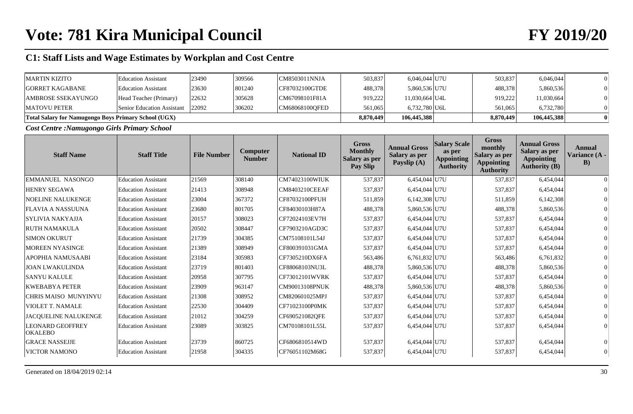| <b>MARTIN KIZITO</b>                                        | <b>Education Assistant</b>       | 23490 | 309566 | ICM8503011NNJA | 503,837   | 6,046,044 U7U  | 503,837   | 6,046,044   |  |
|-------------------------------------------------------------|----------------------------------|-------|--------|----------------|-----------|----------------|-----------|-------------|--|
| <b>GORRET KAGABANE</b>                                      | <b>Education Assistant</b>       | 23630 | 801240 | CF87032100GTDE | 488,378   | 5,860,536 U7U  | 488,378   | 5,860,536   |  |
| AMBROSE SSEKAYUNGO                                          | Head Teacher (Primary)           | 22632 | 305628 | CM67098101F81A | 919.222   | 11,030,664 U4L | 919,222   | 11,030,664  |  |
| <b>MATOVU PETER</b>                                         | Senior Education Assistant 22092 |       | 306202 | CM68068100OFED | 561,065   | 6,732,780 U6L  | 561,065   | 6,732,780   |  |
| <b>Total Salary for Namugongo Boys Primary School (UGX)</b> |                                  |       |        |                | 8,870,449 | 106,445,388    | 8,870,449 | 106,445,388 |  |

*Cost Centre :Namugongo Girls Primary School*

| <b>Staff Name</b>                         | <b>Staff Title</b>         | <b>File Number</b> | Computer<br><b>Number</b> | <b>National ID</b>    | <b>Gross</b><br><b>Monthly</b><br>Salary as per<br>Pay Slip | <b>Annual Gross</b><br>Salary as per<br>Payslip (A) | <b>Salary Scale</b><br>as per<br><b>Appointing</b><br><b>Authority</b> | <b>Gross</b><br>monthly<br>Salary as per<br><b>Appointing</b><br><b>Authority</b> | <b>Annual Gross</b><br>Salary as per<br><b>Appointing</b><br><b>Authority (B)</b> | Annual<br>Variance (A -<br>$\bf{B}$ |
|-------------------------------------------|----------------------------|--------------------|---------------------------|-----------------------|-------------------------------------------------------------|-----------------------------------------------------|------------------------------------------------------------------------|-----------------------------------------------------------------------------------|-----------------------------------------------------------------------------------|-------------------------------------|
| EMMANUEL NASONGO                          | <b>Education Assistant</b> | 21569              | 308140                    | <b>CM74023100WIUK</b> | 537,837                                                     | 6,454,044 U7U                                       |                                                                        | 537,837                                                                           | 6,454,044                                                                         | $\Omega$                            |
| <b>HENRY SEGAWA</b>                       | <b>Education Assistant</b> | 21413              | 308948                    | <b>CM8403210CEEAF</b> | 537,837                                                     | 6,454,044 U7U                                       |                                                                        | 537,837                                                                           | 6,454,044                                                                         |                                     |
| <b>NOELINE NALUKENGE</b>                  | <b>Education Assistant</b> | 23004              | 367372                    | CF87032100PFUH        | 511,859                                                     | $6,142,308$ U7U                                     |                                                                        | 511,859                                                                           | 6,142,308                                                                         |                                     |
| <b>FLAVIA A NASSUUNA</b>                  | <b>Education Assistant</b> | 23680              | 801705                    | CF84030103H87A        | 488,378                                                     | 5,860,536 U7U                                       |                                                                        | 488,378                                                                           | 5,860,536                                                                         |                                     |
| <b>SYLIVIA NAKYAJJA</b>                   | <b>Education Assistant</b> | 20157              | 308023                    | CF72024103EV7H        | 537,837                                                     | 6,454,044 U7U                                       |                                                                        | 537,837                                                                           | 6,454,044                                                                         |                                     |
| <b>RUTH NAMAKULA</b>                      | <b>Education Assistant</b> | 20502              | 308447                    | CF7903210AGD3C        | 537,837                                                     | 6,454,044 U7U                                       |                                                                        | 537,837                                                                           | 6,454,044                                                                         |                                     |
| <b>SIMON OKURUT</b>                       | <b>Education Assistant</b> | 21739              | 304385                    | CM75108101L54J        | 537,837                                                     | 6,454,044 U7U                                       |                                                                        | 537,837                                                                           | 6,454,044                                                                         |                                     |
| <b>MOREEN NYASINGE</b>                    | <b>Education Assistant</b> | 21389              | 308949                    | CF800391031GMA        | 537,837                                                     | 6,454,044 U7U                                       |                                                                        | 537,837                                                                           | 6,454,044                                                                         |                                     |
| <b>APOPHIA NAMUSAABI</b>                  | <b>Education Assistant</b> | 23184              | 305983                    | CF7305210DX6FA        | 563,486                                                     | 6,761,832 U7U                                       |                                                                        | 563,486                                                                           | 6,761,832                                                                         |                                     |
| <b>JOAN LWAKULINDA</b>                    | <b>Education Assistant</b> | 23719              | 801403                    | CF88068103NU3L        | 488,378                                                     | 5,860,536 U7U                                       |                                                                        | 488,378                                                                           | 5,860,536                                                                         |                                     |
| <b>SANYU KALULE</b>                       | <b>Education Assistant</b> | 20958              | 307795                    | CF73012101WVRK        | 537,837                                                     | 6,454,044 U7U                                       |                                                                        | 537,837                                                                           | 6,454,044                                                                         |                                     |
| <b>KWEBABYA PETER</b>                     | <b>Education Assistant</b> | 23909              | 963147                    | CM90013108PNUK        | 488,378                                                     | 5,860,536 U7U                                       |                                                                        | 488,378                                                                           | 5,860,536                                                                         |                                     |
| CHRIS MAISO MUNYINYU                      | <b>Education Assistant</b> | 21308              | 308952                    | CM820601025MPJ        | 537,837                                                     | 6,454,044 U7U                                       |                                                                        | 537,837                                                                           | 6,454,044                                                                         |                                     |
| <b>VIOLET T. NAMALE</b>                   | <b>Education Assistant</b> | 22530              | 304409                    | CF71023100P0MK        | 537,837                                                     | 6,454,044 U7U                                       |                                                                        | 537,837                                                                           | 6,454,044                                                                         |                                     |
| JACQUELINE NALUKENGE                      | <b>Education Assistant</b> | 21012              | 304259                    | CF690521082QFE        | 537,837                                                     | 6,454,044 U7U                                       |                                                                        | 537,837                                                                           | 6,454,044                                                                         |                                     |
| <b>LEONARD GEOFFREY</b><br><b>OKALEBO</b> | <b>Education Assistant</b> | 23089              | 303825                    | CM70108101L55L        | 537,837                                                     | 6,454,044 U7U                                       |                                                                        | 537,837                                                                           | 6,454,044                                                                         |                                     |
| <b>GRACE NASSEJJE</b>                     | <b>Education Assistant</b> | 23739              | 860725                    | CF6806810514WD        | 537,837                                                     | 6,454,044 U7U                                       |                                                                        | 537,837                                                                           | 6,454,044                                                                         |                                     |
| <b>VICTOR NAMONO</b>                      | <b>Education Assistant</b> | 21958              | 304335                    | CF76051102M68G        | 537,837                                                     | 6,454,044 U7U                                       |                                                                        | 537,837                                                                           | 6,454,044                                                                         |                                     |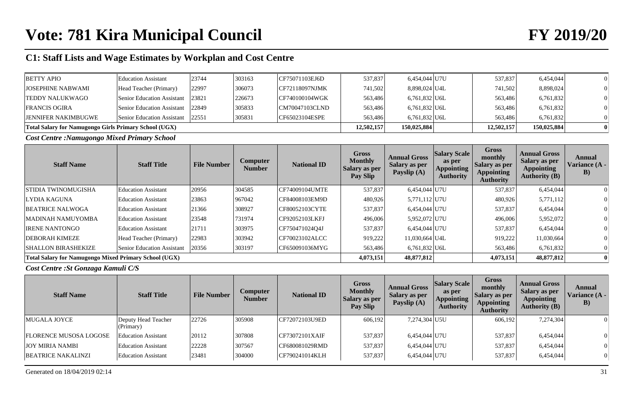| <b>BETTY APIO</b>                                            | <b>Education Assistant</b> | 23744 | 303163 | CF75071103EJ6D          | 537,837    | 6,454,044 U7U   | 537,837    | 6,454,044   |  |
|--------------------------------------------------------------|----------------------------|-------|--------|-------------------------|------------|-----------------|------------|-------------|--|
| <b>JOSEPHINE NABWAMI</b>                                     | Head Teacher (Primary)     | 22997 | 306073 | CFT2118097NJMK          | 741,502    | 8,898,024 U4L   | 741,502    | 8,898,024   |  |
| <b>TEDDY NALUKWAGO</b>                                       | Senior Education Assistant | 23821 | 226673 | $\Gamma$ CF740100104WGK | 563,486    | $6,761,832$ U6L | 563,486    | 6,761,832   |  |
| <b>FRANCIS OGIRA</b>                                         | Senior Education Assistant | 22849 | 305833 | CM70047103CLND          | 563,486    | $6,761,832$ U6L | 563,486    | 6,761,832   |  |
| <b>JENNIFER NAKIMBUGWE</b>                                   | Senior Education Assistant | 22551 | 305831 | CF65023104ESPE          | 563,486    | $6.761.832$ U6L | 563.486    | 6,761,832   |  |
| <b>Total Salary for Namugongo Girls Primary School (UGX)</b> |                            |       |        |                         | 12,502,157 | 150,025,884     | 12,502,157 | 150,025,884 |  |

*Cost Centre :Namugongo Mixed Primary School*

| <b>Staff Name</b>                                            | <b>Staff Title</b>         | <b>File Number</b> | <b>Computer</b><br><b>Number</b> | <b>National ID</b> | Gross<br><b>Monthly</b><br><b>Salary as per</b><br>Pay Slip | <b>Annual Gross</b><br><b>Salary as per</b><br>Payslip (A) | <b>Salary Scale</b><br>as per<br><b>Appointing</b><br><b>Authority</b> | <b>Gross</b><br>monthly<br>Salary as per<br><b>Appointing</b><br><b>Authority</b> | <b>Annual Gross</b><br><b>Salary as per</b><br><b>Appointing</b><br><b>Authority (B)</b> | Annual<br>Variance (A -<br>$\bf{B}$ |
|--------------------------------------------------------------|----------------------------|--------------------|----------------------------------|--------------------|-------------------------------------------------------------|------------------------------------------------------------|------------------------------------------------------------------------|-----------------------------------------------------------------------------------|------------------------------------------------------------------------------------------|-------------------------------------|
| STIDIA TWINOMUGISHA                                          | <b>Education Assistant</b> | 20956              | 304585                           | CF74009104UMTE     | 537,837                                                     | 6,454,044 U7U                                              |                                                                        | 537,837                                                                           | 6,454,044                                                                                |                                     |
| LYDIA KAGUNA                                                 | <b>Education Assistant</b> | 23863              | 967042                           | CF84008103EM9D     | 480,926                                                     | 5,771,112 U7U                                              |                                                                        | 480,926                                                                           | 5,771,112                                                                                |                                     |
| <b>BEATRICE NALWOGA</b>                                      | <b>Education Assistant</b> | 21366              | 308927                           | CF80052103CYTE     | 537,837                                                     | 6,454,044 U7U                                              |                                                                        | 537,837                                                                           | 6,454,044                                                                                |                                     |
| MADINAH NAMUYOMBA                                            | <b>Education Assistant</b> | 23548              | 731974                           | CF92052103LKFJ     | 496,006                                                     | 5,952,072 U7U                                              |                                                                        | 496,006                                                                           | 5,952,072                                                                                |                                     |
| <b>IRENE NANTONGO</b>                                        | <b>Education Assistant</b> | 21711              | 303975                           | CF750471024O4J     | 537,837                                                     | 6,454,044 U7U                                              |                                                                        | 537,837                                                                           | 6,454,044                                                                                |                                     |
| <b>DEBORAH KIMEZE</b>                                        | Head Teacher (Primary)     | 22983              | 303942                           | CF70023102ALCC     | 919,222                                                     | 11,030,664 U4L                                             |                                                                        | 919,222                                                                           | 11,030,664                                                                               |                                     |
| <b>SHALLON BIRASHEKIZE</b>                                   | Senior Education Assistant | 20356              | 303197                           | CF650091036MYG     | 563,486                                                     | $6,761,832$ U6L                                            |                                                                        | 563,486                                                                           | 6,761,832                                                                                |                                     |
| <b>Total Salary for Namugongo Mixed Primary School (UGX)</b> |                            |                    |                                  |                    | 4,073,151                                                   | 48,877,812                                                 |                                                                        | 4,073,151                                                                         | 48,877,812                                                                               | $\bf{0}$                            |

### *Cost Centre :St Gonzaga Kamuli C/S*

| <b>Staff Name</b>             | <b>Staff Title</b>               | <b>File Number</b> | Computer<br><b>Number</b> | <b>National ID</b>    | <b>Gross</b><br><b>Monthly</b><br><b>Salary as per</b><br>Pay Slip | <b>Annual Gross</b><br><b>Salary as per</b><br>Payslip (A) | <b>Salary Scale</b><br>as per<br><b>Appointing</b><br><b>Authority</b> | Gross<br>monthly<br>Salary as per<br><b>Appointing</b><br><b>Authority</b> | <b>Annual Gross</b><br><b>Salary as per</b><br><b>Appointing</b><br><b>Authority (B)</b> | Annual<br>Variance (A -<br>$\bf{B})$ |
|-------------------------------|----------------------------------|--------------------|---------------------------|-----------------------|--------------------------------------------------------------------|------------------------------------------------------------|------------------------------------------------------------------------|----------------------------------------------------------------------------|------------------------------------------------------------------------------------------|--------------------------------------|
| MUGALA JOYCE                  | Deputy Head Teacher<br>(Primary) | 22726              | 305908                    | CF72072103U9ED        | 606,192                                                            | 7,274,304 U5U                                              |                                                                        | 606,192                                                                    | 7,274,304                                                                                |                                      |
| <b>FLORENCE MUSOSA LOGOSE</b> | <b>Education Assistant</b>       | 20112              | 307808                    | <b>CF73072101XAIF</b> | 537.837                                                            | 6,454,044 U7U                                              |                                                                        | 537,837                                                                    | 6,454,044                                                                                |                                      |
| <b>JOY MIRIA NAMBI</b>        | Education Assistant              | 22228              | 307567                    | CF680081029RMD        | 537,837                                                            | 6,454,044 U7U                                              |                                                                        | 537,837                                                                    | 6,454,044                                                                                |                                      |
| <b>BEATRICE NAKALINZI</b>     | <b>Education Assistant</b>       | 23481              | 304000                    | ICF790241014KLH       | 537,837                                                            | 6,454,044 U7U                                              |                                                                        | 537,837                                                                    | 6,454,044                                                                                | $\vert 0 \vert$                      |

Generated on  $18/04/2019$  02:14 31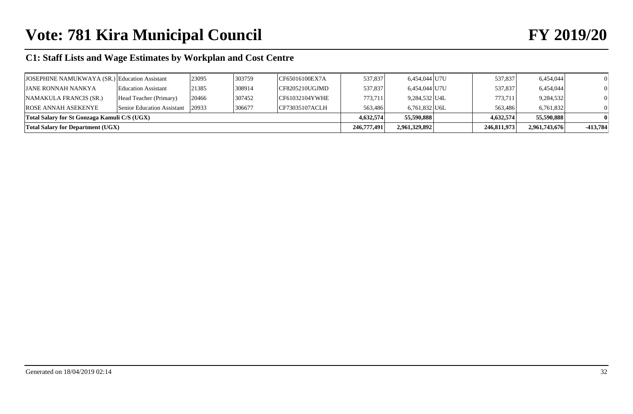# **Vote: 781 Kira Municipal Council FY 2019/20**

# **C1: Staff Lists and Wage Estimates by Workplan and Cost Centre**

| <b>Total Salary for Department (UGX)</b>      |                            |       |        |                                    | 246,777,491 | 2,961,329,892   | 246,811,973 | 2,961,743,676 | $-413.784$ |
|-----------------------------------------------|----------------------------|-------|--------|------------------------------------|-------------|-----------------|-------------|---------------|------------|
| Total Salary for St Gonzaga Kamuli C/S (UGX)  |                            |       |        |                                    | 4.632.574   | 55,590,888      | 4.632.574   | 55,590,888    |            |
| ROSE ANNAH ASEKENYE                           | Senior Education Assistant | 20933 | 306677 | CF73035107ACLH                     | 563.486     | $6,761,832$ U6L | 563,486     | 6,761,832     |            |
| NAMAKULA FRANCIS (SR.)                        | Head Teacher (Primary)     | 20466 | 307452 | CF61032104YWHE                     | 773,711     | 9,284,532 U4L   | 773,711     | 9,284,532     |            |
| <b>JANE RONNAH NANKYA</b>                     | <b>Education Assistant</b> | 21385 | 308914 | $\overline{\text{CF8205210UGJMD}}$ | 537,837     | 6,454,044 U7U   | 537,837     | 6,454,044     |            |
| JOSEPHINE NAMUKWAYA (SR.) Education Assistant |                            | 23095 | 303759 | CF65016100EX7A                     | 537,837     | 6,454,044 U7U   | 537,837     | 6,454,044     |            |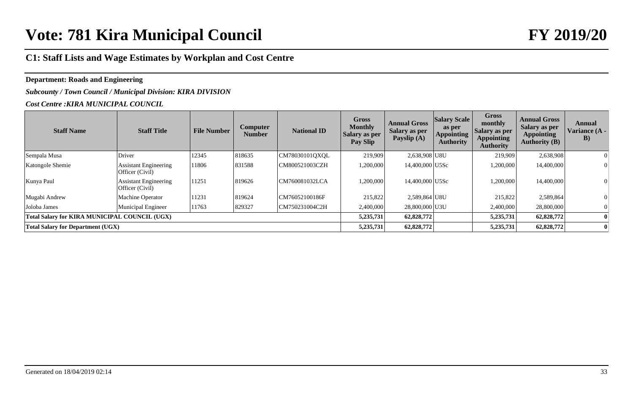## **Department: Roads and Engineering**

## *Subcounty / Town Council / Municipal Division: KIRA DIVISION*

#### *Cost Centre :KIRA MUNICIPAL COUNCIL*

| <b>Staff Name</b>                             | <b>Staff Title</b>                              | <b>File Number</b> | Computer<br><b>Number</b> | <b>National ID</b> | <b>Gross</b><br><b>Monthly</b><br><b>Salary as per</b><br>Pay Slip | <b>Annual Gross</b><br><b>Salary as per</b><br>Payslip $(A)$ | <b>Salary Scale</b><br>as per<br><b>Appointing</b><br><b>Authority</b> | <b>Gross</b><br>monthly<br><b>Salary as per</b><br><b>Appointing</b><br><b>Authority</b> | <b>Annual Gross</b><br><b>Salary as per</b><br><b>Appointing</b><br><b>Authority (B)</b> | Annual<br>Variance (A -<br>$\bf{B})$ |
|-----------------------------------------------|-------------------------------------------------|--------------------|---------------------------|--------------------|--------------------------------------------------------------------|--------------------------------------------------------------|------------------------------------------------------------------------|------------------------------------------------------------------------------------------|------------------------------------------------------------------------------------------|--------------------------------------|
| Sempala Musa                                  | Driver                                          | 12345              | 818635                    | CM78030101QXQL     | 219,909                                                            | 2,638,908 U8U                                                |                                                                        | 219,909                                                                                  | 2,638,908                                                                                |                                      |
| Katongole Shemie                              | <b>Assistant Engineering</b><br>Officer (Civil) | 11806              | 831588                    | CM800521003CZH     | 1,200,000                                                          | 14,400,000 U5Sc                                              |                                                                        | 1,200,000                                                                                | 14,400,000                                                                               |                                      |
| Kunya Paul                                    | <b>Assistant Engineering</b><br>Officer (Civil) | 11251              | 819626                    | CM760081032LCA     | 1,200,000                                                          | 14,400,000 U5Sc                                              |                                                                        | 1,200,000                                                                                | 14,400,000                                                                               |                                      |
| Mugabi Andrew                                 | Machine Operator                                | 11231              | 819624                    | CM76052100186F     | 215,822                                                            | 2,589,864 U8U                                                |                                                                        | 215,822                                                                                  | 2,589,864                                                                                |                                      |
| Joloba James                                  | Municipal Engineer                              | 11763              | 829327                    | CM750231004C2H     | 2,400,000                                                          | 28,800,000 U3U                                               |                                                                        | 2,400,000                                                                                | 28,800,000                                                                               |                                      |
| Total Salary for KIRA MUNICIPAL COUNCIL (UGX) |                                                 |                    |                           |                    | 5,235,731                                                          | 62,828,772                                                   |                                                                        | 5,235,731                                                                                | 62,828,772                                                                               |                                      |
| <b>Total Salary for Department (UGX)</b>      |                                                 |                    |                           |                    | 5,235,731                                                          | 62,828,772                                                   |                                                                        | 5,235,731                                                                                | 62,828,772                                                                               |                                      |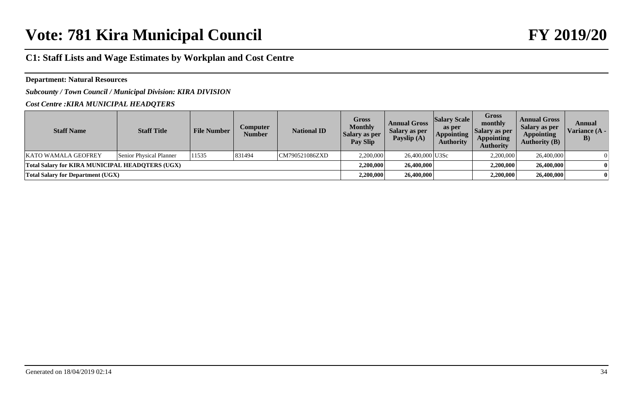#### **Department: Natural Resources**

*Subcounty / Town Council / Municipal Division: KIRA DIVISION*

*Cost Centre :KIRA MUNICIPAL HEADQTERS*

| <b>Staff Name</b>                                      | <b>Staff Title</b>      | <b>File Number</b> | Computer<br><b>Number</b> | <b>National ID</b> | <b>Gross</b><br><b>Monthly</b><br>Salary as per<br>Pay Slip | <b>Annual Gross</b><br>Salary as per<br>Payslip $(A)$ | <b>Salary Scale</b><br>as per<br><b>Appointing</b><br><b>Authority</b> | Gross<br>monthly<br>Salary as per<br><b>Appointing</b><br><b>Authority</b> | <b>Annual Gross</b><br>Salary as per<br><b>Appointing</b><br><b>Authority (B)</b> | Annual<br>Variance (A -<br>$\bf{B}$ |
|--------------------------------------------------------|-------------------------|--------------------|---------------------------|--------------------|-------------------------------------------------------------|-------------------------------------------------------|------------------------------------------------------------------------|----------------------------------------------------------------------------|-----------------------------------------------------------------------------------|-------------------------------------|
| <b>KATO WAMALA GEOFREY</b>                             | Senior Physical Planner | 11535              | 831494                    | CM790521086ZXD     | 2,200,000                                                   | 26,400,000 U3Sc                                       |                                                                        | 2,200,000                                                                  | 26,400,000                                                                        |                                     |
| <b>Total Salary for KIRA MUNICIPAL HEADOTERS (UGX)</b> |                         |                    |                           |                    | 2.200.000                                                   | 26,400,000                                            |                                                                        | 2,200,000                                                                  | 26,400,000                                                                        |                                     |
| <b>Total Salary for Department (UGX)</b>               |                         |                    |                           |                    | 2,200,000                                                   | 26,400,000                                            |                                                                        | 2,200,000                                                                  | 26,400,000                                                                        |                                     |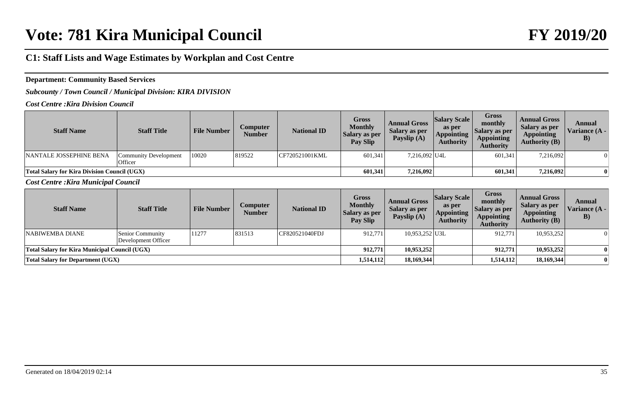### **Department: Community Based Services**

*Subcounty / Town Council / Municipal Division: KIRA DIVISION*

*Cost Centre :Kira Division Council*

| <b>Staff Name</b>                                   | <b>Staff Title</b>                      | <b>File Number</b> | <b>Computer</b><br>Number | <b>National ID</b> | Gross<br><b>Monthly</b><br>Salary as per<br><b>Pay Slip</b> | <b>Annual Gross</b><br>Salary as per<br>Payslip (A) | <b>Salary Scale</b><br>as per<br><b>Appointing</b><br><b>Authority</b> | <b>Gross</b><br>monthly<br>  Salary as per<br><b>Appointing</b><br><b>Authority</b> | <b>Annual Gross</b><br>Salary as per<br><b>Appointing</b><br>Authority $(B)$ | Annual<br>Variance (A -<br>$\bf{B}$ |
|-----------------------------------------------------|-----------------------------------------|--------------------|---------------------------|--------------------|-------------------------------------------------------------|-----------------------------------------------------|------------------------------------------------------------------------|-------------------------------------------------------------------------------------|------------------------------------------------------------------------------|-------------------------------------|
| NANTALE JOSSEPHINE BENA                             | Community Development<br><b>Officer</b> | 10020              | 819522                    | CF720521001KML     | 601,341                                                     | 7,216,092 U4L                                       |                                                                        | 601,341                                                                             | 7,216,092                                                                    |                                     |
| <b>Total Salary for Kira Division Council (UGX)</b> |                                         |                    |                           |                    | 601.341                                                     | 7,216,092                                           |                                                                        | 601,341                                                                             | 7,216,092                                                                    |                                     |

*Cost Centre :Kira Municipal Council*

| <b>Staff Name</b>                             | <b>Staff Title</b>                      | <b>File Number</b> | <b>Computer</b><br><b>Number</b> | <b>National ID</b> | Gross<br><b>Monthly</b><br>Salary as per<br>Pay Slip | <b>Annual Gross</b><br>Salary as per<br>Payslip $(A)$ | <b>Salary Scale</b><br>as per<br><b>Appointing</b><br><b>Authority</b> | Gross<br>monthly<br>Salary as per<br><b>Appointing</b><br><b>Authority</b> | <b>Annual Gross</b><br>Salary as per<br><b>Appointing</b><br>Authority $(B)$ | Annual<br>Variance (A -<br>$\bf{B}$ |
|-----------------------------------------------|-----------------------------------------|--------------------|----------------------------------|--------------------|------------------------------------------------------|-------------------------------------------------------|------------------------------------------------------------------------|----------------------------------------------------------------------------|------------------------------------------------------------------------------|-------------------------------------|
| NABIWEMBA DIANE                               | Senior Community<br>Development Officer | 11277              | 831513                           | CF820521040FDJ     | 912,771                                              | 10,953,252 U3L                                        |                                                                        | 912,771                                                                    | 10,953,252                                                                   | $\Omega$                            |
| Total Salary for Kira Municipal Council (UGX) |                                         |                    |                                  |                    | 912,771                                              | 10,953,252                                            |                                                                        | 912,771                                                                    | 10,953,252                                                                   |                                     |
| <b>Total Salary for Department (UGX)</b>      |                                         |                    |                                  |                    | 1,514,112                                            | 18,169,344                                            |                                                                        | 1,514,112                                                                  | 18,169,344                                                                   |                                     |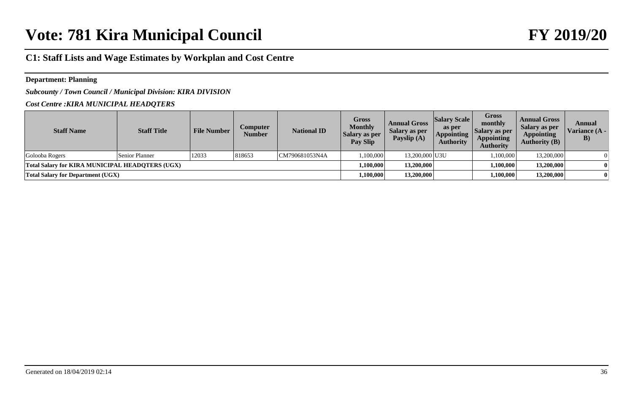#### **Department: Planning**

*Subcounty / Town Council / Municipal Division: KIRA DIVISION*

#### *Cost Centre :KIRA MUNICIPAL HEADQTERS*

| <b>Staff Name</b>                               | <b>Staff Title</b> | <b>File Number</b> | Computer<br><b>Number</b> | <b>National ID</b> | <b>Gross</b><br><b>Monthly</b><br>Salary as per<br>Pay Slip | <b>Annual Gross</b><br>Salary as per<br>Payslip $(A)$ | <b>Salary Scale</b><br>as per<br><b>Appointing</b><br><b>Authority</b> | <b>Gross</b><br>monthly<br>  Salary as per<br><b>Appointing</b><br><b>Authority</b> | <b>Annual Gross</b><br>Salary as per<br><b>Appointing</b><br><b>Authority (B)</b> | Annual<br>Variance (A -<br>$\bf{B})$ |
|-------------------------------------------------|--------------------|--------------------|---------------------------|--------------------|-------------------------------------------------------------|-------------------------------------------------------|------------------------------------------------------------------------|-------------------------------------------------------------------------------------|-----------------------------------------------------------------------------------|--------------------------------------|
| Golooba Rogers                                  | Senior Planner     | 12033              | 818653                    | CM790681053N4A     | 1.100.000                                                   | 13,200,000 U3U                                        |                                                                        | 1,100,000                                                                           | 13,200,000                                                                        |                                      |
| Total Salary for KIRA MUNICIPAL HEADOTERS (UGX) |                    |                    |                           |                    | 1.100.000                                                   | 13.200.000                                            |                                                                        | 1.100.000                                                                           | 13,200,000                                                                        |                                      |
| <b>Total Salary for Department (UGX)</b>        |                    |                    |                           |                    | 1.100.000                                                   | 13,200,000                                            |                                                                        | 1,100,000                                                                           | 13,200,000                                                                        |                                      |